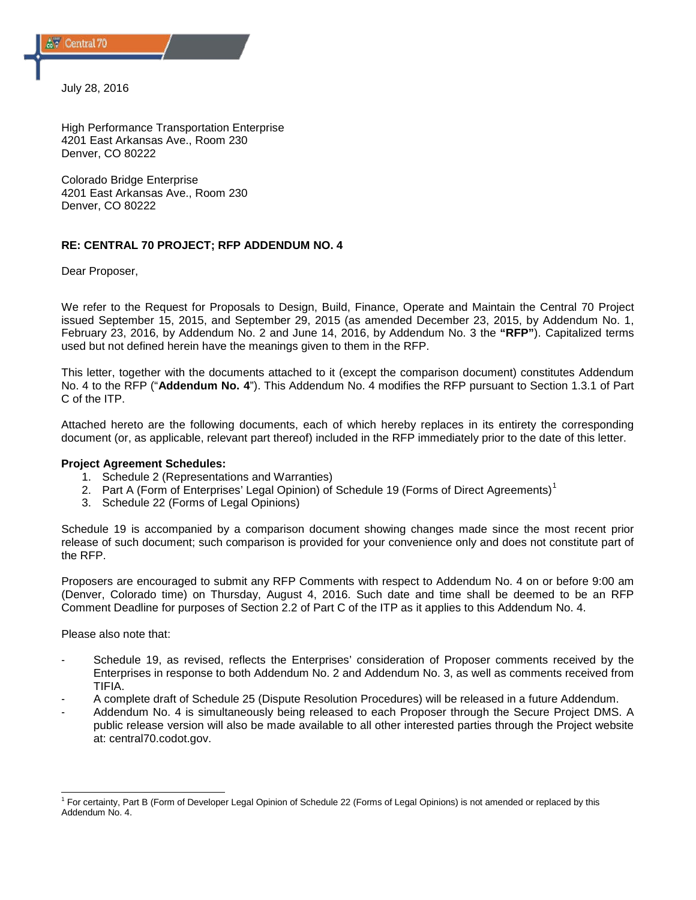July 28, 2016

High Performance Transportation Enterprise 4201 East Arkansas Ave., Room 230 Denver, CO 80222

Colorado Bridge Enterprise 4201 East Arkansas Ave., Room 230 Denver, CO 80222

## **RE: CENTRAL 70 PROJECT; RFP ADDENDUM NO. 4**

Dear Proposer,

We refer to the Request for Proposals to Design, Build, Finance, Operate and Maintain the Central 70 Project issued September 15, 2015, and September 29, 2015 (as amended December 23, 2015, by Addendum No. 1, February 23, 2016, by Addendum No. 2 and June 14, 2016, by Addendum No. 3 the **"RFP"**). Capitalized terms used but not defined herein have the meanings given to them in the RFP.

This letter, together with the documents attached to it (except the comparison document) constitutes Addendum No. 4 to the RFP ("**Addendum No. 4**"). This Addendum No. 4 modifies the RFP pursuant to Section 1.3.1 of Part C of the ITP.

Attached hereto are the following documents, each of which hereby replaces in its entirety the corresponding document (or, as applicable, relevant part thereof) included in the RFP immediately prior to the date of this letter.

### **Project Agreement Schedules:**

- 1. Schedule 2 (Representations and Warranties)
- 2. Part A (Form of Enterprises' Legal Opinion) of Schedule [1](#page-0-0)9 (Forms of Direct Agreements)<sup>1</sup>
- 3. Schedule 22 (Forms of Legal Opinions)

Schedule 19 is accompanied by a comparison document showing changes made since the most recent prior release of such document; such comparison is provided for your convenience only and does not constitute part of the RFP.

Proposers are encouraged to submit any RFP Comments with respect to Addendum No. 4 on or before 9:00 am (Denver, Colorado time) on Thursday, August 4, 2016. Such date and time shall be deemed to be an RFP Comment Deadline for purposes of Section 2.2 of Part C of the ITP as it applies to this Addendum No. 4.

Please also note that:

- Schedule 19, as revised, reflects the Enterprises' consideration of Proposer comments received by the Enterprises in response to both Addendum No. 2 and Addendum No. 3, as well as comments received from TIFIA.
- A complete draft of Schedule 25 (Dispute Resolution Procedures) will be released in a future Addendum.
- Addendum No. 4 is simultaneously being released to each Proposer through the Secure Project DMS. A public release version will also be made available to all other interested parties through the Project website at: central70.codot.gov.

<span id="page-0-0"></span> $1$  For certainty, Part B (Form of Developer Legal Opinion of Schedule 22 (Forms of Legal Opinions) is not amended or replaced by this Addendum No. 4.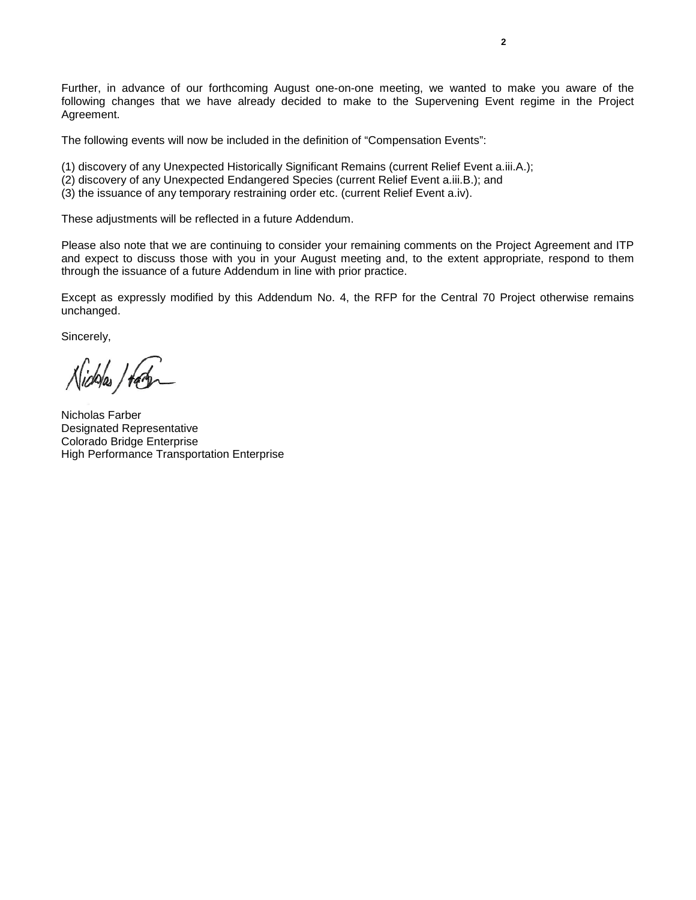Further, in advance of our forthcoming August one-on-one meeting, we wanted to make you aware of the following changes that we have already decided to make to the Supervening Event regime in the Project Agreement.

The following events will now be included in the definition of "Compensation Events":

- (1) discovery of any Unexpected Historically Significant Remains (current Relief Event a.iii.A.);
- (2) discovery of any Unexpected Endangered Species (current Relief Event a.iii.B.); and
- (3) the issuance of any temporary restraining order etc. (current Relief Event a.iv).

These adjustments will be reflected in a future Addendum.

Please also note that we are continuing to consider your remaining comments on the Project Agreement and ITP and expect to discuss those with you in your August meeting and, to the extent appropriate, respond to them through the issuance of a future Addendum in line with prior practice.

Except as expressly modified by this Addendum No. 4, the RFP for the Central 70 Project otherwise remains unchanged.

Sincerely,

Nicholas / tag

Nicholas Farber Designated Representative Colorado Bridge Enterprise High Performance Transportation Enterprise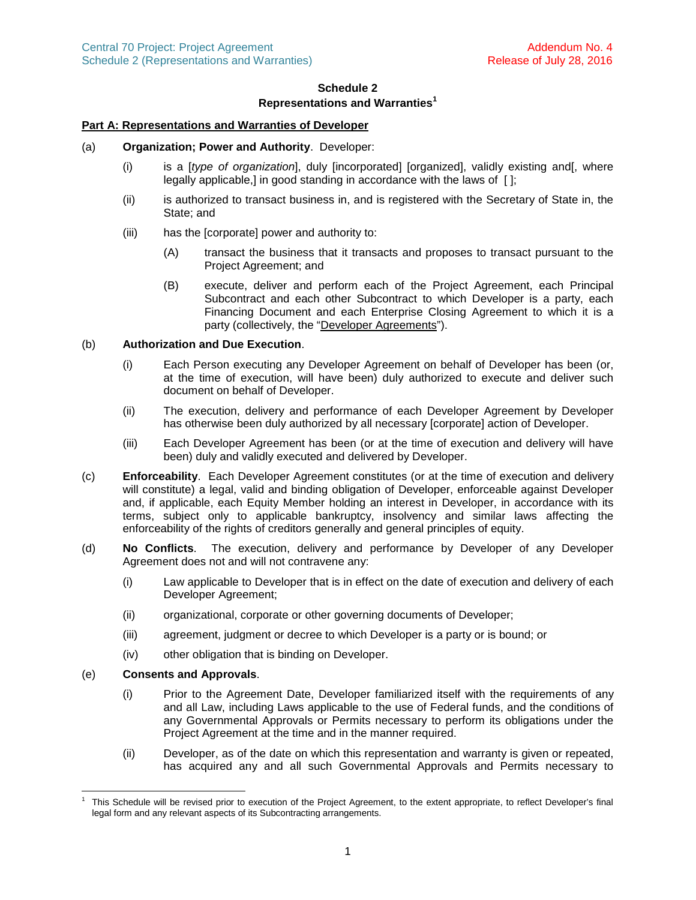# **Schedule 2 Representations and Warranties[1](#page-2-0)**

## **Part A: Representations and Warranties of Developer**

### (a) **Organization; Power and Authority**. Developer:

- (i) is a [*type of organization*], duly [incorporated] [organized], validly existing and[, where legally applicable,] in good standing in accordance with the laws of [];
- (ii) is authorized to transact business in, and is registered with the Secretary of State in, the State; and
- (iii) has the [corporate] power and authority to:
	- (A) transact the business that it transacts and proposes to transact pursuant to the Project Agreement; and
	- (B) execute, deliver and perform each of the Project Agreement, each Principal Subcontract and each other Subcontract to which Developer is a party, each Financing Document and each Enterprise Closing Agreement to which it is a party (collectively, the "Developer Agreements").

# (b) **Authorization and Due Execution**.

- (i) Each Person executing any Developer Agreement on behalf of Developer has been (or, at the time of execution, will have been) duly authorized to execute and deliver such document on behalf of Developer.
- (ii) The execution, delivery and performance of each Developer Agreement by Developer has otherwise been duly authorized by all necessary [corporate] action of Developer.
- (iii) Each Developer Agreement has been (or at the time of execution and delivery will have been) duly and validly executed and delivered by Developer.
- (c) **Enforceability**. Each Developer Agreement constitutes (or at the time of execution and delivery will constitute) a legal, valid and binding obligation of Developer, enforceable against Developer and, if applicable, each Equity Member holding an interest in Developer, in accordance with its terms, subject only to applicable bankruptcy, insolvency and similar laws affecting the enforceability of the rights of creditors generally and general principles of equity.
- (d) **No Conflicts**. The execution, delivery and performance by Developer of any Developer Agreement does not and will not contravene any:
	- (i) Law applicable to Developer that is in effect on the date of execution and delivery of each Developer Agreement;
	- (ii) organizational, corporate or other governing documents of Developer;
	- (iii) agreement, judgment or decree to which Developer is a party or is bound; or
	- (iv) other obligation that is binding on Developer.

### (e) **Consents and Approvals**.

- (i) Prior to the Agreement Date, Developer familiarized itself with the requirements of any and all Law, including Laws applicable to the use of Federal funds, and the conditions of any Governmental Approvals or Permits necessary to perform its obligations under the Project Agreement at the time and in the manner required.
- (ii) Developer, as of the date on which this representation and warranty is given or repeated, has acquired any and all such Governmental Approvals and Permits necessary to

<span id="page-2-0"></span><sup>1</sup> This Schedule will be revised prior to execution of the Project Agreement, to the extent appropriate, to reflect Developer's final legal form and any relevant aspects of its Subcontracting arrangements.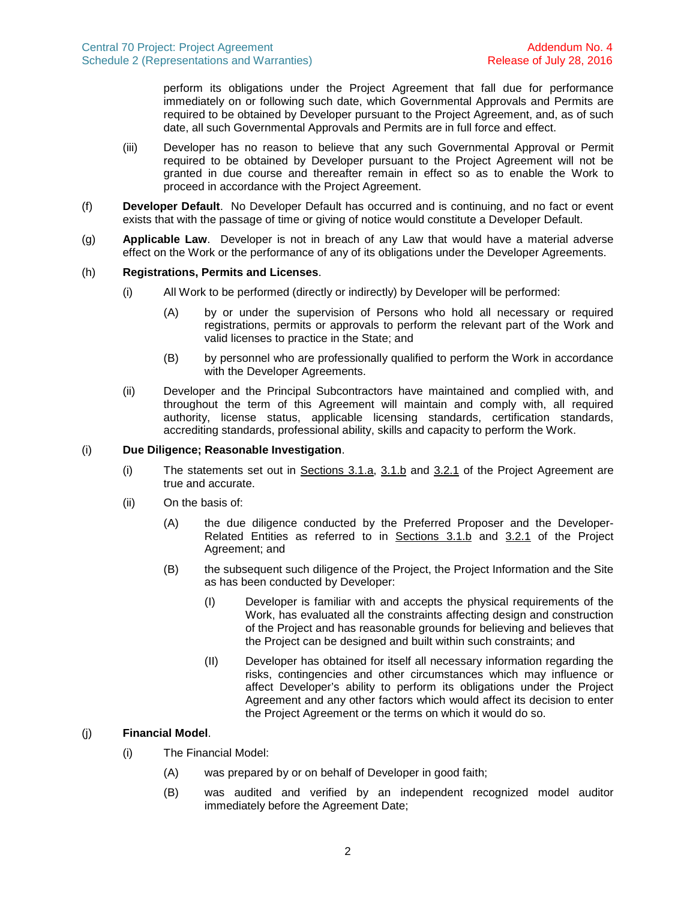perform its obligations under the Project Agreement that fall due for performance immediately on or following such date, which Governmental Approvals and Permits are required to be obtained by Developer pursuant to the Project Agreement, and, as of such date, all such Governmental Approvals and Permits are in full force and effect.

- (iii) Developer has no reason to believe that any such Governmental Approval or Permit required to be obtained by Developer pursuant to the Project Agreement will not be granted in due course and thereafter remain in effect so as to enable the Work to proceed in accordance with the Project Agreement.
- (f) **Developer Default**. No Developer Default has occurred and is continuing, and no fact or event exists that with the passage of time or giving of notice would constitute a Developer Default.
- (g) **Applicable Law**. Developer is not in breach of any Law that would have a material adverse effect on the Work or the performance of any of its obligations under the Developer Agreements.

### (h) **Registrations, Permits and Licenses**.

- (i) All Work to be performed (directly or indirectly) by Developer will be performed:
	- (A) by or under the supervision of Persons who hold all necessary or required registrations, permits or approvals to perform the relevant part of the Work and valid licenses to practice in the State; and
	- (B) by personnel who are professionally qualified to perform the Work in accordance with the Developer Agreements.
- (ii) Developer and the Principal Subcontractors have maintained and complied with, and throughout the term of this Agreement will maintain and comply with, all required authority, license status, applicable licensing standards, certification standards, accrediting standards, professional ability, skills and capacity to perform the Work.

#### (i) **Due Diligence; Reasonable Investigation**.

- (i) The statements set out in Sections 3.1.a, 3.1.b and 3.2.1 of the Project Agreement are true and accurate.
- (ii) On the basis of:
	- (A) the due diligence conducted by the Preferred Proposer and the Developer-Related Entities as referred to in Sections 3.1.b and 3.2.1 of the Project Agreement; and
	- (B) the subsequent such diligence of the Project, the Project Information and the Site as has been conducted by Developer:
		- (I) Developer is familiar with and accepts the physical requirements of the Work, has evaluated all the constraints affecting design and construction of the Project and has reasonable grounds for believing and believes that the Project can be designed and built within such constraints; and
		- (II) Developer has obtained for itself all necessary information regarding the risks, contingencies and other circumstances which may influence or affect Developer's ability to perform its obligations under the Project Agreement and any other factors which would affect its decision to enter the Project Agreement or the terms on which it would do so.

# (j) **Financial Model**.

- (i) The Financial Model:
	- (A) was prepared by or on behalf of Developer in good faith;
	- (B) was audited and verified by an independent recognized model auditor immediately before the Agreement Date;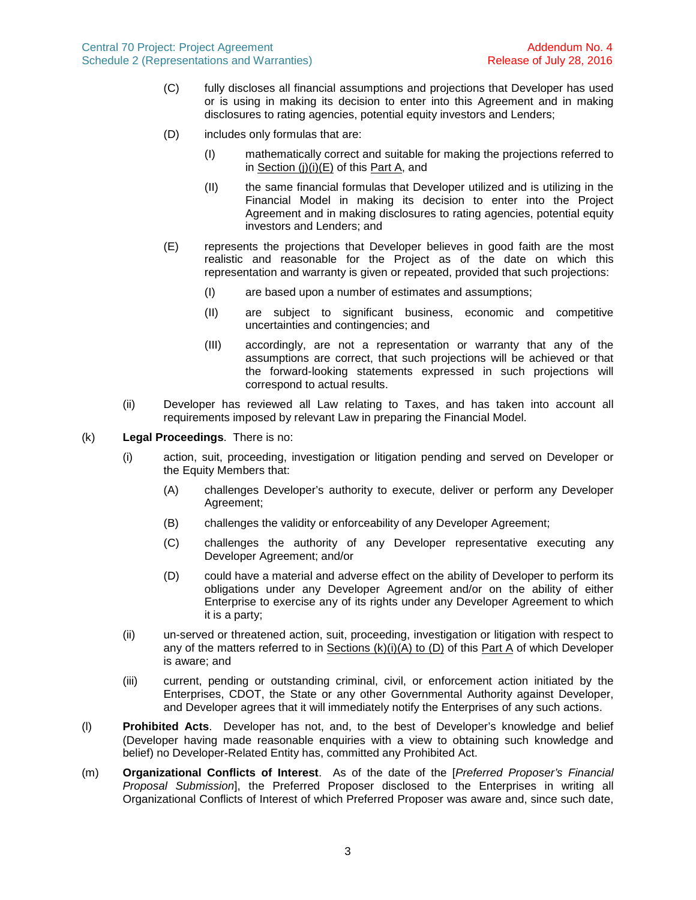- (C) fully discloses all financial assumptions and projections that Developer has used or is using in making its decision to enter into this Agreement and in making disclosures to rating agencies, potential equity investors and Lenders;
- (D) includes only formulas that are:
	- (I) mathematically correct and suitable for making the projections referred to in Section (j)(i)(E) of this Part A, and
	- (II) the same financial formulas that Developer utilized and is utilizing in the Financial Model in making its decision to enter into the Project Agreement and in making disclosures to rating agencies, potential equity investors and Lenders; and
- (E) represents the projections that Developer believes in good faith are the most realistic and reasonable for the Project as of the date on which this representation and warranty is given or repeated, provided that such projections:
	- (I) are based upon a number of estimates and assumptions;
	- (II) are subject to significant business, economic and competitive uncertainties and contingencies; and
	- (III) accordingly, are not a representation or warranty that any of the assumptions are correct, that such projections will be achieved or that the forward-looking statements expressed in such projections will correspond to actual results.
- (ii) Developer has reviewed all Law relating to Taxes, and has taken into account all requirements imposed by relevant Law in preparing the Financial Model.
- (k) **Legal Proceedings**. There is no:
	- (i) action, suit, proceeding, investigation or litigation pending and served on Developer or the Equity Members that:
		- (A) challenges Developer's authority to execute, deliver or perform any Developer Agreement;
		- (B) challenges the validity or enforceability of any Developer Agreement;
		- (C) challenges the authority of any Developer representative executing any Developer Agreement; and/or
		- (D) could have a material and adverse effect on the ability of Developer to perform its obligations under any Developer Agreement and/or on the ability of either Enterprise to exercise any of its rights under any Developer Agreement to which it is a party;
	- (ii) un-served or threatened action, suit, proceeding, investigation or litigation with respect to any of the matters referred to in Sections (k)(i)(A) to (D) of this Part A of which Developer is aware; and
	- (iii) current, pending or outstanding criminal, civil, or enforcement action initiated by the Enterprises, CDOT, the State or any other Governmental Authority against Developer, and Developer agrees that it will immediately notify the Enterprises of any such actions.
- (l) **Prohibited Acts**. Developer has not, and, to the best of Developer's knowledge and belief (Developer having made reasonable enquiries with a view to obtaining such knowledge and belief) no Developer-Related Entity has, committed any Prohibited Act.
- (m) **Organizational Conflicts of Interest**. As of the date of the [*Preferred Proposer's Financial Proposal Submission*], the Preferred Proposer disclosed to the Enterprises in writing all Organizational Conflicts of Interest of which Preferred Proposer was aware and, since such date,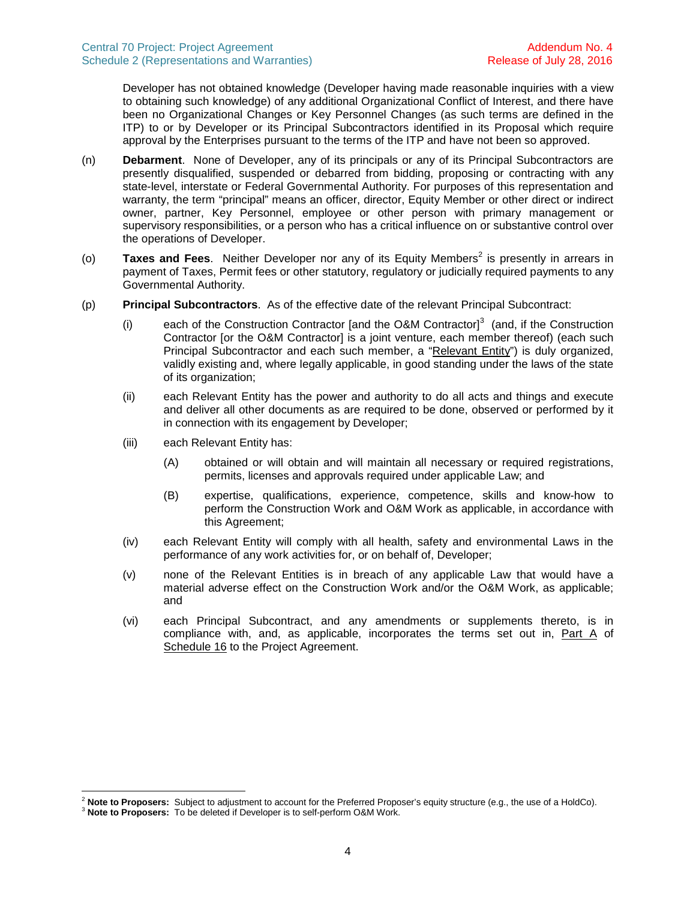Developer has not obtained knowledge (Developer having made reasonable inquiries with a view to obtaining such knowledge) of any additional Organizational Conflict of Interest, and there have been no Organizational Changes or Key Personnel Changes (as such terms are defined in the ITP) to or by Developer or its Principal Subcontractors identified in its Proposal which require approval by the Enterprises pursuant to the terms of the ITP and have not been so approved.

- (n) **Debarment**. None of Developer, any of its principals or any of its Principal Subcontractors are presently disqualified, suspended or debarred from bidding, proposing or contracting with any state-level, interstate or Federal Governmental Authority. For purposes of this representation and warranty, the term "principal" means an officer, director, Equity Member or other direct or indirect owner, partner, Key Personnel, employee or other person with primary management or supervisory responsibilities, or a person who has a critical influence on or substantive control over the operations of Developer.
- (o) **Taxes and Fees**. Neither Developer nor any of its Equity Members<sup>[2](#page-5-0)</sup> is presently in arrears in payment of Taxes, Permit fees or other statutory, regulatory or judicially required payments to any Governmental Authority.
- (p) **Principal Subcontractors**. As of the effective date of the relevant Principal Subcontract:
	- (i) each of the Construction Contractor [and the O&M Contractor] $3$  (and, if the Construction Contractor [or the O&M Contractor] is a joint venture, each member thereof) (each such Principal Subcontractor and each such member, a "Relevant Entity") is duly organized, validly existing and, where legally applicable, in good standing under the laws of the state of its organization;
	- (ii) each Relevant Entity has the power and authority to do all acts and things and execute and deliver all other documents as are required to be done, observed or performed by it in connection with its engagement by Developer;
	- (iii) each Relevant Entity has:
		- (A) obtained or will obtain and will maintain all necessary or required registrations, permits, licenses and approvals required under applicable Law; and
		- (B) expertise, qualifications, experience, competence, skills and know-how to perform the Construction Work and O&M Work as applicable, in accordance with this Agreement;
	- (iv) each Relevant Entity will comply with all health, safety and environmental Laws in the performance of any work activities for, or on behalf of, Developer;
	- (v) none of the Relevant Entities is in breach of any applicable Law that would have a material adverse effect on the Construction Work and/or the O&M Work, as applicable; and
	- (vi) each Principal Subcontract, and any amendments or supplements thereto, is in compliance with, and, as applicable, incorporates the terms set out in, Part A of Schedule 16 to the Project Agreement.

<span id="page-5-1"></span><span id="page-5-0"></span><sup>2</sup> **Note to Proposers:** Subject to adjustment to account for the Preferred Proposer's equity structure (e.g., the use of a HoldCo).

<sup>3</sup> **Note to Proposers:** To be deleted if Developer is to self-perform O&M Work.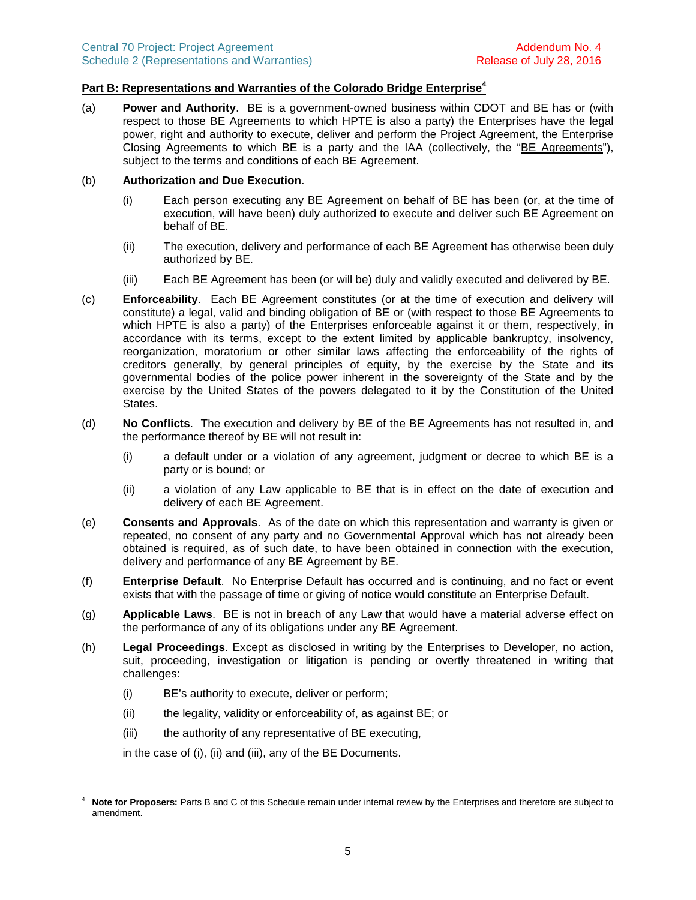# **Part B: Representations and Warranties of the Colorado Bridge Enterprise[4](#page-6-0)**

(a) **Power and Authority**. BE is a government-owned business within CDOT and BE has or (with respect to those BE Agreements to which HPTE is also a party) the Enterprises have the legal power, right and authority to execute, deliver and perform the Project Agreement, the Enterprise Closing Agreements to which BE is a party and the IAA (collectively, the "BE Agreements"), subject to the terms and conditions of each BE Agreement.

#### (b) **Authorization and Due Execution**.

- (i) Each person executing any BE Agreement on behalf of BE has been (or, at the time of execution, will have been) duly authorized to execute and deliver such BE Agreement on behalf of BE.
- (ii) The execution, delivery and performance of each BE Agreement has otherwise been duly authorized by BE.
- (iii) Each BE Agreement has been (or will be) duly and validly executed and delivered by BE.
- (c) **Enforceability**. Each BE Agreement constitutes (or at the time of execution and delivery will constitute) a legal, valid and binding obligation of BE or (with respect to those BE Agreements to which HPTE is also a party) of the Enterprises enforceable against it or them, respectively, in accordance with its terms, except to the extent limited by applicable bankruptcy, insolvency, reorganization, moratorium or other similar laws affecting the enforceability of the rights of creditors generally, by general principles of equity, by the exercise by the State and its governmental bodies of the police power inherent in the sovereignty of the State and by the exercise by the United States of the powers delegated to it by the Constitution of the United States.
- (d) **No Conflicts**. The execution and delivery by BE of the BE Agreements has not resulted in, and the performance thereof by BE will not result in:
	- (i) a default under or a violation of any agreement, judgment or decree to which BE is a party or is bound; or
	- (ii) a violation of any Law applicable to BE that is in effect on the date of execution and delivery of each BE Agreement.
- (e) **Consents and Approvals**. As of the date on which this representation and warranty is given or repeated, no consent of any party and no Governmental Approval which has not already been obtained is required, as of such date, to have been obtained in connection with the execution, delivery and performance of any BE Agreement by BE.
- (f) **Enterprise Default**. No Enterprise Default has occurred and is continuing, and no fact or event exists that with the passage of time or giving of notice would constitute an Enterprise Default.
- (g) **Applicable Laws**. BE is not in breach of any Law that would have a material adverse effect on the performance of any of its obligations under any BE Agreement.
- (h) **Legal Proceedings**. Except as disclosed in writing by the Enterprises to Developer, no action, suit, proceeding, investigation or litigation is pending or overtly threatened in writing that challenges:
	- (i) BE's authority to execute, deliver or perform;
	- (ii) the legality, validity or enforceability of, as against BE; or
	- (iii) the authority of any representative of BE executing,

in the case of (i), (ii) and (iii), any of the BE Documents.

<span id="page-6-0"></span>Note for Proposers: Parts B and C of this Schedule remain under internal review by the Enterprises and therefore are subject to amendment.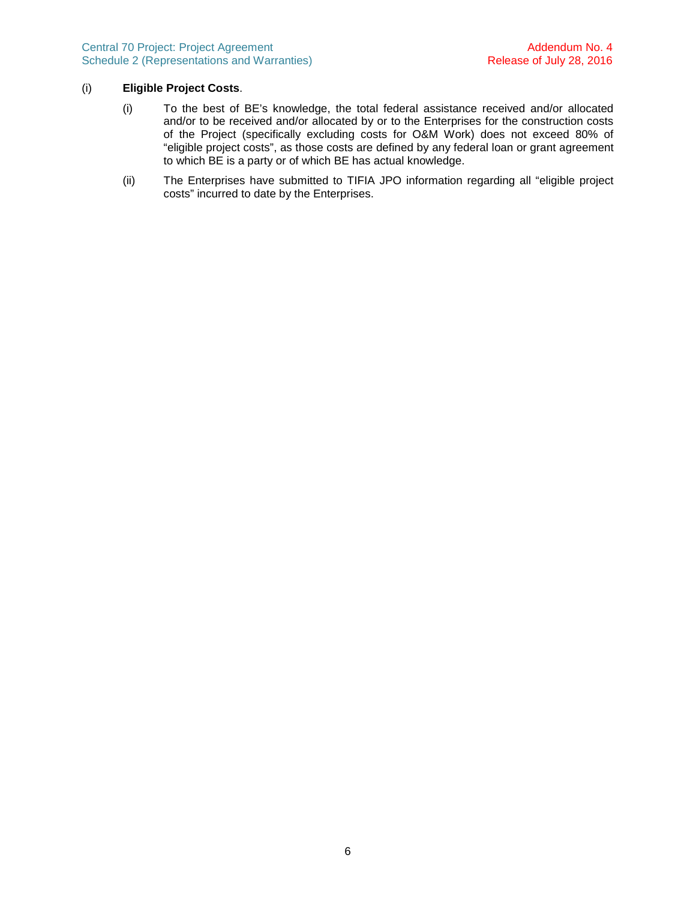## (i) **Eligible Project Costs**.

- (i) To the best of BE's knowledge, the total federal assistance received and/or allocated and/or to be received and/or allocated by or to the Enterprises for the construction costs of the Project (specifically excluding costs for O&M Work) does not exceed 80% of "eligible project costs", as those costs are defined by any federal loan or grant agreement to which BE is a party or of which BE has actual knowledge.
- (ii) The Enterprises have submitted to TIFIA JPO information regarding all "eligible project costs" incurred to date by the Enterprises.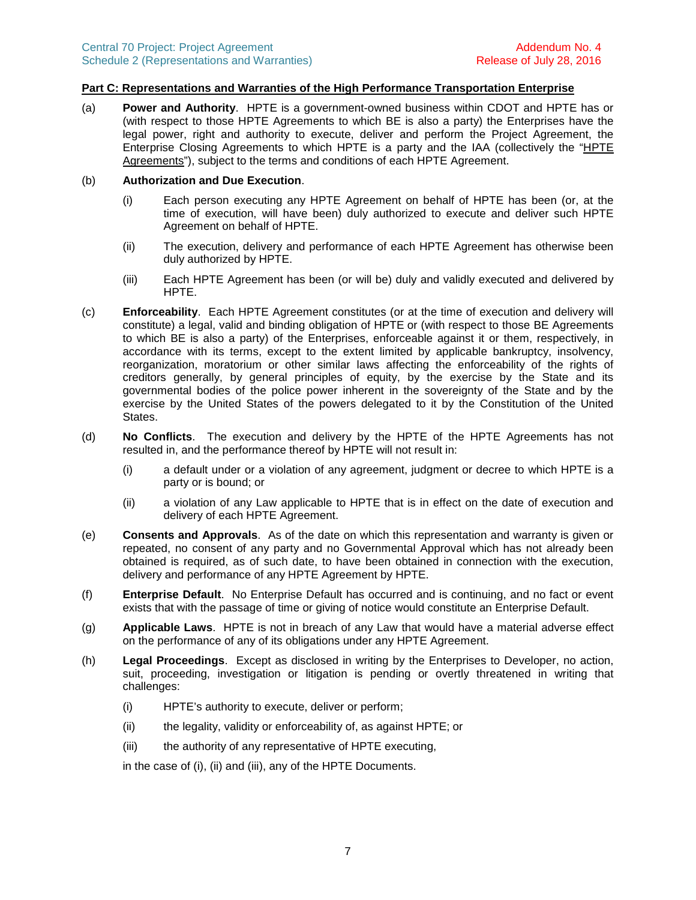## **Part C: Representations and Warranties of the High Performance Transportation Enterprise**

(a) **Power and Authority**. HPTE is a government-owned business within CDOT and HPTE has or (with respect to those HPTE Agreements to which BE is also a party) the Enterprises have the legal power, right and authority to execute, deliver and perform the Project Agreement, the Enterprise Closing Agreements to which HPTE is a party and the IAA (collectively the "HPTE Agreements"), subject to the terms and conditions of each HPTE Agreement.

#### (b) **Authorization and Due Execution**.

- (i) Each person executing any HPTE Agreement on behalf of HPTE has been (or, at the time of execution, will have been) duly authorized to execute and deliver such HPTE Agreement on behalf of HPTE.
- (ii) The execution, delivery and performance of each HPTE Agreement has otherwise been duly authorized by HPTE.
- (iii) Each HPTE Agreement has been (or will be) duly and validly executed and delivered by HPTE.
- (c) **Enforceability**. Each HPTE Agreement constitutes (or at the time of execution and delivery will constitute) a legal, valid and binding obligation of HPTE or (with respect to those BE Agreements to which BE is also a party) of the Enterprises, enforceable against it or them, respectively, in accordance with its terms, except to the extent limited by applicable bankruptcy, insolvency, reorganization, moratorium or other similar laws affecting the enforceability of the rights of creditors generally, by general principles of equity, by the exercise by the State and its governmental bodies of the police power inherent in the sovereignty of the State and by the exercise by the United States of the powers delegated to it by the Constitution of the United States.
- (d) **No Conflicts**. The execution and delivery by the HPTE of the HPTE Agreements has not resulted in, and the performance thereof by HPTE will not result in:
	- (i) a default under or a violation of any agreement, judgment or decree to which HPTE is a party or is bound; or
	- (ii) a violation of any Law applicable to HPTE that is in effect on the date of execution and delivery of each HPTE Agreement.
- (e) **Consents and Approvals**. As of the date on which this representation and warranty is given or repeated, no consent of any party and no Governmental Approval which has not already been obtained is required, as of such date, to have been obtained in connection with the execution, delivery and performance of any HPTE Agreement by HPTE.
- (f) **Enterprise Default**. No Enterprise Default has occurred and is continuing, and no fact or event exists that with the passage of time or giving of notice would constitute an Enterprise Default.
- (g) **Applicable Laws**. HPTE is not in breach of any Law that would have a material adverse effect on the performance of any of its obligations under any HPTE Agreement.
- (h) **Legal Proceedings**. Except as disclosed in writing by the Enterprises to Developer, no action, suit, proceeding, investigation or litigation is pending or overtly threatened in writing that challenges:
	- (i) HPTE's authority to execute, deliver or perform;
	- (ii) the legality, validity or enforceability of, as against HPTE; or
	- (iii) the authority of any representative of HPTE executing,

in the case of (i), (ii) and (iii), any of the HPTE Documents.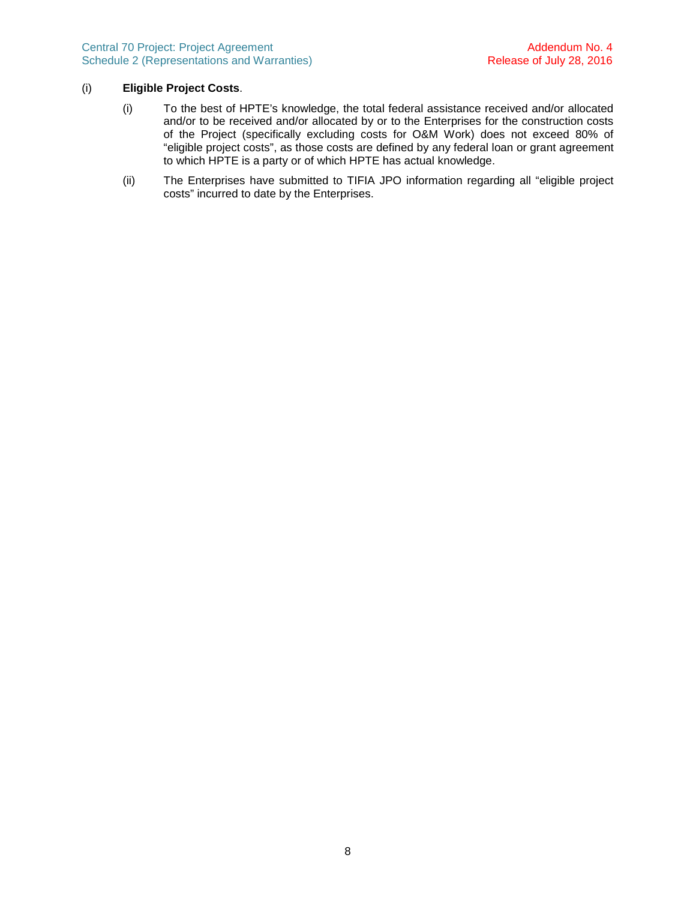## (i) **Eligible Project Costs**.

- (i) To the best of HPTE's knowledge, the total federal assistance received and/or allocated and/or to be received and/or allocated by or to the Enterprises for the construction costs of the Project (specifically excluding costs for O&M Work) does not exceed 80% of "eligible project costs", as those costs are defined by any federal loan or grant agreement to which HPTE is a party or of which HPTE has actual knowledge.
- (ii) The Enterprises have submitted to TIFIA JPO information regarding all "eligible project costs" incurred to date by the Enterprises.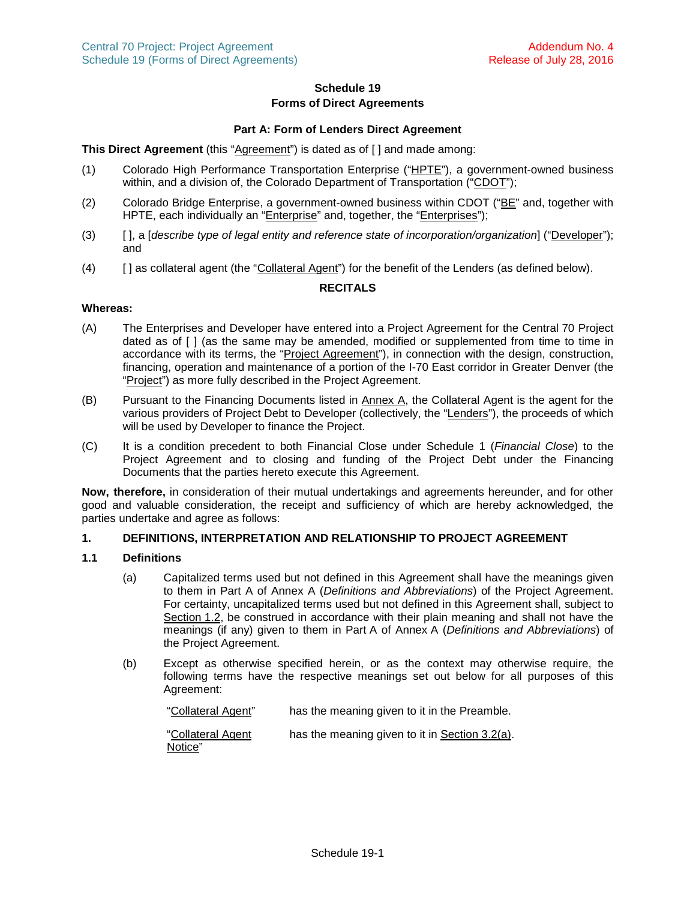# **Schedule 19 Forms of Direct Agreements**

## **Part A: Form of Lenders Direct Agreement**

# **This Direct Agreement** (this "Agreement") is dated as of [ ] and made among:

- (1) Colorado High Performance Transportation Enterprise ("HPTE"), a government-owned business within, and a division of, the Colorado Department of Transportation ("CDOT");
- (2) Colorado Bridge Enterprise, a government-owned business within CDOT ("BE" and, together with HPTE, each individually an "Enterprise" and, together, the "Enterprises");
- (3) [ ], a [*describe type of legal entity and reference state of incorporation/organization*] ("Developer"); and
- (4) [ ] as collateral agent (the "Collateral Agent") for the benefit of the Lenders (as defined below).

# **RECITALS**

#### **Whereas:**

- (A) The Enterprises and Developer have entered into a Project Agreement for the Central 70 Project dated as of [ ] (as the same may be amended, modified or supplemented from time to time in accordance with its terms, the "Project Agreement"), in connection with the design, construction, financing, operation and maintenance of a portion of the I-70 East corridor in Greater Denver (the "Project") as more fully described in the Project Agreement.
- (B) Pursuant to the Financing Documents listed in Annex A, the Collateral Agent is the agent for the various providers of Project Debt to Developer (collectively, the "Lenders"), the proceeds of which will be used by Developer to finance the Project.
- (C) It is a condition precedent to both Financial Close under Schedule 1 (*Financial Close*) to the Project Agreement and to closing and funding of the Project Debt under the Financing Documents that the parties hereto execute this Agreement.

**Now, therefore,** in consideration of their mutual undertakings and agreements hereunder, and for other good and valuable consideration, the receipt and sufficiency of which are hereby acknowledged, the parties undertake and agree as follows:

### **1. DEFINITIONS, INTERPRETATION AND RELATIONSHIP TO PROJECT AGREEMENT**

# **1.1 Definitions**

- (a) Capitalized terms used but not defined in this Agreement shall have the meanings given to them in Part A of Annex A (*Definitions and Abbreviations*) of the Project Agreement. For certainty, uncapitalized terms used but not defined in this Agreement shall, subject to Section [1.2,](#page-13-0) be construed in accordance with their plain meaning and shall not have the meanings (if any) given to them in Part A of Annex A (*Definitions and Abbreviations*) of the Project Agreement.
- (b) Except as otherwise specified herein, or as the context may otherwise require, the following terms have the respective meanings set out below for all purposes of this Agreement:

"Collateral Agent" has the meaning given to it in the Preamble.

"Collateral Agent Notice" has the meaning given to it in Section [3.2\(a\).](#page-16-0)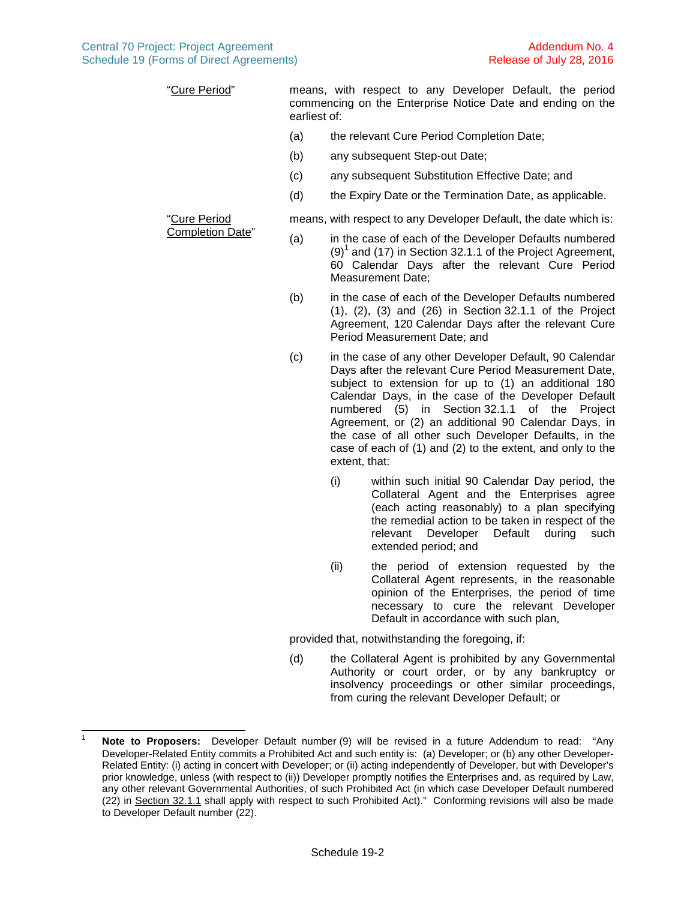"Cure Period" means, with respect to any Developer Default, the period commencing on the Enterprise Notice Date and ending on the earliest of:

- (a) the relevant Cure Period Completion Date;
- (b) any subsequent Step-out Date;
- (c) any subsequent Substitution Effective Date; and
- (d) the Expiry Date or the Termination Date, as applicable.

means, with respect to any Developer Default, the date which is:

- (a) in the case of each of the Developer Defaults numbered  $(9)^{1}$  $(9)^{1}$  $(9)^{1}$  and (17) in Section 32.1.1 of the Project Agreement, 60 Calendar Days after the relevant Cure Period Measurement Date;
- (b) in the case of each of the Developer Defaults numbered (1), (2), (3) and (26) in Section 32.1.1 of the Project Agreement, 120 Calendar Days after the relevant Cure Period Measurement Date; and
- <span id="page-11-1"></span>(c) in the case of any other Developer Default, 90 Calendar Days after the relevant Cure Period Measurement Date, subject to extension for up to (1) an additional 180 Calendar Days, in the case of the Developer Default numbered (5) in Section 32.1.1 of the Project Agreement, or (2) an additional 90 Calendar Days, in the case of all other such Developer Defaults, in the case of each of (1) and (2) to the extent, and only to the extent, that:
	- (i) within such initial 90 Calendar Day period, the Collateral Agent and the Enterprises agree (each acting reasonably) to a plan specifying the remedial action to be taken in respect of the relevant Developer Default during such extended period; and
	- (ii) the period of extension requested by the Collateral Agent represents, in the reasonable opinion of the Enterprises, the period of time necessary to cure the relevant Developer Default in accordance with such plan,

provided that, notwithstanding the foregoing, if:

<span id="page-11-2"></span>(d) the Collateral Agent is prohibited by any Governmental Authority or court order, or by any bankruptcy or insolvency proceedings or other similar proceedings, from curing the relevant Developer Default; or

"Cure Period Completion Date"

<span id="page-11-0"></span><sup>1</sup> **Note to Proposers:** Developer Default number (9) will be revised in a future Addendum to read: "Any Developer-Related Entity commits a Prohibited Act and such entity is: (a) Developer; or (b) any other Developer-Related Entity: (i) acting in concert with Developer; or (ii) acting independently of Developer, but with Developer's prior knowledge, unless (with respect to (ii)) Developer promptly notifies the Enterprises and, as required by Law, any other relevant Governmental Authorities, of such Prohibited Act (in which case Developer Default numbered (22) in Section 32.1.1 shall apply with respect to such Prohibited Act)." Conforming revisions will also be made to Developer Default number (22).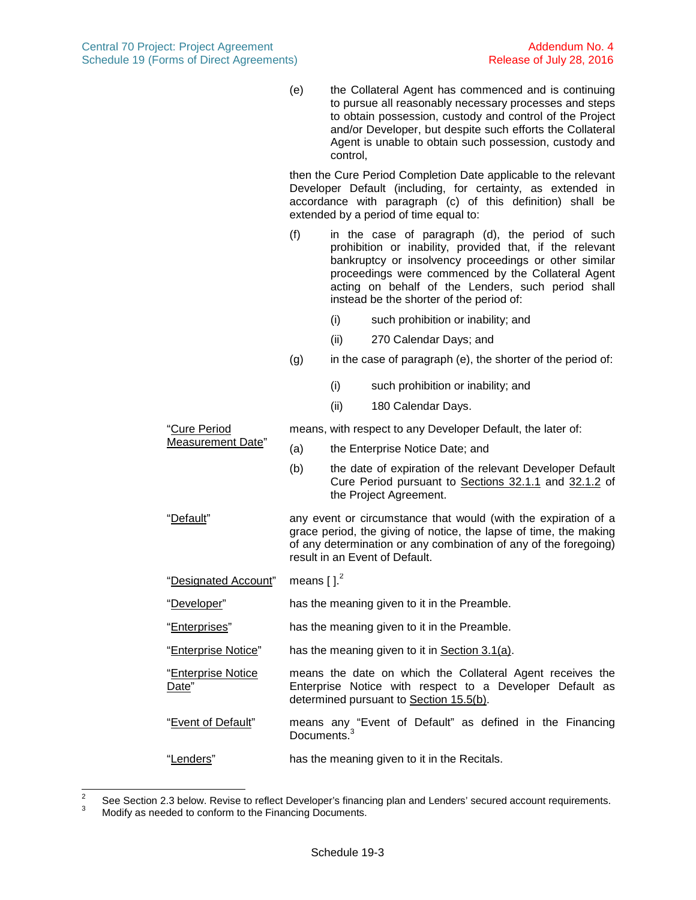<span id="page-12-0"></span>(e) the Collateral Agent has commenced and is continuing to pursue all reasonably necessary processes and steps to obtain possession, custody and control of the Project and/or Developer, but despite such efforts the Collateral Agent is unable to obtain such possession, custody and control,

then the Cure Period Completion Date applicable to the relevant Developer Default (including, for certainty, as extended in accordance with paragraph [\(c\)](#page-11-1) of this definition) shall be extended by a period of time equal to:

- (f) in the case of paragraph [\(d\)](#page-11-2), the period of such prohibition or inability, provided that, if the relevant bankruptcy or insolvency proceedings or other similar proceedings were commenced by the Collateral Agent acting on behalf of the Lenders, such period shall instead be the shorter of the period of:
	- (i) such prohibition or inability; and
	- (ii) 270 Calendar Days; and
- $(q)$  in the case of paragraph [\(e\),](#page-12-0) the shorter of the period of:
	- (i) such prohibition or inability; and
	- (ii) 180 Calendar Days.

"Cure Period Measurement Date" means, with respect to any Developer Default, the later of: (a) the Enterprise Notice Date; and (b) the date of expiration of the relevant Developer Default Cure Period pursuant to Sections 32.1.1 and 32.1.2 of the Project Agreement. "Default" any event or circumstance that would (with the expiration of a grace period, the giving of notice, the lapse of time, the making of any determination or any combination of any of the foregoing) result in an Event of Default. "Designated Account" means [].<sup>[2](#page-12-1)</sup> "Developer" has the meaning given to it in the Preamble. "Enterprises" has the meaning given to it in the Preamble. "Enterprise Notice" has the meaning given to it in Section [3.1\(a\).](#page-16-1) "Enterprise Notice Date" means the date on which the Collateral Agent receives the Enterprise Notice with respect to a Developer Default as determined pursuant to Section [15.5\(b\)](#page-28-0). "Event of Default" means any "Event of Default" as defined in the Financing Documents.<sup>[3](#page-12-2)</sup> "Lenders" has the meaning given to it in the Recitals.

<span id="page-12-2"></span><span id="page-12-1"></span><sup>2</sup> See Section 2.3 below. Revise to reflect Developer's financing plan and Lenders' secured account requirements.

Modify as needed to conform to the Financing Documents.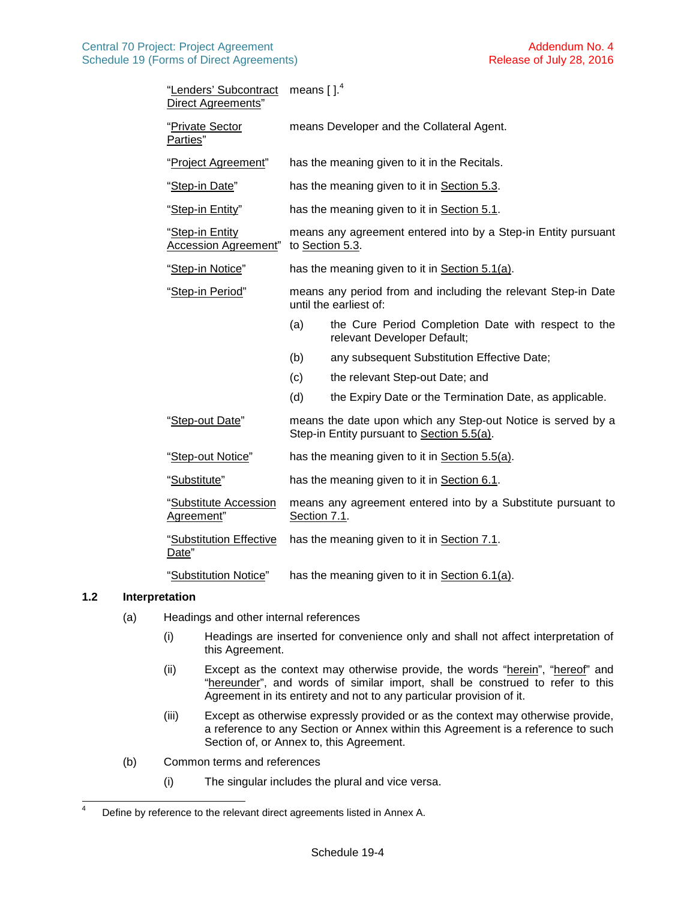| "Lenders' Subcontract<br>Direct Agreements"    | means $[$ ]. <sup>4</sup>                                                               |                                                                                                            |  |
|------------------------------------------------|-----------------------------------------------------------------------------------------|------------------------------------------------------------------------------------------------------------|--|
| "Private Sector<br>Parties"                    | means Developer and the Collateral Agent.                                               |                                                                                                            |  |
| "Project Agreement"                            | has the meaning given to it in the Recitals.                                            |                                                                                                            |  |
| "Step-in Date"                                 | has the meaning given to it in Section 5.3.                                             |                                                                                                            |  |
| "Step-in Entity"                               | has the meaning given to it in Section 5.1.                                             |                                                                                                            |  |
| "Step-in Entity<br><b>Accession Agreement"</b> | means any agreement entered into by a Step-in Entity pursuant<br>to Section 5.3.        |                                                                                                            |  |
| "Step-in Notice"                               | has the meaning given to it in Section 5.1(a).                                          |                                                                                                            |  |
| "Step-in Period"                               | means any period from and including the relevant Step-in Date<br>until the earliest of: |                                                                                                            |  |
|                                                | (a)                                                                                     | the Cure Period Completion Date with respect to the<br>relevant Developer Default;                         |  |
|                                                | (b)                                                                                     | any subsequent Substitution Effective Date;                                                                |  |
|                                                | (c)                                                                                     | the relevant Step-out Date; and                                                                            |  |
|                                                | (d)                                                                                     | the Expiry Date or the Termination Date, as applicable.                                                    |  |
| "Step-out Date"                                |                                                                                         | means the date upon which any Step-out Notice is served by a<br>Step-in Entity pursuant to Section 5.5(a). |  |
| "Step-out Notice"                              | has the meaning given to it in Section 5.5(a).                                          |                                                                                                            |  |
| "Substitute"                                   | has the meaning given to it in Section 6.1.                                             |                                                                                                            |  |
| "Substitute Accession<br>Agreement"            | means any agreement entered into by a Substitute pursuant to<br>Section 7.1.            |                                                                                                            |  |
| "Substitution Effective<br>Date"               | has the meaning given to it in Section 7.1.                                             |                                                                                                            |  |
| "Substitution Notice"                          | has the meaning given to it in Section 6.1(a).                                          |                                                                                                            |  |

### **1.2 Interpretation**

- <span id="page-13-0"></span>(a) Headings and other internal references
	- (i) Headings are inserted for convenience only and shall not affect interpretation of this Agreement.
	- (ii) Except as the context may otherwise provide, the words "herein", "hereof" and "hereunder", and words of similar import, shall be construed to refer to this Agreement in its entirety and not to any particular provision of it.
	- (iii) Except as otherwise expressly provided or as the context may otherwise provide, a reference to any Section or Annex within this Agreement is a reference to such Section of, or Annex to, this Agreement.
- (b) Common terms and references
	- (i) The singular includes the plural and vice versa.

<span id="page-13-1"></span><sup>&</sup>lt;sup>4</sup> Define by reference to the relevant direct agreements listed in Annex A.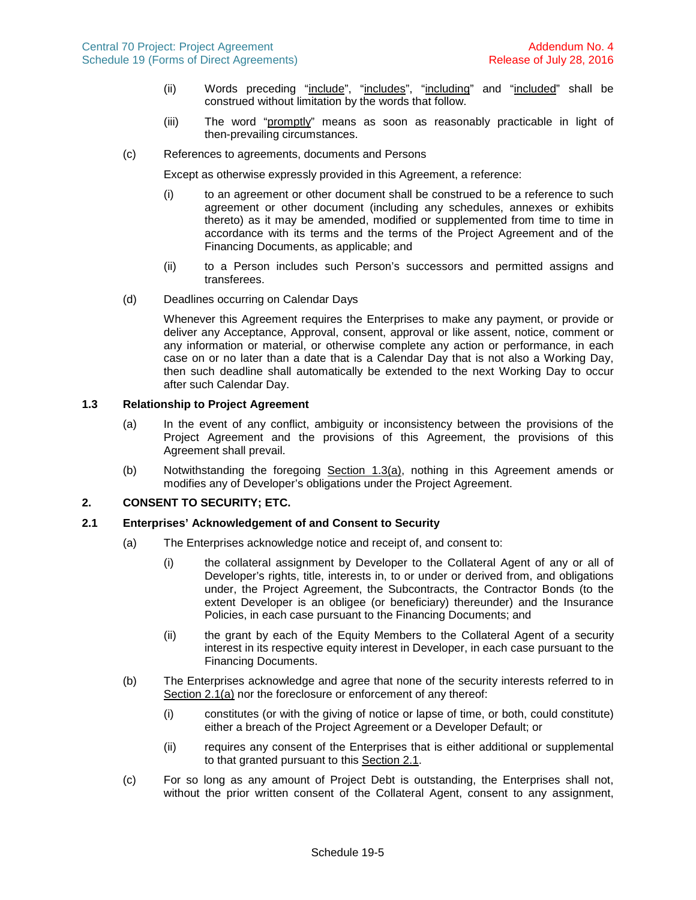- (ii) Words preceding "include", "includes", "including" and "included" shall be construed without limitation by the words that follow.
- (iii) The word "promptly" means as soon as reasonably practicable in light of then-prevailing circumstances.
- (c) References to agreements, documents and Persons

Except as otherwise expressly provided in this Agreement, a reference:

- (i) to an agreement or other document shall be construed to be a reference to such agreement or other document (including any schedules, annexes or exhibits thereto) as it may be amended, modified or supplemented from time to time in accordance with its terms and the terms of the Project Agreement and of the Financing Documents, as applicable; and
- (ii) to a Person includes such Person's successors and permitted assigns and transferees.
- (d) Deadlines occurring on Calendar Days

Whenever this Agreement requires the Enterprises to make any payment, or provide or deliver any Acceptance, Approval, consent, approval or like assent, notice, comment or any information or material, or otherwise complete any action or performance, in each case on or no later than a date that is a Calendar Day that is not also a Working Day, then such deadline shall automatically be extended to the next Working Day to occur after such Calendar Day.

#### **1.3 Relationship to Project Agreement**

- <span id="page-14-0"></span>(a) In the event of any conflict, ambiguity or inconsistency between the provisions of the Project Agreement and the provisions of this Agreement, the provisions of this Agreement shall prevail.
- <span id="page-14-3"></span>(b) Notwithstanding the foregoing Section [1.3\(a\)](#page-14-0), nothing in this Agreement amends or modifies any of Developer's obligations under the Project Agreement.

# **2. CONSENT TO SECURITY; ETC.**

#### **2.1 Enterprises' Acknowledgement of and Consent to Security**

- <span id="page-14-2"></span><span id="page-14-1"></span>(a) The Enterprises acknowledge notice and receipt of, and consent to:
	- (i) the collateral assignment by Developer to the Collateral Agent of any or all of Developer's rights, title, interests in, to or under or derived from, and obligations under, the Project Agreement, the Subcontracts, the Contractor Bonds (to the extent Developer is an obligee (or beneficiary) thereunder) and the Insurance Policies, in each case pursuant to the Financing Documents; and
	- (ii) the grant by each of the Equity Members to the Collateral Agent of a security interest in its respective equity interest in Developer, in each case pursuant to the Financing Documents.
- (b) The Enterprises acknowledge and agree that none of the security interests referred to in Section [2.1\(a\)](#page-14-1) nor the foreclosure or enforcement of any thereof:
	- (i) constitutes (or with the giving of notice or lapse of time, or both, could constitute) either a breach of the Project Agreement or a Developer Default; or
	- (ii) requires any consent of the Enterprises that is either additional or supplemental to that granted pursuant to this Section [2.1.](#page-14-2)
- (c) For so long as any amount of Project Debt is outstanding, the Enterprises shall not, without the prior written consent of the Collateral Agent, consent to any assignment,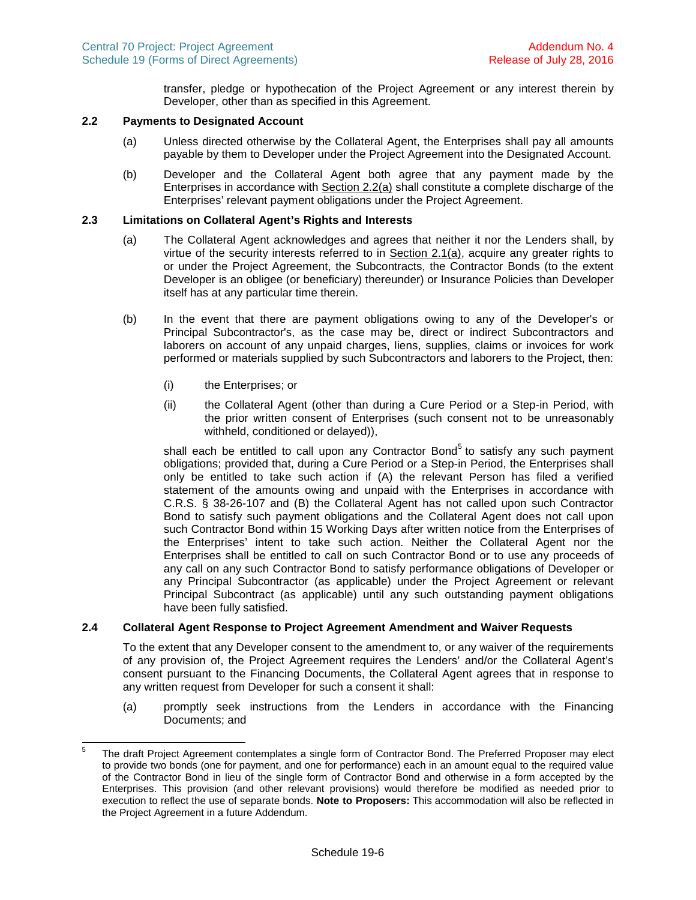transfer, pledge or hypothecation of the Project Agreement or any interest therein by Developer, other than as specified in this Agreement.

### **2.2 Payments to Designated Account**

- <span id="page-15-0"></span>(a) Unless directed otherwise by the Collateral Agent, the Enterprises shall pay all amounts payable by them to Developer under the Project Agreement into the Designated Account.
- (b) Developer and the Collateral Agent both agree that any payment made by the Enterprises in accordance with Section [2.2\(a\)](#page-15-0) shall constitute a complete discharge of the Enterprises' relevant payment obligations under the Project Agreement.

#### **2.3 Limitations on Collateral Agent's Rights and Interests**

- (a) The Collateral Agent acknowledges and agrees that neither it nor the Lenders shall, by virtue of the security interests referred to in Section [2.1\(a\),](#page-14-1) acquire any greater rights to or under the Project Agreement, the Subcontracts, the Contractor Bonds (to the extent Developer is an obligee (or beneficiary) thereunder) or Insurance Policies than Developer itself has at any particular time therein.
- <span id="page-15-2"></span>(b) In the event that there are payment obligations owing to any of the Developer's or Principal Subcontractor's, as the case may be, direct or indirect Subcontractors and laborers on account of any unpaid charges, liens, supplies, claims or invoices for work performed or materials supplied by such Subcontractors and laborers to the Project, then:
	- (i) the Enterprises; or
	- (ii) the Collateral Agent (other than during a Cure Period or a Step-in Period, with the prior written consent of Enterprises (such consent not to be unreasonably withheld, conditioned or delayed)),

shall each be entitled to call upon any Contractor Bond<sup>[5](#page-15-1)</sup> to satisfy any such payment obligations; provided that, during a Cure Period or a Step-in Period, the Enterprises shall only be entitled to take such action if (A) the relevant Person has filed a verified statement of the amounts owing and unpaid with the Enterprises in accordance with C.R.S. § 38-26-107 and (B) the Collateral Agent has not called upon such Contractor Bond to satisfy such payment obligations and the Collateral Agent does not call upon such Contractor Bond within 15 Working Days after written notice from the Enterprises of the Enterprises' intent to take such action. Neither the Collateral Agent nor the Enterprises shall be entitled to call on such Contractor Bond or to use any proceeds of any call on any such Contractor Bond to satisfy performance obligations of Developer or any Principal Subcontractor (as applicable) under the Project Agreement or relevant Principal Subcontract (as applicable) until any such outstanding payment obligations have been fully satisfied.

### **2.4 Collateral Agent Response to Project Agreement Amendment and Waiver Requests**

To the extent that any Developer consent to the amendment to, or any waiver of the requirements of any provision of, the Project Agreement requires the Lenders' and/or the Collateral Agent's consent pursuant to the Financing Documents, the Collateral Agent agrees that in response to any written request from Developer for such a consent it shall:

(a) promptly seek instructions from the Lenders in accordance with the Financing Documents; and

<span id="page-15-1"></span><sup>5</sup> The draft Project Agreement contemplates a single form of Contractor Bond. The Preferred Proposer may elect to provide two bonds (one for payment, and one for performance) each in an amount equal to the required value of the Contractor Bond in lieu of the single form of Contractor Bond and otherwise in a form accepted by the Enterprises. This provision (and other relevant provisions) would therefore be modified as needed prior to execution to reflect the use of separate bonds. **Note to Proposers:** This accommodation will also be reflected in the Project Agreement in a future Addendum.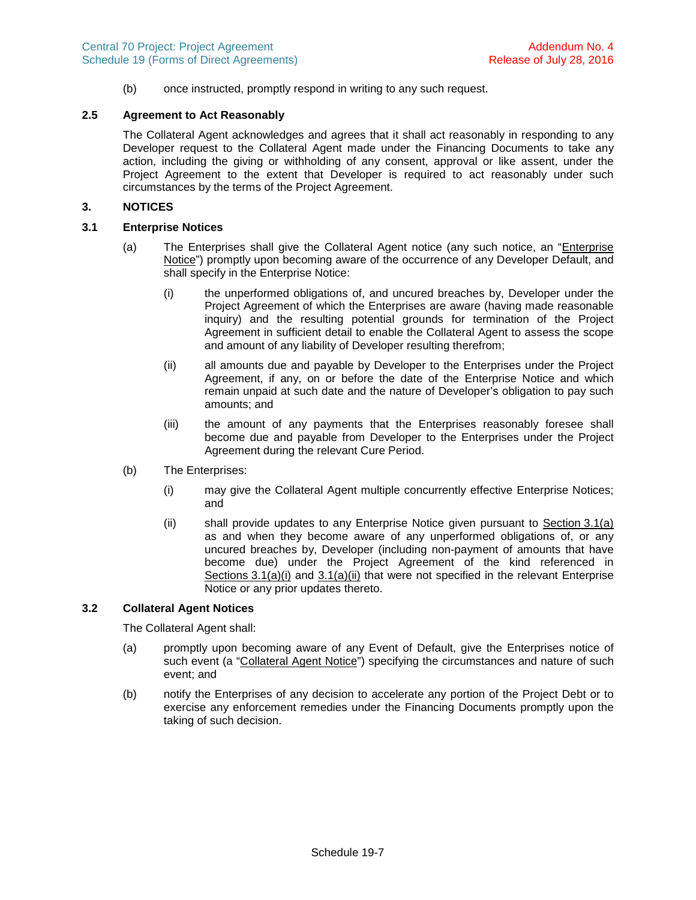(b) once instructed, promptly respond in writing to any such request.

# **2.5 Agreement to Act Reasonably**

The Collateral Agent acknowledges and agrees that it shall act reasonably in responding to any Developer request to the Collateral Agent made under the Financing Documents to take any action, including the giving or withholding of any consent, approval or like assent, under the Project Agreement to the extent that Developer is required to act reasonably under such circumstances by the terms of the Project Agreement.

## **3. NOTICES**

# **3.1 Enterprise Notices**

- <span id="page-16-3"></span><span id="page-16-2"></span><span id="page-16-1"></span>(a) The Enterprises shall give the Collateral Agent notice (any such notice, an "Enterprise Notice") promptly upon becoming aware of the occurrence of any Developer Default, and shall specify in the Enterprise Notice:
	- (i) the unperformed obligations of, and uncured breaches by, Developer under the Project Agreement of which the Enterprises are aware (having made reasonable inquiry) and the resulting potential grounds for termination of the Project Agreement in sufficient detail to enable the Collateral Agent to assess the scope and amount of any liability of Developer resulting therefrom;
	- (ii) all amounts due and payable by Developer to the Enterprises under the Project Agreement, if any, on or before the date of the Enterprise Notice and which remain unpaid at such date and the nature of Developer's obligation to pay such amounts; and
	- (iii) the amount of any payments that the Enterprises reasonably foresee shall become due and payable from Developer to the Enterprises under the Project Agreement during the relevant Cure Period.
- (b) The Enterprises:
	- (i) may give the Collateral Agent multiple concurrently effective Enterprise Notices; and
	- (ii) shall provide updates to any Enterprise Notice given pursuant to Section [3.1\(a\)](#page-16-1) as and when they become aware of any unperformed obligations of, or any uncured breaches by, Developer (including non-payment of amounts that have become due) under the Project Agreement of the kind referenced in Sections [3.1\(a\)\(i\)](#page-16-2)and [3.1\(a\)\(ii\)](#page-16-3) that were not specified in the relevant Enterprise Notice or any prior updates thereto.

### **3.2 Collateral Agent Notices**

The Collateral Agent shall:

- <span id="page-16-0"></span>(a) promptly upon becoming aware of any Event of Default, give the Enterprises notice of such event (a "Collateral Agent Notice") specifying the circumstances and nature of such event; and
- (b) notify the Enterprises of any decision to accelerate any portion of the Project Debt or to exercise any enforcement remedies under the Financing Documents promptly upon the taking of such decision.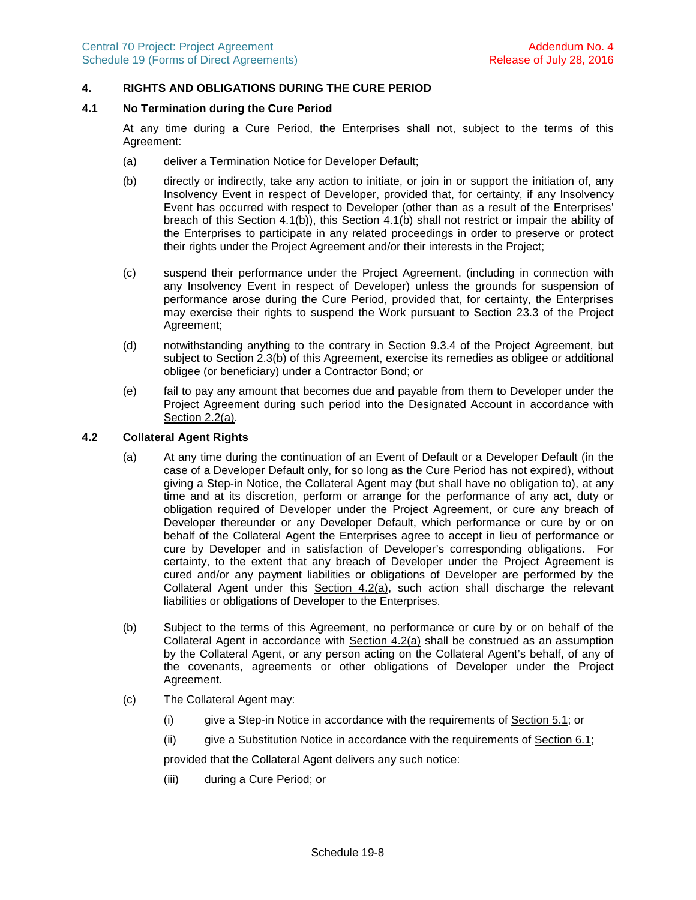# **4. RIGHTS AND OBLIGATIONS DURING THE CURE PERIOD**

### **4.1 No Termination during the Cure Period**

<span id="page-17-3"></span>At any time during a Cure Period, the Enterprises shall not, subject to the terms of this Agreement:

- (a) deliver a Termination Notice for Developer Default;
- <span id="page-17-0"></span>(b) directly or indirectly, take any action to initiate, or join in or support the initiation of, any Insolvency Event in respect of Developer, provided that, for certainty, if any Insolvency Event has occurred with respect to Developer (other than as a result of the Enterprises' breach of this Section [4.1\(b\)](#page-17-0)), this Section [4.1\(b\)](#page-17-0) shall not restrict or impair the ability of the Enterprises to participate in any related proceedings in order to preserve or protect their rights under the Project Agreement and/or their interests in the Project;
- (c) suspend their performance under the Project Agreement, (including in connection with any Insolvency Event in respect of Developer) unless the grounds for suspension of performance arose during the Cure Period, provided that, for certainty, the Enterprises may exercise their rights to suspend the Work pursuant to Section 23.3 of the Project Agreement;
- (d) notwithstanding anything to the contrary in Section 9.3.4 of the Project Agreement, but subject to Section [2.3\(b\)](#page-15-2) of this Agreement, exercise its remedies as obligee or additional obligee (or beneficiary) under a Contractor Bond; or
- (e) fail to pay any amount that becomes due and payable from them to Developer under the Project Agreement during such period into the Designated Account in accordance with Section [2.2\(a\)](#page-15-0).

# **4.2 Collateral Agent Rights**

- <span id="page-17-1"></span>(a) At any time during the continuation of an Event of Default or a Developer Default (in the case of a Developer Default only, for so long as the Cure Period has not expired), without giving a Step-in Notice, the Collateral Agent may (but shall have no obligation to), at any time and at its discretion, perform or arrange for the performance of any act, duty or obligation required of Developer under the Project Agreement, or cure any breach of Developer thereunder or any Developer Default, which performance or cure by or on behalf of the Collateral Agent the Enterprises agree to accept in lieu of performance or cure by Developer and in satisfaction of Developer's corresponding obligations. For certainty, to the extent that any breach of Developer under the Project Agreement is cured and/or any payment liabilities or obligations of Developer are performed by the Collateral Agent under this Section 4.2(a), such action shall discharge the relevant liabilities or obligations of Developer to the Enterprises.
- (b) Subject to the terms of this Agreement, no performance or cure by or on behalf of the Collateral Agent in accordance with Section [4.2\(a\)](#page-17-1) shall be construed as an assumption by the Collateral Agent, or any person acting on the Collateral Agent's behalf, of any of the covenants, agreements or other obligations of Developer under the Project Agreement.
- <span id="page-17-2"></span>(c) The Collateral Agent may:
	- (i) give a Step-in Notice in accordance with the requirements of Section [5.1;](#page-18-1) or
	- (ii) give a Substitution Notice in accordance with the requirements of Section [6.1](#page-20-1);

provided that the Collateral Agent delivers any such notice:

(iii) during a Cure Period; or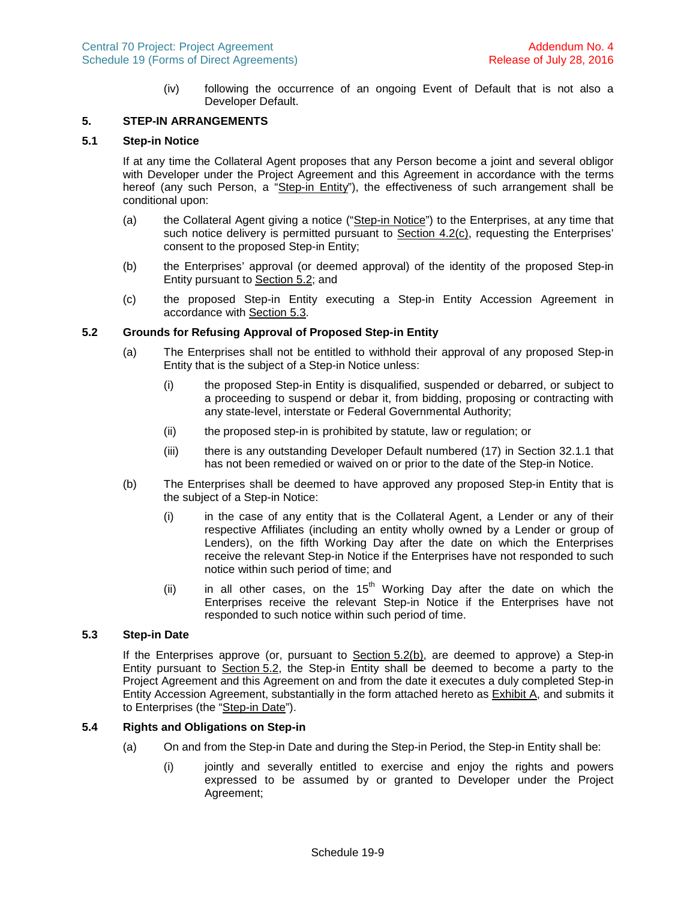(iv) following the occurrence of an ongoing Event of Default that is not also a Developer Default.

### <span id="page-18-6"></span>**5. STEP-IN ARRANGEMENTS**

# **5.1 Step-in Notice**

<span id="page-18-1"></span>If at any time the Collateral Agent proposes that any Person become a joint and several obligor with Developer under the Project Agreement and this Agreement in accordance with the terms hereof (any such Person, a "Step-in Entity"), the effectiveness of such arrangement shall be conditional upon:

- <span id="page-18-2"></span>(a) the Collateral Agent giving a notice ("Step-in Notice") to the Enterprises, at any time that such notice delivery is permitted pursuant to Section [4.2\(c\)](#page-17-2), requesting the Enterprises' consent to the proposed Step-in Entity;
- (b) the Enterprises' approval (or deemed approval) of the identity of the proposed Step-in Entity pursuant to Section [5.2;](#page-18-3) and
- <span id="page-18-3"></span>(c) the proposed Step-in Entity executing a Step-in Entity Accession Agreement in accordance with Section [5.3](#page-18-0).

### **5.2 Grounds for Refusing Approval of Proposed Step-in Entity**

- (a) The Enterprises shall not be entitled to withhold their approval of any proposed Step-in Entity that is the subject of a Step-in Notice unless:
	- (i) the proposed Step-in Entity is disqualified, suspended or debarred, or subject to a proceeding to suspend or debar it, from bidding, proposing or contracting with any state-level, interstate or Federal Governmental Authority;
	- (ii) the proposed step-in is prohibited by statute, law or regulation; or
	- (iii) there is any outstanding Developer Default numbered (17) in Section 32.1.1 that has not been remedied or waived on or prior to the date of the Step-in Notice.
- <span id="page-18-4"></span>(b) The Enterprises shall be deemed to have approved any proposed Step-in Entity that is the subject of a Step-in Notice:
	- (i) in the case of any entity that is the Collateral Agent, a Lender or any of their respective Affiliates (including an entity wholly owned by a Lender or group of Lenders), on the fifth Working Day after the date on which the Enterprises receive the relevant Step-in Notice if the Enterprises have not responded to such notice within such period of time; and
	- (ii) in all other cases, on the  $15<sup>th</sup>$  Working Day after the date on which the Enterprises receive the relevant Step-in Notice if the Enterprises have not responded to such notice within such period of time.

## **5.3 Step-in Date**

<span id="page-18-0"></span>If the Enterprises approve (or, pursuant to Section [5.2\(b\),](#page-18-4) are deemed to approve) a Step-in Entity pursuant to Section 5.2, the Step-in Entity shall be deemed to become a party to the Project Agreement and this Agreement on and from the date it executes a duly completed Step-in Entity Accession Agreement, substantially in the form attached hereto as **Exhibit A**, and submits it to Enterprises (the "Step-in Date").

#### **5.4 Rights and Obligations on Step-in**

- <span id="page-18-5"></span>(a) On and from the Step-in Date and during the Step-in Period, the Step-in Entity shall be:
	- (i) jointly and severally entitled to exercise and enjoy the rights and powers expressed to be assumed by or granted to Developer under the Project Agreement;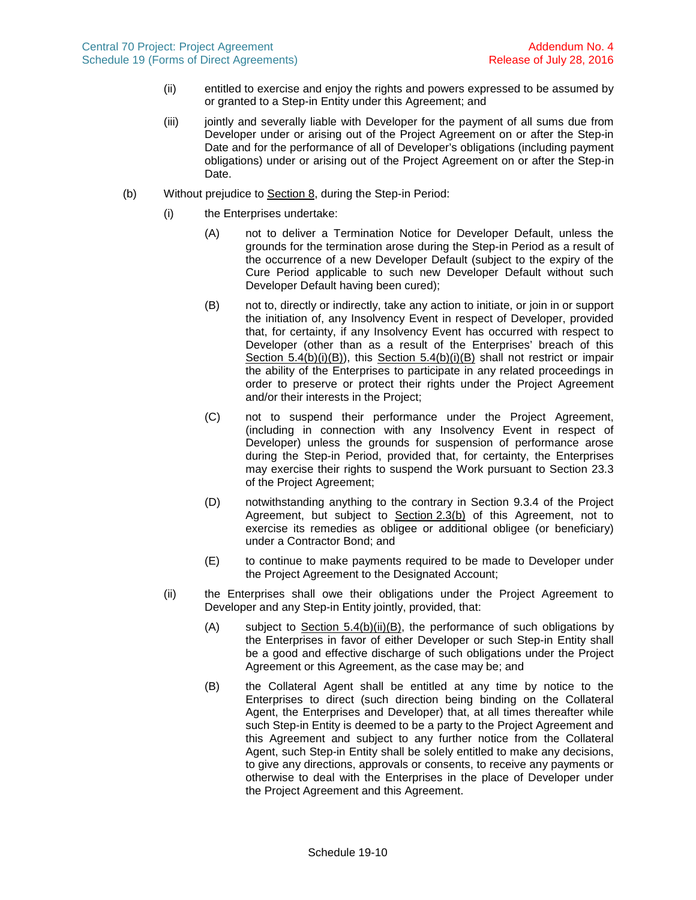- (ii) entitled to exercise and enjoy the rights and powers expressed to be assumed by or granted to a Step-in Entity under this Agreement; and
- (iii) jointly and severally liable with Developer for the payment of all sums due from Developer under or arising out of the Project Agreement on or after the Step-in Date and for the performance of all of Developer's obligations (including payment obligations) under or arising out of the Project Agreement on or after the Step-in Date.
- <span id="page-19-1"></span><span id="page-19-0"></span>(b) Without prejudice to Section [8,](#page-23-0) during the Step-in Period:
	- (i) the Enterprises undertake:
		- (A) not to deliver a Termination Notice for Developer Default, unless the grounds for the termination arose during the Step-in Period as a result of the occurrence of a new Developer Default (subject to the expiry of the Cure Period applicable to such new Developer Default without such Developer Default having been cured);
		- (B) not to, directly or indirectly, take any action to initiate, or join in or support the initiation of, any Insolvency Event in respect of Developer, provided that, for certainty, if any Insolvency Event has occurred with respect to Developer (other than as a result of the Enterprises' breach of this Section [5.4\(b\)\(i\)\(B\)](#page-19-0)), this Section [5.4\(b\)\(i\)\(B\)](#page-19-0) shall not restrict or impair the ability of the Enterprises to participate in any related proceedings in order to preserve or protect their rights under the Project Agreement and/or their interests in the Project;
		- (C) not to suspend their performance under the Project Agreement, (including in connection with any Insolvency Event in respect of Developer) unless the grounds for suspension of performance arose during the Step-in Period, provided that, for certainty, the Enterprises may exercise their rights to suspend the Work pursuant to Section 23.3 of the Project Agreement;
		- (D) notwithstanding anything to the contrary in Section 9.3.4 of the Project Agreement, but subject to Section [2.3\(b\)](#page-15-2) of this Agreement, not to exercise its remedies as obligee or additional obligee (or beneficiary) under a Contractor Bond; and
		- (E) to continue to make payments required to be made to Developer under the Project Agreement to the Designated Account;
	- (ii) the Enterprises shall owe their obligations under the Project Agreement to Developer and any Step-in Entity jointly, provided, that:
		- (A) subject to Section [5.4\(b\)\(ii\)\(B\)](#page-19-1), the performance of such obligations by the Enterprises in favor of either Developer or such Step-in Entity shall be a good and effective discharge of such obligations under the Project Agreement or this Agreement, as the case may be; and
		- (B) the Collateral Agent shall be entitled at any time by notice to the Enterprises to direct (such direction being binding on the Collateral Agent, the Enterprises and Developer) that, at all times thereafter while such Step-in Entity is deemed to be a party to the Project Agreement and this Agreement and subject to any further notice from the Collateral Agent, such Step-in Entity shall be solely entitled to make any decisions, to give any directions, approvals or consents, to receive any payments or otherwise to deal with the Enterprises in the place of Developer under the Project Agreement and this Agreement.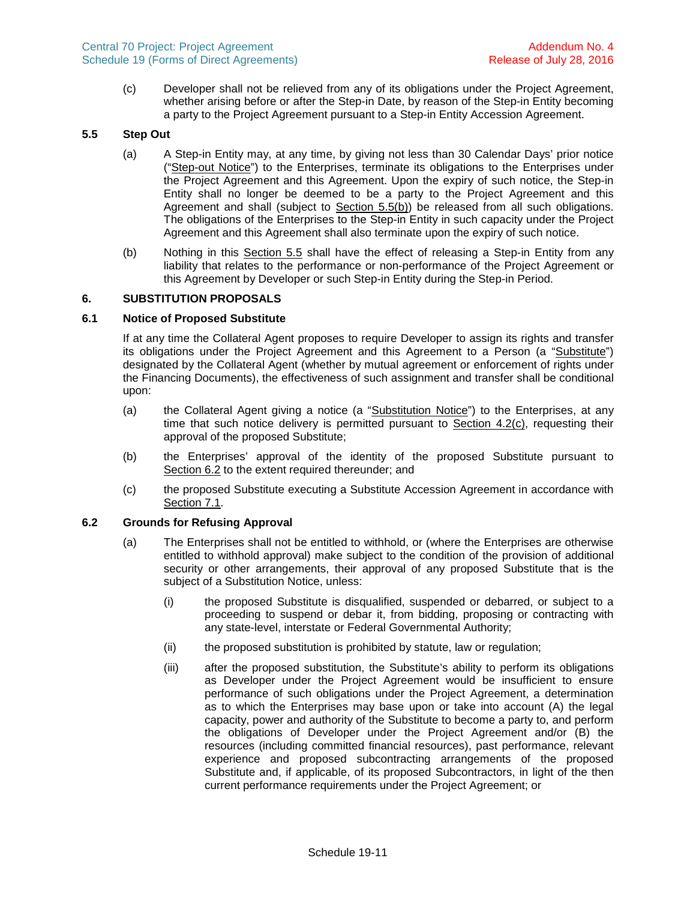(c) Developer shall not be relieved from any of its obligations under the Project Agreement, whether arising before or after the Step-in Date, by reason of the Step-in Entity becoming a party to the Project Agreement pursuant to a Step-in Entity Accession Agreement.

# **5.5 Step Out**

- <span id="page-20-4"></span><span id="page-20-0"></span>(a) A Step-in Entity may, at any time, by giving not less than 30 Calendar Days' prior notice ("Step-out Notice") to the Enterprises, terminate its obligations to the Enterprises under the Project Agreement and this Agreement. Upon the expiry of such notice, the Step-in Entity shall no longer be deemed to be a party to the Project Agreement and this Agreement and shall (subject to Section [5.5\(b\)](#page-20-3)) be released from all such obligations. The obligations of the Enterprises to the Step-in Entity in such capacity under the Project Agreement and this Agreement shall also terminate upon the expiry of such notice.
- <span id="page-20-6"></span><span id="page-20-3"></span>(b) Nothing in this Section [5.5](#page-20-4) shall have the effect of releasing a Step-in Entity from any liability that relates to the performance or non-performance of the Project Agreement or this Agreement by Developer or such Step-in Entity during the Step-in Period.

### **6. SUBSTITUTION PROPOSALS**

## **6.1 Notice of Proposed Substitute**

<span id="page-20-1"></span>If at any time the Collateral Agent proposes to require Developer to assign its rights and transfer its obligations under the Project Agreement and this Agreement to a Person (a "Substitute") designated by the Collateral Agent (whether by mutual agreement or enforcement of rights under the Financing Documents), the effectiveness of such assignment and transfer shall be conditional upon:

- <span id="page-20-2"></span>(a) the Collateral Agent giving a notice (a "Substitution Notice") to the Enterprises, at any time that such notice delivery is permitted pursuant to Section [4.2\(c\)](#page-17-2), requesting their approval of the proposed Substitute;
- (b) the Enterprises' approval of the identity of the proposed Substitute pursuant to Section [6.2](#page-20-5) to the extent required thereunder; and
- <span id="page-20-5"></span>(c) the proposed Substitute executing a Substitute Accession Agreement in accordance with Section [7.1](#page-22-0).

### **6.2 Grounds for Refusing Approval**

- (a) The Enterprises shall not be entitled to withhold, or (where the Enterprises are otherwise entitled to withhold approval) make subject to the condition of the provision of additional security or other arrangements, their approval of any proposed Substitute that is the subject of a Substitution Notice, unless:
	- (i) the proposed Substitute is disqualified, suspended or debarred, or subject to a proceeding to suspend or debar it, from bidding, proposing or contracting with any state-level, interstate or Federal Governmental Authority;
	- (ii) the proposed substitution is prohibited by statute, law or regulation;
	- (iii) after the proposed substitution, the Substitute's ability to perform its obligations as Developer under the Project Agreement would be insufficient to ensure performance of such obligations under the Project Agreement, a determination as to which the Enterprises may base upon or take into account (A) the legal capacity, power and authority of the Substitute to become a party to, and perform the obligations of Developer under the Project Agreement and/or (B) the resources (including committed financial resources), past performance, relevant experience and proposed subcontracting arrangements of the proposed Substitute and, if applicable, of its proposed Subcontractors, in light of the then current performance requirements under the Project Agreement; or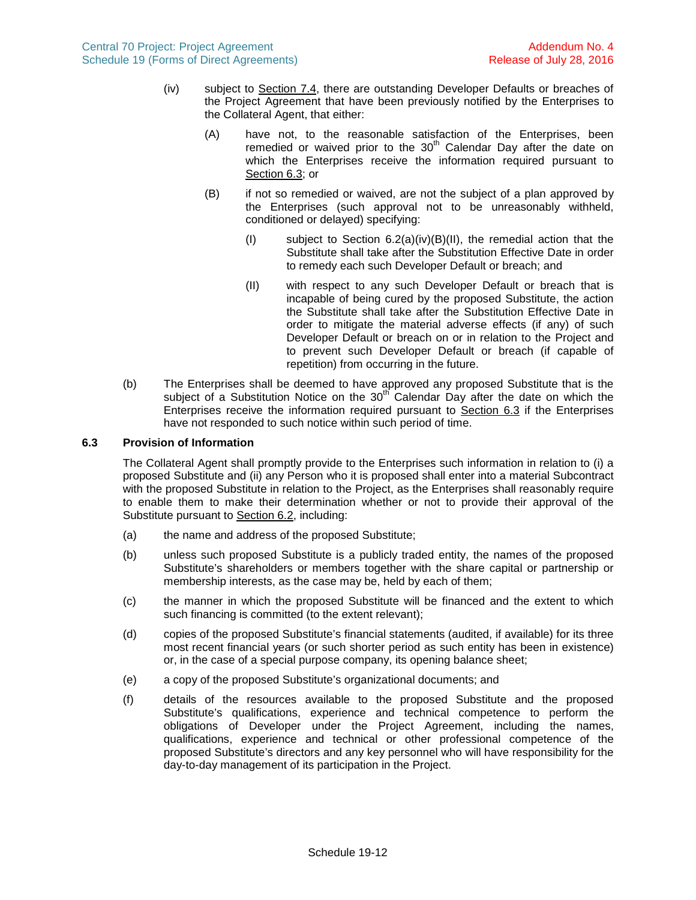- (iv) subject to Section [7.4](#page-22-1), there are outstanding Developer Defaults or breaches of the Project Agreement that have been previously notified by the Enterprises to the Collateral Agent, that either:
	- (A) have not, to the reasonable satisfaction of the Enterprises, been remedied or waived prior to the  $30<sup>th</sup>$  Calendar Day after the date on which the Enterprises receive the information required pursuant to Section [6.3](#page-21-0); or
	- (B) if not so remedied or waived, are not the subject of a plan approved by the Enterprises (such approval not to be unreasonably withheld, conditioned or delayed) specifying:
		- (I) subject to Section  $6.2(a)(iv)(B)(II)$ , the remedial action that the Substitute shall take after the Substitution Effective Date in order to remedy each such Developer Default or breach; and
		- (II) with respect to any such Developer Default or breach that is incapable of being cured by the proposed Substitute, the action the Substitute shall take after the Substitution Effective Date in order to mitigate the material adverse effects (if any) of such Developer Default or breach on or in relation to the Project and to prevent such Developer Default or breach (if capable of repetition) from occurring in the future.
- <span id="page-21-1"></span>(b) The Enterprises shall be deemed to have approved any proposed Substitute that is the subject of a Substitution Notice on the  $30<sup>th</sup>$  Calendar Day after the date on which the Enterprises receive the information required pursuant to Section [6.3](#page-21-0) if the Enterprises have not responded to such notice within such period of time.

# **6.3 Provision of Information**

<span id="page-21-0"></span>The Collateral Agent shall promptly provide to the Enterprises such information in relation to (i) a proposed Substitute and (ii) any Person who it is proposed shall enter into a material Subcontract with the proposed Substitute in relation to the Project, as the Enterprises shall reasonably require to enable them to make their determination whether or not to provide their approval of the Substitute pursuant to Section [6.2](#page-20-5), including:

- (a) the name and address of the proposed Substitute;
- (b) unless such proposed Substitute is a publicly traded entity, the names of the proposed Substitute's shareholders or members together with the share capital or partnership or membership interests, as the case may be, held by each of them;
- (c) the manner in which the proposed Substitute will be financed and the extent to which such financing is committed (to the extent relevant);
- (d) copies of the proposed Substitute's financial statements (audited, if available) for its three most recent financial years (or such shorter period as such entity has been in existence) or, in the case of a special purpose company, its opening balance sheet;
- (e) a copy of the proposed Substitute's organizational documents; and
- (f) details of the resources available to the proposed Substitute and the proposed Substitute's qualifications, experience and technical competence to perform the obligations of Developer under the Project Agreement, including the names, qualifications, experience and technical or other professional competence of the proposed Substitute's directors and any key personnel who will have responsibility for the day-to-day management of its participation in the Project.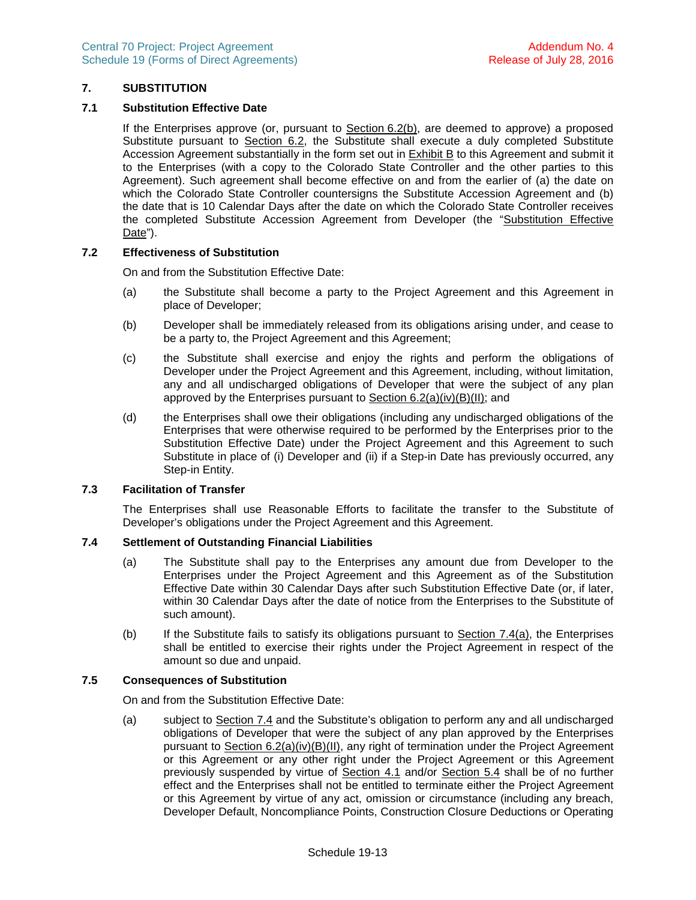# <span id="page-22-4"></span>**7. SUBSTITUTION**

## **7.1 Substitution Effective Date**

<span id="page-22-0"></span>If the Enterprises approve (or, pursuant to Section 6.2(b), are deemed to approve) a proposed Substitute pursuant to Section [6](#page-20-6).2, the Substitute shall execute a duly completed Substitute Accession Agreement substantially in the form set out in Exhibit B to this Agreement and submit it to the Enterprises (with a copy to the Colorado State Controller and the other parties to this Agreement). Such agreement shall become effective on and from the earlier of (a) the date on which the Colorado State Controller countersigns the Substitute Accession Agreement and (b) the date that is 10 Calendar Days after the date on which the Colorado State Controller receives the completed Substitute Accession Agreement from Developer (the "Substitution Effective Date").

### **7.2 Effectiveness of Substitution**

On and from the Substitution Effective Date:

- <span id="page-22-3"></span>(a) the Substitute shall become a party to the Project Agreement and this Agreement in place of Developer;
- (b) Developer shall be immediately released from its obligations arising under, and cease to be a party to, the Project Agreement and this Agreement;
- (c) the Substitute shall exercise and enjoy the rights and perform the obligations of Developer under the Project Agreement and this Agreement, including, without limitation, any and all undischarged obligations of Developer that were the subject of any plan approved by the Enterprises pursuant to Section [6.2\(a\)\(iv\)\(B\)\(II\)](#page-21-1); and
- (d) the Enterprises shall owe their obligations (including any undischarged obligations of the Enterprises that were otherwise required to be performed by the Enterprises prior to the Substitution Effective Date) under the Project Agreement and this Agreement to such Substitute in place of (i) Developer and (ii) if a Step-in Date has previously occurred, any Step-in Entity.

### **7.3 Facilitation of Transfer**

<span id="page-22-1"></span>The Enterprises shall use Reasonable Efforts to facilitate the transfer to the Substitute of Developer's obligations under the Project Agreement and this Agreement.

### **7.4 Settlement of Outstanding Financial Liabilities**

- <span id="page-22-2"></span>(a) The Substitute shall pay to the Enterprises any amount due from Developer to the Enterprises under the Project Agreement and this Agreement as of the Substitution Effective Date within 30 Calendar Days after such Substitution Effective Date (or, if later, within 30 Calendar Days after the date of notice from the Enterprises to the Substitute of such amount).
- (b) If the Substitute fails to satisfy its obligations pursuant to Section [7.4\(a\),](#page-22-2) the Enterprises shall be entitled to exercise their rights under the Project Agreement in respect of the amount so due and unpaid.

### **7.5 Consequences of Substitution**

On and from the Substitution Effective Date:

(a) subject to Section [7.4](#page-22-1) and the Substitute's obligation to perform any and all undischarged obligations of Developer that were the subject of any plan approved by the Enterprises pursuant to Section [6.2\(a\)\(iv\)\(B\)\(II\)](#page-21-1), any right of termination under the Project Agreement or this Agreement or any other right under the Project Agreement or this Agreement previously suspended by virtue of Section [4.1](#page-17-3) and/or Section [5.4](#page-18-5) shall be of no further effect and the Enterprises shall not be entitled to terminate either the Project Agreement or this Agreement by virtue of any act, omission or circumstance (including any breach, Developer Default, Noncompliance Points, Construction Closure Deductions or Operating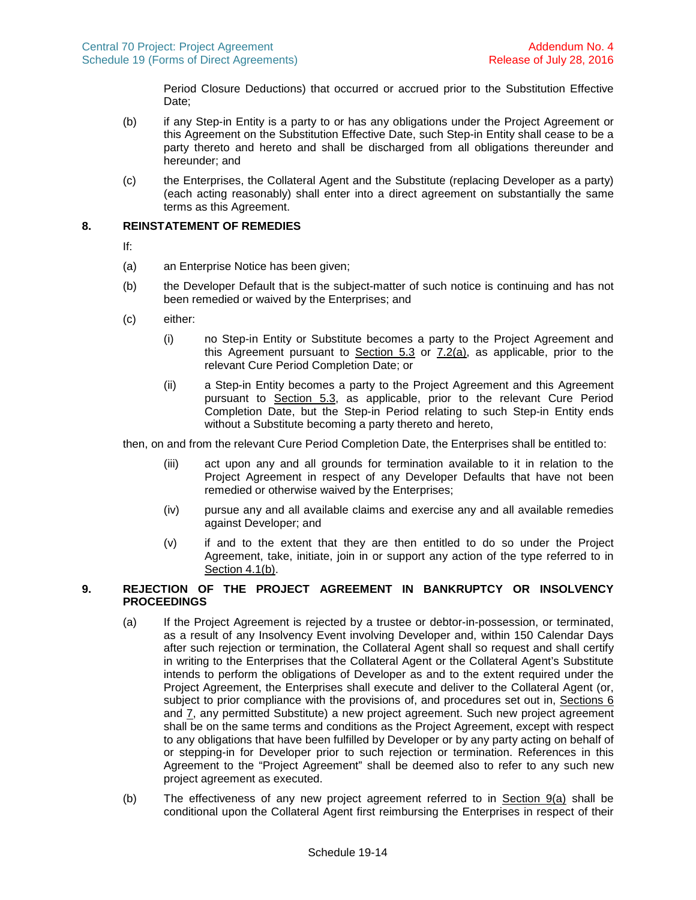Period Closure Deductions) that occurred or accrued prior to the Substitution Effective Date:

- (b) if any Step-in Entity is a party to or has any obligations under the Project Agreement or this Agreement on the Substitution Effective Date, such Step-in Entity shall cease to be a party thereto and hereto and shall be discharged from all obligations thereunder and hereunder; and
- <span id="page-23-2"></span>(c) the Enterprises, the Collateral Agent and the Substitute (replacing Developer as a party) (each acting reasonably) shall enter into a direct agreement on substantially the same terms as this Agreement.

# **8. REINSTATEMENT OF REMEDIES**

- <span id="page-23-0"></span>If:
- (a) an Enterprise Notice has been given;
- (b) the Developer Default that is the subject-matter of such notice is continuing and has not been remedied or waived by the Enterprises; and
- (c) either:
	- (i) no Step-in Entity or Substitute becomes a party to the Project Agreement and thisAgreement pursuant to Section  $5.3$  or  $7.2(a)$ , as applicable, prior to the relevant Cure Period Completion Date; or
	- (ii) a Step-in Entity becomes a party to the Project Agreement and this Agreement pursuant to Section [5.3](#page-18-0), as applicable, prior to the relevant Cure Period Completion Date, but the Step-in Period relating to such Step-in Entity ends without a Substitute becoming a party thereto and hereto,

then, on and from the relevant Cure Period Completion Date, the Enterprises shall be entitled to:

- (iii) act upon any and all grounds for termination available to it in relation to the Project Agreement in respect of any Developer Defaults that have not been remedied or otherwise waived by the Enterprises;
- (iv) pursue any and all available claims and exercise any and all available remedies against Developer; and
- (v) if and to the extent that they are then entitled to do so under the Project Agreement, take, initiate, join in or support any action of the type referred to in Section [4.1\(b\)](#page-17-0).

# **9. REJECTION OF THE PROJECT AGREEMENT IN BANKRUPTCY OR INSOLVENCY PROCEEDINGS**

- <span id="page-23-1"></span>(a) If the Project Agreement is rejected by a trustee or debtor-in-possession, or terminated, as a result of any Insolvency Event involving Developer and, within 150 Calendar Days after such rejection or termination, the Collateral Agent shall so request and shall certify in writing to the Enterprises that the Collateral Agent or the Collateral Agent's Substitute intends to perform the obligations of Developer as and to the extent required under the Project Agreement, the Enterprises shall execute and deliver to the Collateral Agent (or, subject to prior compliance with the provisions of, and procedures set out in, Sections [6](#page-20-6) and [7,](#page-22-4) any permitted Substitute) a new project agreement. Such new project agreement shall be on the same terms and conditions as the Project Agreement, except with respect to any obligations that have been fulfilled by Developer or by any party acting on behalf of or stepping-in for Developer prior to such rejection or termination. References in this Agreement to the "Project Agreement" shall be deemed also to refer to any such new project agreement as executed.
- (b) The effectiveness of any new project agreement referred to in **Section [9\(a\)](#page-23-1)** shall be conditional upon the Collateral Agent first reimbursing the Enterprises in respect of their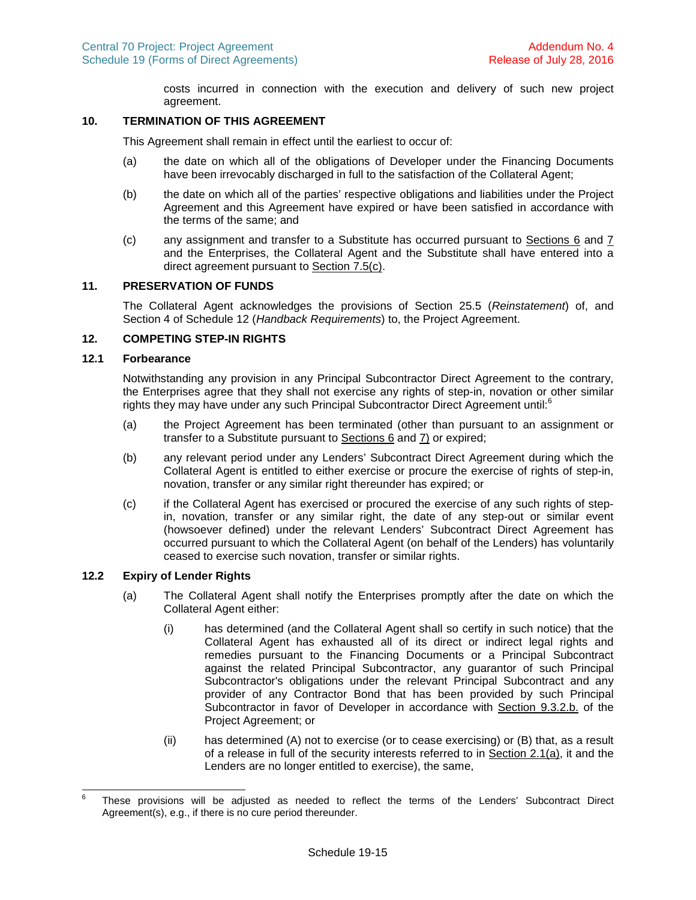costs incurred in connection with the execution and delivery of such new project agreement.

# **10. TERMINATION OF THIS AGREEMENT**

This Agreement shall remain in effect until the earliest to occur of:

- (a) the date on which all of the obligations of Developer under the Financing Documents have been irrevocably discharged in full to the satisfaction of the Collateral Agent;
- (b) the date on which all of the parties' respective obligations and liabilities under the Project Agreement and this Agreement have expired or have been satisfied in accordance with the terms of the same; and
- (c) any assignment and transfer to a Substitute has occurred pursuant to Sections [6](#page-20-6)and [7](#page-22-4) and the Enterprises, the Collateral Agent and the Substitute shall have entered into a direct agreement pursuant to Section [7.5\(c\)](#page-23-2).

#### **11. PRESERVATION OF FUNDS**

The Collateral Agent acknowledges the provisions of Section 25.5 (*Reinstatement*) of, and Section 4 of Schedule 12 (*Handback Requirements*) to, the Project Agreement.

# **12. COMPETING STEP-IN RIGHTS**

### **12.1 Forbearance**

<span id="page-24-2"></span>Notwithstanding any provision in any Principal Subcontractor Direct Agreement to the contrary, the Enterprises agree that they shall not exercise any rights of step-in, novation or other similar rightsthey may have under any such Principal Subcontractor Direct Agreement until[:](#page-24-0) $6$ 

- (a) the Project Agreement has been terminated (other than pursuant to an assignment or transfer to a Substitute pursuant to Sections [6](#page-20-6)and [7\)](#page-22-4) or expired;
- (b) any relevant period under any Lenders' Subcontract Direct Agreement during which the Collateral Agent is entitled to either exercise or procure the exercise of rights of step-in, novation, transfer or any similar right thereunder has expired; or
- (c) if the Collateral Agent has exercised or procured the exercise of any such rights of stepin, novation, transfer or any similar right, the date of any step-out or similar event (howsoever defined) under the relevant Lenders' Subcontract Direct Agreement has occurred pursuant to which the Collateral Agent (on behalf of the Lenders) has voluntarily ceased to exercise such novation, transfer or similar rights.

#### **12.2 Expiry of Lender Rights**

- <span id="page-24-3"></span><span id="page-24-1"></span>(a) The Collateral Agent shall notify the Enterprises promptly after the date on which the Collateral Agent either:
	- (i) has determined (and the Collateral Agent shall so certify in such notice) that the Collateral Agent has exhausted all of its direct or indirect legal rights and remedies pursuant to the Financing Documents or a Principal Subcontract against the related Principal Subcontractor, any guarantor of such Principal Subcontractor's obligations under the relevant Principal Subcontract and any provider of any Contractor Bond that has been provided by such Principal Subcontractor in favor of Developer in accordance with Section 9.3.2.b. of the Project Agreement; or
	- (ii) has determined (A) not to exercise (or to cease exercising) or (B) that, as a result of a release in full of the security interests referred to in Section [2.1\(a\),](#page-14-1) it and the Lenders are no longer entitled to exercise), the same,

<span id="page-24-0"></span><sup>6</sup> These provisions will be adjusted as needed to reflect the terms of the Lenders' Subcontract Direct Agreement(s), e.g., if there is no cure period thereunder.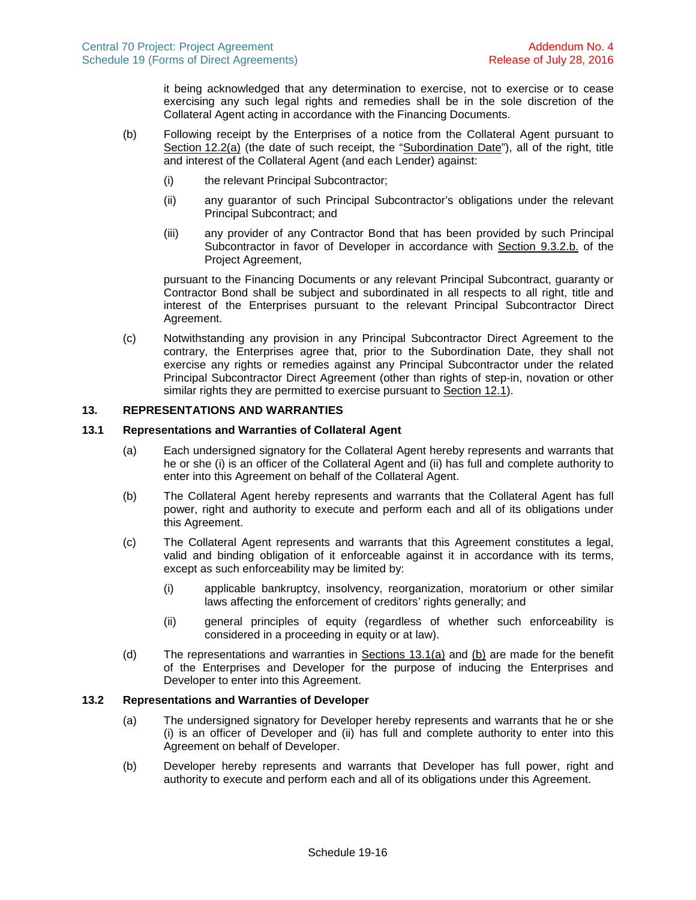it being acknowledged that any determination to exercise, not to exercise or to cease exercising any such legal rights and remedies shall be in the sole discretion of the Collateral Agent acting in accordance with the Financing Documents.

- (b) Following receipt by the Enterprises of a notice from the Collateral Agent pursuant to Section [12.2\(a\)](#page-24-1) (the date of such receipt, the "Subordination Date"), all of the right, title and interest of the Collateral Agent (and each Lender) against:
	- (i) the relevant Principal Subcontractor;
	- (ii) any guarantor of such Principal Subcontractor's obligations under the relevant Principal Subcontract; and
	- (iii) any provider of any Contractor Bond that has been provided by such Principal Subcontractor in favor of Developer in accordance with Section 9.3.2.b. of the Project Agreement,

pursuant to the Financing Documents or any relevant Principal Subcontract, guaranty or Contractor Bond shall be subject and subordinated in all respects to all right, title and interest of the Enterprises pursuant to the relevant Principal Subcontractor Direct Agreement.

<span id="page-25-5"></span>(c) Notwithstanding any provision in any Principal Subcontractor Direct Agreement to the contrary, the Enterprises agree that, prior to the Subordination Date, they shall not exercise any rights or remedies against any Principal Subcontractor under the related Principal Subcontractor Direct Agreement (other than rights of step-in, novation or other similar rights they are permitted to exercise pursuant to Section [12.1\)](#page-24-2).

### **13. REPRESENTATIONS AND WARRANTIES**

## **13.1 Representations and Warranties of Collateral Agent**

- <span id="page-25-4"></span><span id="page-25-0"></span>(a) Each undersigned signatory for the Collateral Agent hereby represents and warrants that he or she (i) is an officer of the Collateral Agent and (ii) has full and complete authority to enter into this Agreement on behalf of the Collateral Agent.
- <span id="page-25-1"></span>(b) The Collateral Agent hereby represents and warrants that the Collateral Agent has full power, right and authority to execute and perform each and all of its obligations under this Agreement.
- (c) The Collateral Agent represents and warrants that this Agreement constitutes a legal, valid and binding obligation of it enforceable against it in accordance with its terms, except as such enforceability may be limited by:
	- (i) applicable bankruptcy, insolvency, reorganization, moratorium or other similar laws affecting the enforcement of creditors' rights generally; and
	- (ii) general principles of equity (regardless of whether such enforceability is considered in a proceeding in equity or at law).
- (d) The representations and warranties in Sections [13.1\(a\)](#page-25-0)and [\(b\)](#page-25-1) are made for the benefit of the Enterprises and Developer for the purpose of inducing the Enterprises and Developer to enter into this Agreement.

### **13.2 Representations and Warranties of Developer**

- <span id="page-25-2"></span>(a) The undersigned signatory for Developer hereby represents and warrants that he or she (i) is an officer of Developer and (ii) has full and complete authority to enter into this Agreement on behalf of Developer.
- <span id="page-25-3"></span>(b) Developer hereby represents and warrants that Developer has full power, right and authority to execute and perform each and all of its obligations under this Agreement.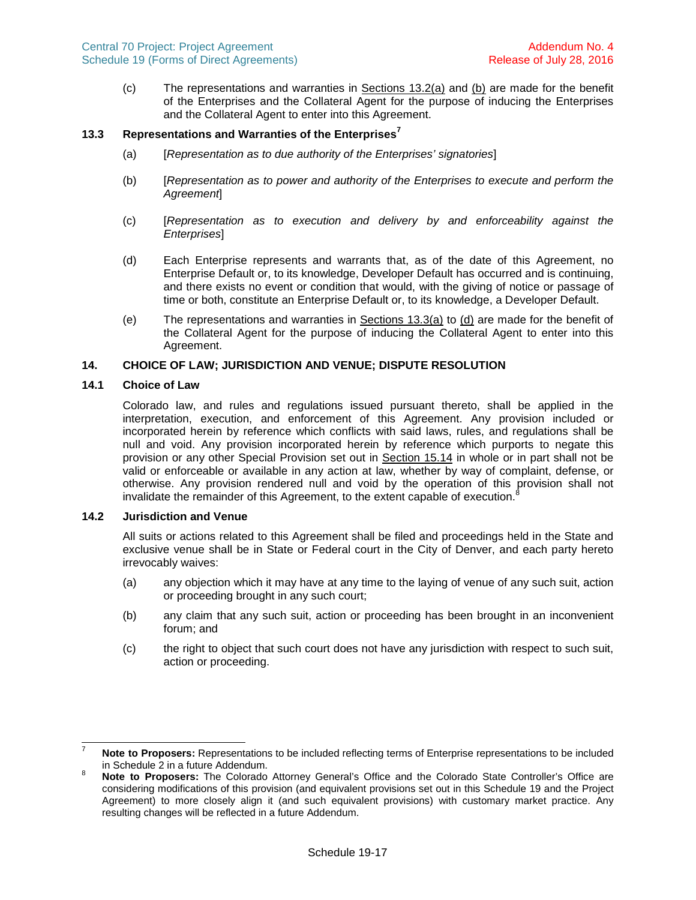(c) The representations and warranties in Sections [13.2\(a\)](#page-25-2)and [\(b\)](#page-25-3) are made for the benefit of the Enterprises and the Collateral Agent for the purpose of inducing the Enterprises and the Collateral Agent to enter into this Agreement.

# **13.3 Representations and Warranties of the Enterprise[s](#page-26-2)<sup>7</sup>**

- <span id="page-26-0"></span>(a) [*Representation as to due authority of the Enterprises' signatories*]
- (b) [*Representation as to power and authority of the Enterprises to execute and perform the Agreement*]
- (c) [*Representation as to execution and delivery by and enforceability against the Enterprises*]
- <span id="page-26-1"></span>(d) Each Enterprise represents and warrants that, as of the date of this Agreement, no Enterprise Default or, to its knowledge, Developer Default has occurred and is continuing, and there exists no event or condition that would, with the giving of notice or passage of time or both, constitute an Enterprise Default or, to its knowledge, a Developer Default.
- (e) The representations and warranties in Sections [13.3\(a\)](#page-26-0)to [\(d\)](#page-26-1) are made for the benefit of the Collateral Agent for the purpose of inducing the Collateral Agent to enter into this Agreement.

# **14. CHOICE OF LAW; JURISDICTION AND VENUE; DISPUTE RESOLUTION**

### **14.1 Choice of Law**

Colorado law, and rules and regulations issued pursuant thereto, shall be applied in the interpretation, execution, and enforcement of this Agreement. Any provision included or incorporated herein by reference which conflicts with said laws, rules, and regulations shall be null and void. Any provision incorporated herein by reference which purports to negate this provision or any other Special Provision set out in Section [15.14](#page-29-0) in whole or in part shall not be valid or enforceable or available in any action at law, whether by way of complaint, defense, or otherwise. Any provision rendered null and void by the operation of this provision shall not invalidate the remainder of this Agreement, to the extent capable of execution.

### **14.2 Jurisdiction and Venue**

All suits or actions related to this Agreement shall be filed and proceedings held in the State and exclusive venue shall be in State or Federal court in the City of Denver, and each party hereto irrevocably waives:

- (a) any objection which it may have at any time to the laying of venue of any such suit, action or proceeding brought in any such court;
- (b) any claim that any such suit, action or proceeding has been brought in an inconvenient forum; and
- (c) the right to object that such court does not have any jurisdiction with respect to such suit, action or proceeding.

<span id="page-26-2"></span><sup>7</sup> **Note to Proposers:** Representations to be included reflecting terms of Enterprise representations to be included in Schedule 2 in a future Addendum.

<span id="page-26-3"></span><sup>8</sup> **Note to Proposers:** The Colorado Attorney General's Office and the Colorado State Controller's Office are considering modifications of this provision (and equivalent provisions set out in this Schedule 19 and the Project Agreement) to more closely align it (and such equivalent provisions) with customary market practice. Any resulting changes will be reflected in a future Addendum.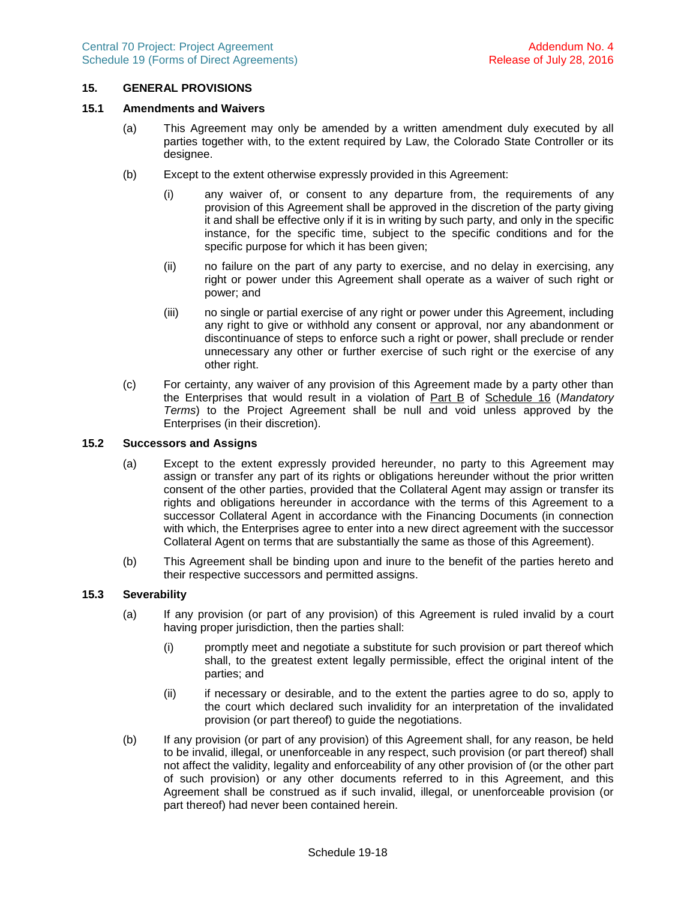### **15. GENERAL PROVISIONS**

#### **15.1 Amendments and Waivers**

- (a) This Agreement may only be amended by a written amendment duly executed by all parties together with, to the extent required by Law, the Colorado State Controller or its designee.
- (b) Except to the extent otherwise expressly provided in this Agreement:
	- (i) any waiver of, or consent to any departure from, the requirements of any provision of this Agreement shall be approved in the discretion of the party giving it and shall be effective only if it is in writing by such party, and only in the specific instance, for the specific time, subject to the specific conditions and for the specific purpose for which it has been given;
	- (ii) no failure on the part of any party to exercise, and no delay in exercising, any right or power under this Agreement shall operate as a waiver of such right or power; and
	- (iii) no single or partial exercise of any right or power under this Agreement, including any right to give or withhold any consent or approval, nor any abandonment or discontinuance of steps to enforce such a right or power, shall preclude or render unnecessary any other or further exercise of such right or the exercise of any other right.
- (c) For certainty, any waiver of any provision of this Agreement made by a party other than the Enterprises that would result in a violation of Part B of Schedule 16 (*Mandatory Terms*) to the Project Agreement shall be null and void unless approved by the Enterprises (in their discretion).

#### **15.2 Successors and Assigns**

- (a) Except to the extent expressly provided hereunder, no party to this Agreement may assign or transfer any part of its rights or obligations hereunder without the prior written consent of the other parties, provided that the Collateral Agent may assign or transfer its rights and obligations hereunder in accordance with the terms of this Agreement to a successor Collateral Agent in accordance with the Financing Documents (in connection with which, the Enterprises agree to enter into a new direct agreement with the successor Collateral Agent on terms that are substantially the same as those of this Agreement).
- (b) This Agreement shall be binding upon and inure to the benefit of the parties hereto and their respective successors and permitted assigns.

#### **15.3 Severability**

- (a) If any provision (or part of any provision) of this Agreement is ruled invalid by a court having proper jurisdiction, then the parties shall:
	- (i) promptly meet and negotiate a substitute for such provision or part thereof which shall, to the greatest extent legally permissible, effect the original intent of the parties; and
	- (ii) if necessary or desirable, and to the extent the parties agree to do so, apply to the court which declared such invalidity for an interpretation of the invalidated provision (or part thereof) to guide the negotiations.
- (b) If any provision (or part of any provision) of this Agreement shall, for any reason, be held to be invalid, illegal, or unenforceable in any respect, such provision (or part thereof) shall not affect the validity, legality and enforceability of any other provision of (or the other part of such provision) or any other documents referred to in this Agreement, and this Agreement shall be construed as if such invalid, illegal, or unenforceable provision (or part thereof) had never been contained herein.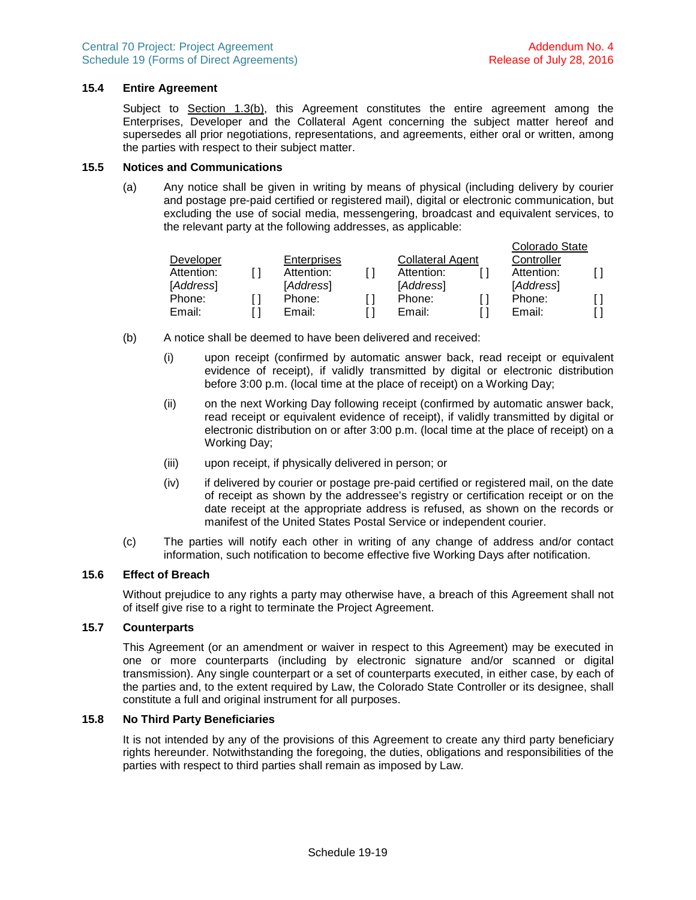## **15.4 Entire Agreement**

Subject to Section [1.3\(b\)](#page-14-3), this Agreement constitutes the entire agreement among the Enterprises, Developer and the Collateral Agent concerning the subject matter hereof and supersedes all prior negotiations, representations, and agreements, either oral or written, among the parties with respect to their subject matter.

#### **15.5 Notices and Communications**

<span id="page-28-1"></span>(a) Any notice shall be given in writing by means of physical (including delivery by courier and postage pre-paid certified or registered mail), digital or electronic communication, but excluding the use of social media, messengering, broadcast and equivalent services, to the relevant party at the following addresses, as applicable:

|            |                    |                         | Colorado State |  |
|------------|--------------------|-------------------------|----------------|--|
| Developer  | <b>Enterprises</b> | <b>Collateral Agent</b> | Controller     |  |
| Attention: | Attention:         | Attention:              | Attention:     |  |
| [Address]  | [Address]          | [Address]               | [Address]      |  |
| Phone:     | Phone:             | Phone:                  | Phone:         |  |
| Email:     | Email:             | Email:                  | Email:         |  |

- <span id="page-28-0"></span>(b) A notice shall be deemed to have been delivered and received:
	- (i) upon receipt (confirmed by automatic answer back, read receipt or equivalent evidence of receipt), if validly transmitted by digital or electronic distribution before 3:00 p.m. (local time at the place of receipt) on a Working Day;
	- (ii) on the next Working Day following receipt (confirmed by automatic answer back, read receipt or equivalent evidence of receipt), if validly transmitted by digital or electronic distribution on or after 3:00 p.m. (local time at the place of receipt) on a Working Day;
	- (iii) upon receipt, if physically delivered in person; or
	- (iv) if delivered by courier or postage pre-paid certified or registered mail, on the date of receipt as shown by the addressee's registry or certification receipt or on the date receipt at the appropriate address is refused, as shown on the records or manifest of the United States Postal Service or independent courier.
- (c) The parties will notify each other in writing of any change of address and/or contact information, such notification to become effective five Working Days after notification.

# **15.6 Effect of Breach**

Without prejudice to any rights a party may otherwise have, a breach of this Agreement shall not of itself give rise to a right to terminate the Project Agreement.

### **15.7 Counterparts**

This Agreement (or an amendment or waiver in respect to this Agreement) may be executed in one or more counterparts (including by electronic signature and/or scanned or digital transmission). Any single counterpart or a set of counterparts executed, in either case, by each of the parties and, to the extent required by Law, the Colorado State Controller or its designee, shall constitute a full and original instrument for all purposes.

### **15.8 No Third Party Beneficiaries**

It is not intended by any of the provisions of this Agreement to create any third party beneficiary rights hereunder. Notwithstanding the foregoing, the duties, obligations and responsibilities of the parties with respect to third parties shall remain as imposed by Law.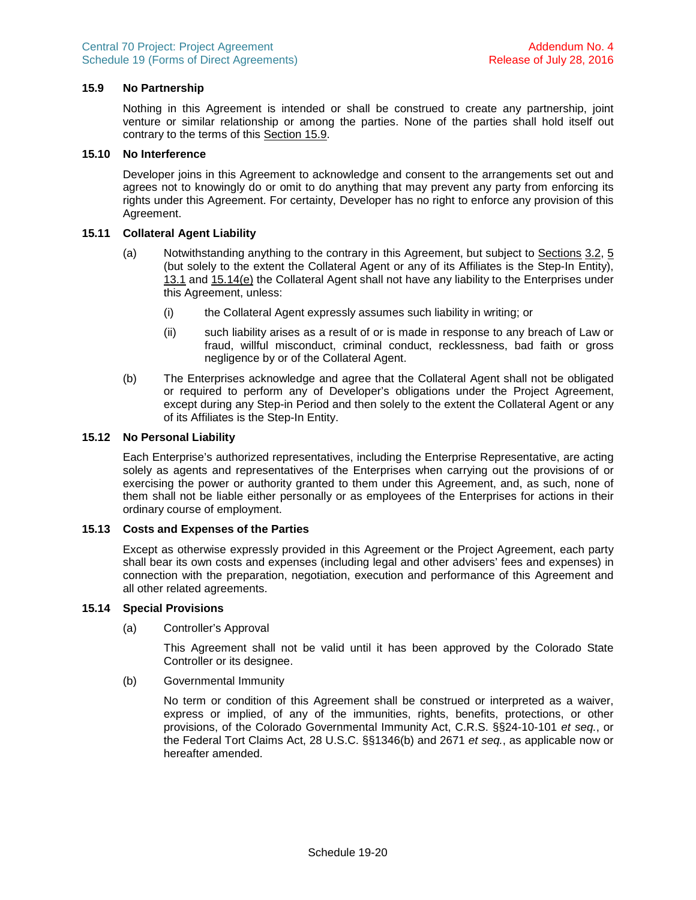## **15.9 No Partnership**

<span id="page-29-1"></span>Nothing in this Agreement is intended or shall be construed to create any partnership, joint venture or similar relationship or among the parties. None of the parties shall hold itself out contrary to the terms of this Section [15.9.](#page-29-1)

#### **15.10 No Interference**

Developer joins in this Agreement to acknowledge and consent to the arrangements set out and agrees not to knowingly do or omit to do anything that may prevent any party from enforcing its rights under this Agreement. For certainty, Developer has no right to enforce any provision of this Agreement.

### **15.11 Collateral Agent Liability**

- (a) Notwithstanding anything to the contrary in this Agreement, but subject to Sections3.2, [5](#page-18-6) (but solely to the extent the Collateral Agent or any of its Affiliates is the Step-In Entity), [13.1](#page-25-4)and [15.14\(e\)](#page-30-0) the Collateral Agent shall not have any liability to the Enterprises under this Agreement, unless:
	- (i) the Collateral Agent expressly assumes such liability in writing; or
	- (ii) such liability arises as a result of or is made in response to any breach of Law or fraud, willful misconduct, criminal conduct, recklessness, bad faith or gross negligence by or of the Collateral Agent.
- (b) The Enterprises acknowledge and agree that the Collateral Agent shall not be obligated or required to perform any of Developer's obligations under the Project Agreement, except during any Step-in Period and then solely to the extent the Collateral Agent or any of its Affiliates is the Step-In Entity.

### **15.12 No Personal Liability**

Each Enterprise's authorized representatives, including the Enterprise Representative, are acting solely as agents and representatives of the Enterprises when carrying out the provisions of or exercising the power or authority granted to them under this Agreement, and, as such, none of them shall not be liable either personally or as employees of the Enterprises for actions in their ordinary course of employment.

#### **15.13 Costs and Expenses of the Parties**

Except as otherwise expressly provided in this Agreement or the Project Agreement, each party shall bear its own costs and expenses (including legal and other advisers' fees and expenses) in connection with the preparation, negotiation, execution and performance of this Agreement and all other related agreements.

#### **15.14 Special Provisions**

<span id="page-29-0"></span>(a) Controller's Approval

This Agreement shall not be valid until it has been approved by the Colorado State Controller or its designee.

(b) Governmental Immunity

No term or condition of this Agreement shall be construed or interpreted as a waiver, express or implied, of any of the immunities, rights, benefits, protections, or other provisions, of the Colorado Governmental Immunity Act, C.R.S. §§24-10-101 *et seq.*, or the Federal Tort Claims Act, 28 U.S.C. §§1346(b) and 2671 *et seq.*, as applicable now or hereafter amended.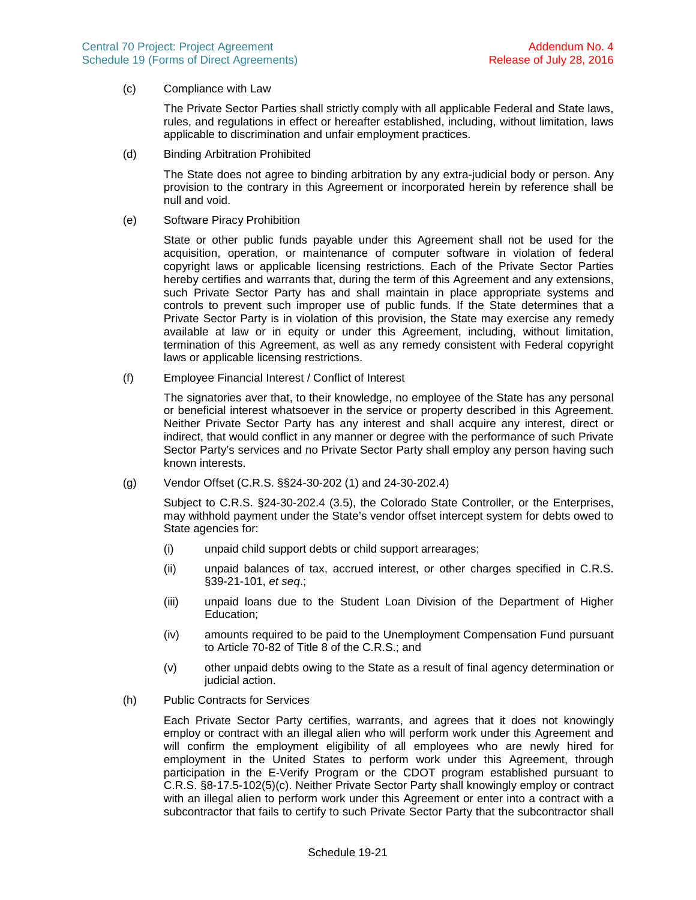(c) Compliance with Law

The Private Sector Parties shall strictly comply with all applicable Federal and State laws, rules, and regulations in effect or hereafter established, including, without limitation, laws applicable to discrimination and unfair employment practices.

(d) Binding Arbitration Prohibited

The State does not agree to binding arbitration by any extra-judicial body or person. Any provision to the contrary in this Agreement or incorporated herein by reference shall be null and void.

(e) Software Piracy Prohibition

<span id="page-30-0"></span>State or other public funds payable under this Agreement shall not be used for the acquisition, operation, or maintenance of computer software in violation of federal copyright laws or applicable licensing restrictions. Each of the Private Sector Parties hereby certifies and warrants that, during the term of this Agreement and any extensions, such Private Sector Party has and shall maintain in place appropriate systems and controls to prevent such improper use of public funds. If the State determines that a Private Sector Party is in violation of this provision, the State may exercise any remedy available at law or in equity or under this Agreement, including, without limitation, termination of this Agreement, as well as any remedy consistent with Federal copyright laws or applicable licensing restrictions.

(f) Employee Financial Interest / Conflict of Interest

The signatories aver that, to their knowledge, no employee of the State has any personal or beneficial interest whatsoever in the service or property described in this Agreement. Neither Private Sector Party has any interest and shall acquire any interest, direct or indirect, that would conflict in any manner or degree with the performance of such Private Sector Party's services and no Private Sector Party shall employ any person having such known interests.

(g) Vendor Offset (C.R.S. §§24-30-202 (1) and 24-30-202.4)

Subject to C.R.S. §24-30-202.4 (3.5), the Colorado State Controller, or the Enterprises, may withhold payment under the State's vendor offset intercept system for debts owed to State agencies for:

- (i) unpaid child support debts or child support arrearages;
- (ii) unpaid balances of tax, accrued interest, or other charges specified in C.R.S. §39-21-101, *et seq*.;
- (iii) unpaid loans due to the Student Loan Division of the Department of Higher Education;
- (iv) amounts required to be paid to the Unemployment Compensation Fund pursuant to Article 70-82 of Title 8 of the C.R.S.; and
- (v) other unpaid debts owing to the State as a result of final agency determination or judicial action.
- (h) Public Contracts for Services

Each Private Sector Party certifies, warrants, and agrees that it does not knowingly employ or contract with an illegal alien who will perform work under this Agreement and will confirm the employment eligibility of all employees who are newly hired for employment in the United States to perform work under this Agreement, through participation in the E-Verify Program or the CDOT program established pursuant to C.R.S. §8-17.5-102(5)(c). Neither Private Sector Party shall knowingly employ or contract with an illegal alien to perform work under this Agreement or enter into a contract with a subcontractor that fails to certify to such Private Sector Party that the subcontractor shall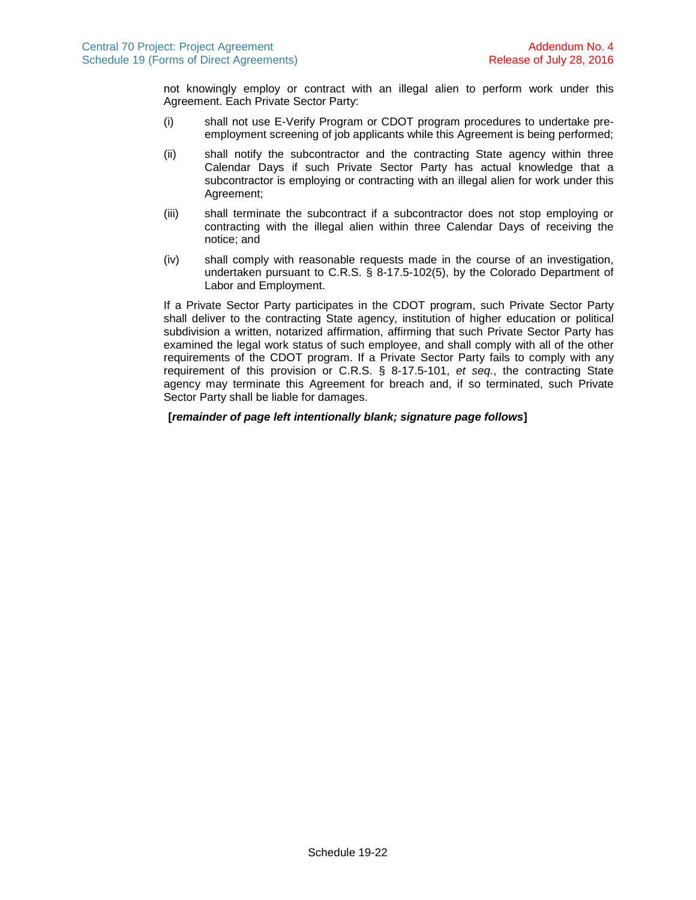not knowingly employ or contract with an illegal alien to perform work under this Agreement. Each Private Sector Party:

- (i) shall not use E-Verify Program or CDOT program procedures to undertake preemployment screening of job applicants while this Agreement is being performed;
- (ii) shall notify the subcontractor and the contracting State agency within three Calendar Days if such Private Sector Party has actual knowledge that a subcontractor is employing or contracting with an illegal alien for work under this Agreement;
- (iii) shall terminate the subcontract if a subcontractor does not stop employing or contracting with the illegal alien within three Calendar Days of receiving the notice; and
- (iv) shall comply with reasonable requests made in the course of an investigation, undertaken pursuant to C.R.S. § 8-17.5-102(5), by the Colorado Department of Labor and Employment.

If a Private Sector Party participates in the CDOT program, such Private Sector Party shall deliver to the contracting State agency, institution of higher education or political subdivision a written, notarized affirmation, affirming that such Private Sector Party has examined the legal work status of such employee, and shall comply with all of the other requirements of the CDOT program. If a Private Sector Party fails to comply with any requirement of this provision or C.R.S. § 8-17.5-101, *et seq.*, the contracting State agency may terminate this Agreement for breach and, if so terminated, such Private Sector Party shall be liable for damages.

**[***remainder of page left intentionally blank; signature page follows***]**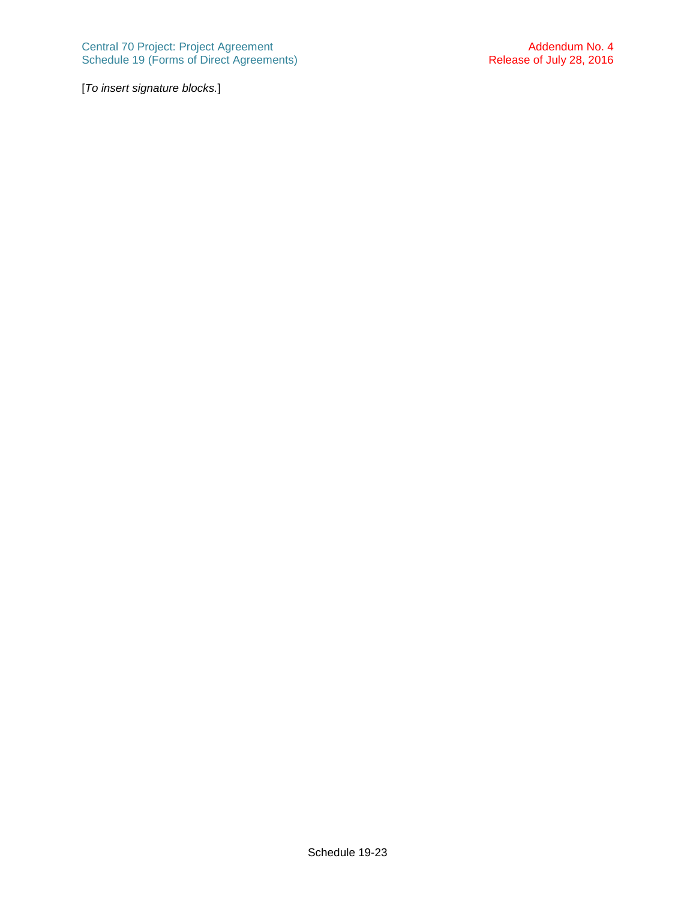[*To insert signature blocks.*]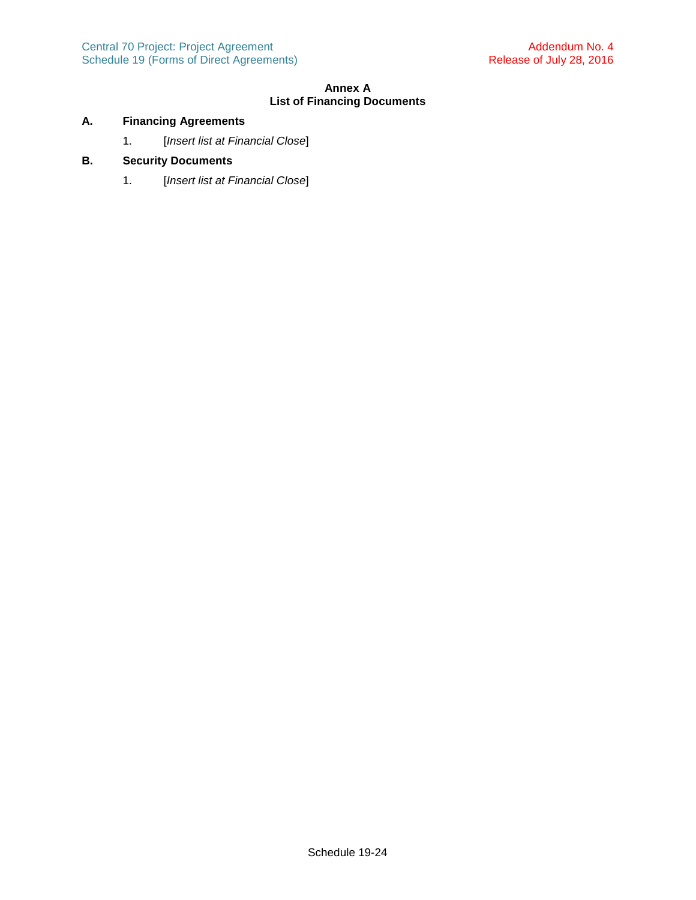# **Annex A List of Financing Documents**

# **A. Financing Agreements**

1. [*Insert list at Financial Close*]

# **B. Security Documents**

1. [*Insert list at Financial Close*]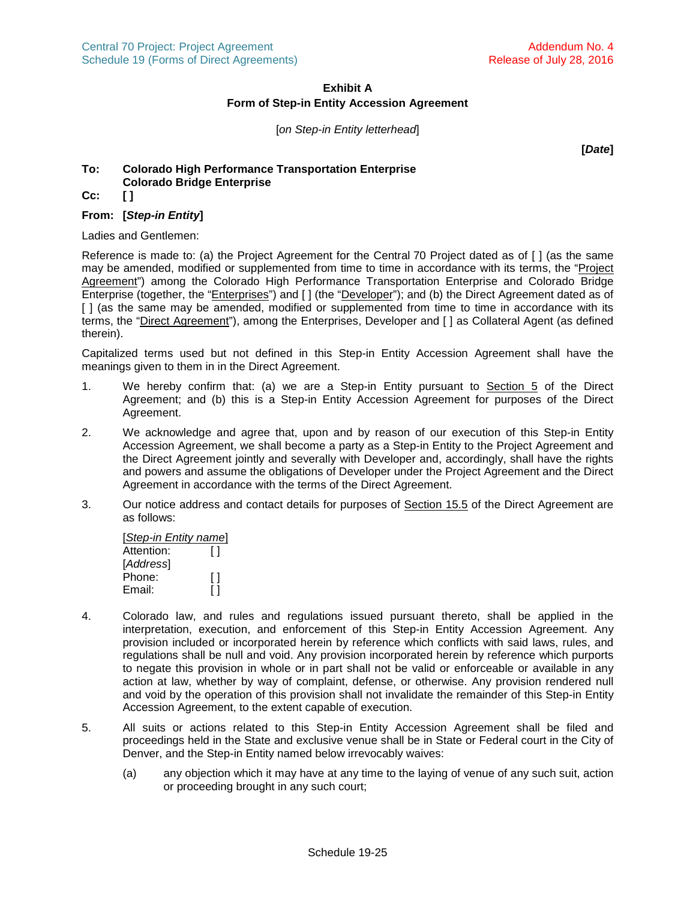# **Exhibit A Form of Step-in Entity Accession Agreement**

[*on Step-in Entity letterhead*]

**[***Date***]**

# **To: Colorado High Performance Transportation Enterprise Colorado Bridge Enterprise**

**Cc: [ ]**

# **From: [***Step-in Entity***]**

Ladies and Gentlemen:

Reference is made to: (a) the Project Agreement for the Central 70 Project dated as of [ ] (as the same may be amended, modified or supplemented from time to time in accordance with its terms, the "Project Agreement") among the Colorado High Performance Transportation Enterprise and Colorado Bridge Enterprise (together, the "*Enterprises*") and [] (the "*Developer*"); and (b) the Direct Agreement dated as of [ ] (as the same may be amended, modified or supplemented from time to time in accordance with its terms, the "Direct Agreement"), among the Enterprises, Developer and [ ] as Collateral Agent (as defined therein).

Capitalized terms used but not defined in this Step-in Entity Accession Agreement shall have the meanings given to them in in the Direct Agreement.

- 1. We hereby confirm that: (a) we are a Step-in Entity pursuant to Section [5](#page-18-6) of the Direct Agreement; and (b) this is a Step-in Entity Accession Agreement for purposes of the Direct Agreement.
- 2. We acknowledge and agree that, upon and by reason of our execution of this Step-in Entity Accession Agreement, we shall become a party as a Step-in Entity to the Project Agreement and the Direct Agreement jointly and severally with Developer and, accordingly, shall have the rights and powers and assume the obligations of Developer under the Project Agreement and the Direct Agreement in accordance with the terms of the Direct Agreement.
- 3. Our notice address and contact details for purposes of Section [15.5](#page-28-1) of the Direct Agreement are as follows:

| [Step-in Entity name] |              |  |  |  |
|-----------------------|--------------|--|--|--|
| Attention:            | Ħ            |  |  |  |
| [Address]             |              |  |  |  |
| Phone:                | $\mathsf{L}$ |  |  |  |
| Email:                |              |  |  |  |

- 4. Colorado law, and rules and regulations issued pursuant thereto, shall be applied in the interpretation, execution, and enforcement of this Step-in Entity Accession Agreement. Any provision included or incorporated herein by reference which conflicts with said laws, rules, and regulations shall be null and void. Any provision incorporated herein by reference which purports to negate this provision in whole or in part shall not be valid or enforceable or available in any action at law, whether by way of complaint, defense, or otherwise. Any provision rendered null and void by the operation of this provision shall not invalidate the remainder of this Step-in Entity Accession Agreement, to the extent capable of execution.
- 5. All suits or actions related to this Step-in Entity Accession Agreement shall be filed and proceedings held in the State and exclusive venue shall be in State or Federal court in the City of Denver, and the Step-in Entity named below irrevocably waives:
	- (a) any objection which it may have at any time to the laying of venue of any such suit, action or proceeding brought in any such court;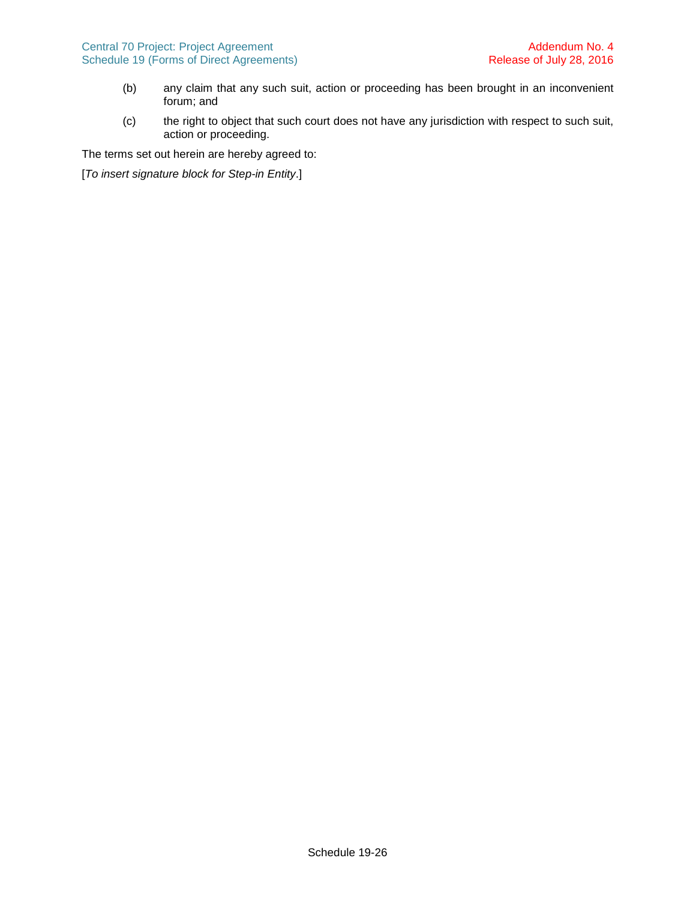- (b) any claim that any such suit, action or proceeding has been brought in an inconvenient forum; and
- (c) the right to object that such court does not have any jurisdiction with respect to such suit, action or proceeding.

The terms set out herein are hereby agreed to:

[*To insert signature block for Step-in Entity*.]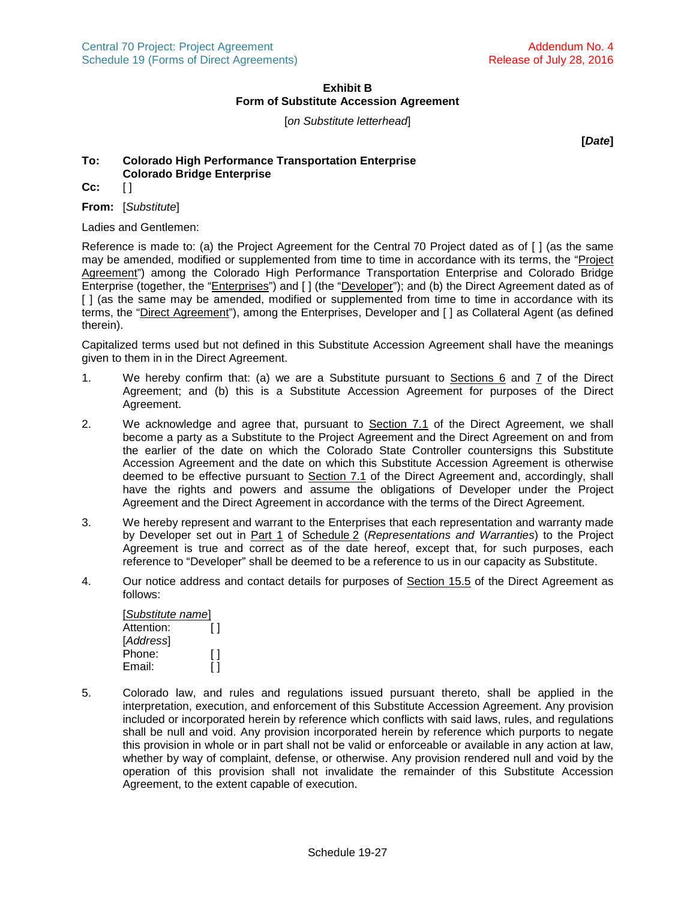# **Exhibit B Form of Substitute Accession Agreement**

[*on Substitute letterhead*]

**[***Date***]**

# **To: Colorado High Performance Transportation Enterprise Colorado Bridge Enterprise**

**Cc:** [ ]

**From:** [*Substitute*]

Ladies and Gentlemen:

Reference is made to: (a) the Project Agreement for the Central 70 Project dated as of [ ] (as the same may be amended, modified or supplemented from time to time in accordance with its terms, the "Project Agreement") among the Colorado High Performance Transportation Enterprise and Colorado Bridge Enterprise (together, the "Enterprises") and [ ] (the "Developer"); and (b) the Direct Agreement dated as of [ ] (as the same may be amended, modified or supplemented from time to time in accordance with its terms, the "Direct Agreement"), among the Enterprises, Developer and [] as Collateral Agent (as defined therein).

Capitalized terms used but not defined in this Substitute Accession Agreement shall have the meanings given to them in in the Direct Agreement.

- 1. We hereby confirm that: (a) we are a Substitute pursuant to Sections [6](#page-20-6)and [7](#page-22-4) of the Direct Agreement; and (b) this is a Substitute Accession Agreement for purposes of the Direct Agreement.
- 2. We acknowledge and agree that, pursuant to Section [7.1](#page-22-0) of the Direct Agreement, we shall become a party as a Substitute to the Project Agreement and the Direct Agreement on and from the earlier of the date on which the Colorado State Controller countersigns this Substitute Accession Agreement and the date on which this Substitute Accession Agreement is otherwise deemed to be effective pursuant to Section 7.1 of the Direct Agreement and, accordingly, shall have the rights and powers and assume the obligations of Developer under the Project Agreement and the Direct Agreement in accordance with the terms of the Direct Agreement.
- 3. We hereby represent and warrant to the Enterprises that each representation and warranty made by Developer set out in Part 1 of Schedule 2 (*Representations and Warranties*) to the Project Agreement is true and correct as of the date hereof, except that, for such purposes, each reference to "Developer" shall be deemed to be a reference to us in our capacity as Substitute.
- 4. Our notice address and contact details for purposes of Section [15.5](#page-28-1) of the Direct Agreement as follows:

| [Substitute name] |   |  |
|-------------------|---|--|
| Attention:        | H |  |
| [Address]         |   |  |
| Phone:            | Ħ |  |
| Email:            |   |  |

5. Colorado law, and rules and regulations issued pursuant thereto, shall be applied in the interpretation, execution, and enforcement of this Substitute Accession Agreement. Any provision included or incorporated herein by reference which conflicts with said laws, rules, and regulations shall be null and void. Any provision incorporated herein by reference which purports to negate this provision in whole or in part shall not be valid or enforceable or available in any action at law, whether by way of complaint, defense, or otherwise. Any provision rendered null and void by the operation of this provision shall not invalidate the remainder of this Substitute Accession Agreement, to the extent capable of execution.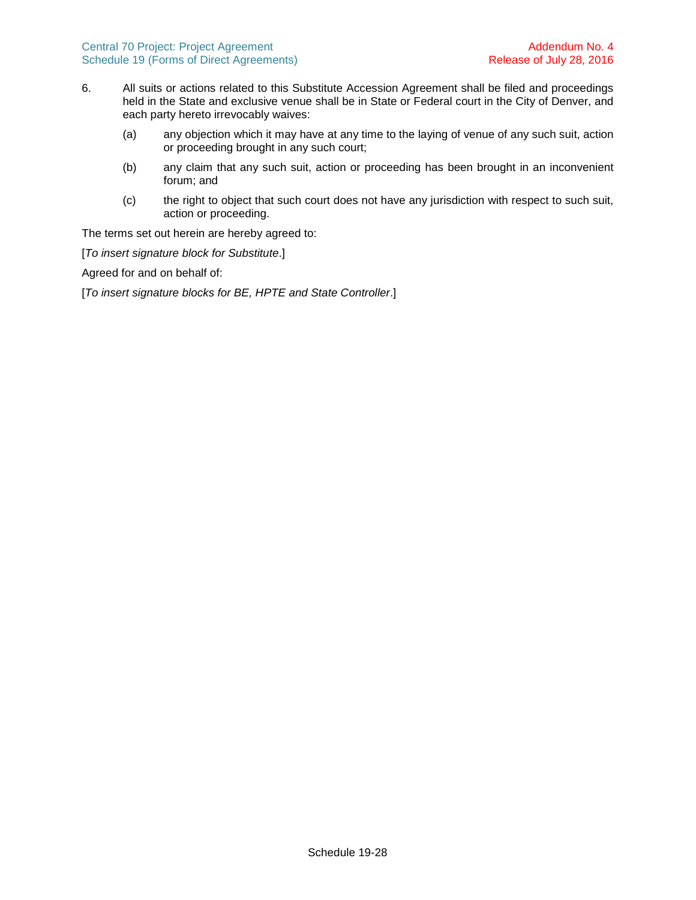- 6. All suits or actions related to this Substitute Accession Agreement shall be filed and proceedings held in the State and exclusive venue shall be in State or Federal court in the City of Denver, and each party hereto irrevocably waives:
	- (a) any objection which it may have at any time to the laying of venue of any such suit, action or proceeding brought in any such court;
	- (b) any claim that any such suit, action or proceeding has been brought in an inconvenient forum; and
	- (c) the right to object that such court does not have any jurisdiction with respect to such suit, action or proceeding.

The terms set out herein are hereby agreed to:

[*To insert signature block for Substitute*.]

Agreed for and on behalf of:

[*To insert signature blocks for BE, HPTE and State Controller*.]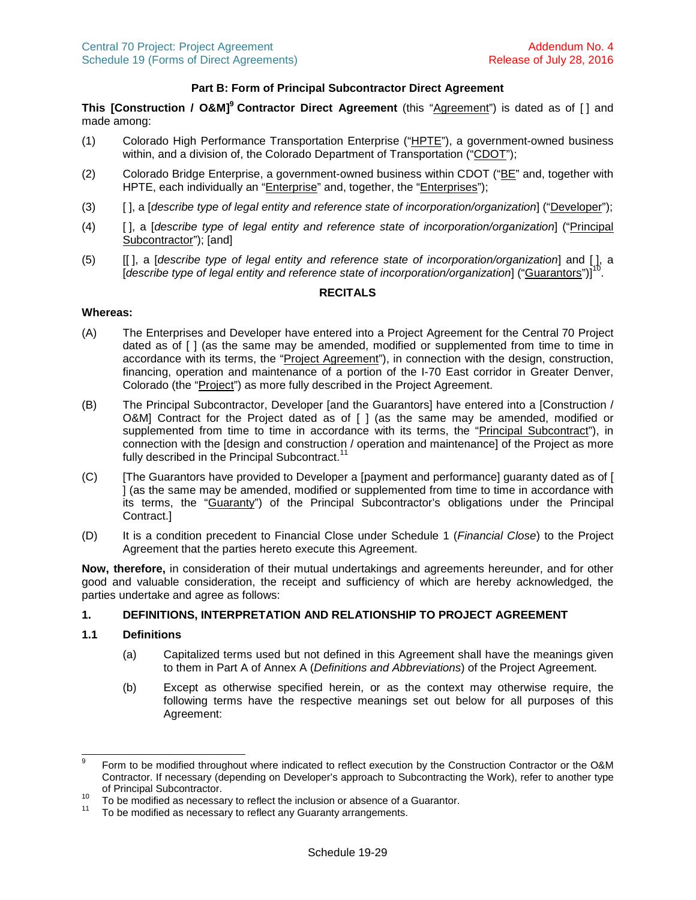# **Part B: Form of Principal Subcontractor Direct Agreement**

This [Construction / O&M]<sup>[9](#page-38-0)</sup> Contractor Direct Agreement (this "Agreement") is dated as of [] and made among:

- (1) Colorado High Performance Transportation Enterprise ("HPTE"), a government-owned business within, and a division of, the Colorado Department of Transportation ("CDOT");
- (2) Colorado Bridge Enterprise, a government-owned business within CDOT ("BE" and, together with HPTE, each individually an "Enterprise" and, together, the "Enterprises");
- (3) [ ], a [*describe type of legal entity and reference state of incorporation/organization*] ("Developer");
- (4) [ ], a [*describe type of legal entity and reference state of incorporation/organization*] ("Principal Subcontractor"); [and]
- (5) [[ ], a [*describe type of legal entity and reference state of incorporation/organization*] and [ ], a ...<br>[describe type of legal entity and reference state of incorporation/organization] ("Guarantors")] .

### **RECITALS**

#### **Whereas:**

- (A) The Enterprises and Developer have entered into a Project Agreement for the Central 70 Project dated as of [ ] (as the same may be amended, modified or supplemented from time to time in accordance with its terms, the "Project Agreement"), in connection with the design, construction, financing, operation and maintenance of a portion of the I-70 East corridor in Greater Denver, Colorado (the "Project") as more fully described in the Project Agreement.
- (B) The Principal Subcontractor, Developer [and the Guarantors] have entered into a [Construction / O&M] Contract for the Project dated as of [ ] (as the same may be amended, modified or supplemented from time to time in accordance with its terms, the "Principal Subcontract"), in connection with the [design and construction / operation and maintenance] of the Project as more fully described in the Principal Subcontract.<sup>1</sup>
- (C) [The Guarantors have provided to Developer a [payment and performance] guaranty dated as of [ ] (as the same may be amended, modified or supplemented from time to time in accordance with its terms, the "Guaranty") of the Principal Subcontractor's obligations under the Principal Contract.]
- (D) It is a condition precedent to Financial Close under Schedule 1 (*Financial Close*) to the Project Agreement that the parties hereto execute this Agreement.

**Now, therefore,** in consideration of their mutual undertakings and agreements hereunder, and for other good and valuable consideration, the receipt and sufficiency of which are hereby acknowledged, the parties undertake and agree as follows:

# **1. DEFINITIONS, INTERPRETATION AND RELATIONSHIP TO PROJECT AGREEMENT**

### **1.1 Definitions**

- (a) Capitalized terms used but not defined in this Agreement shall have the meanings given to them in Part A of Annex A (*Definitions and Abbreviations*) of the Project Agreement.
- (b) Except as otherwise specified herein, or as the context may otherwise require, the following terms have the respective meanings set out below for all purposes of this Agreement:

<span id="page-38-0"></span><sup>9</sup> Form to be modified throughout where indicated to reflect execution by the Construction Contractor or the O&M Contractor. If necessary (depending on Developer's approach to Subcontracting the Work), refer to another type of Principal Subcontractor.

<span id="page-38-1"></span><sup>&</sup>lt;sup>10</sup> To be modified as necessary to reflect the inclusion or absence of a Guarantor.<br><sup>11</sup> To be modified as necessary to reflect any Cuaranty expressments.

<span id="page-38-2"></span>To be modified as necessary to reflect any Guaranty arrangements.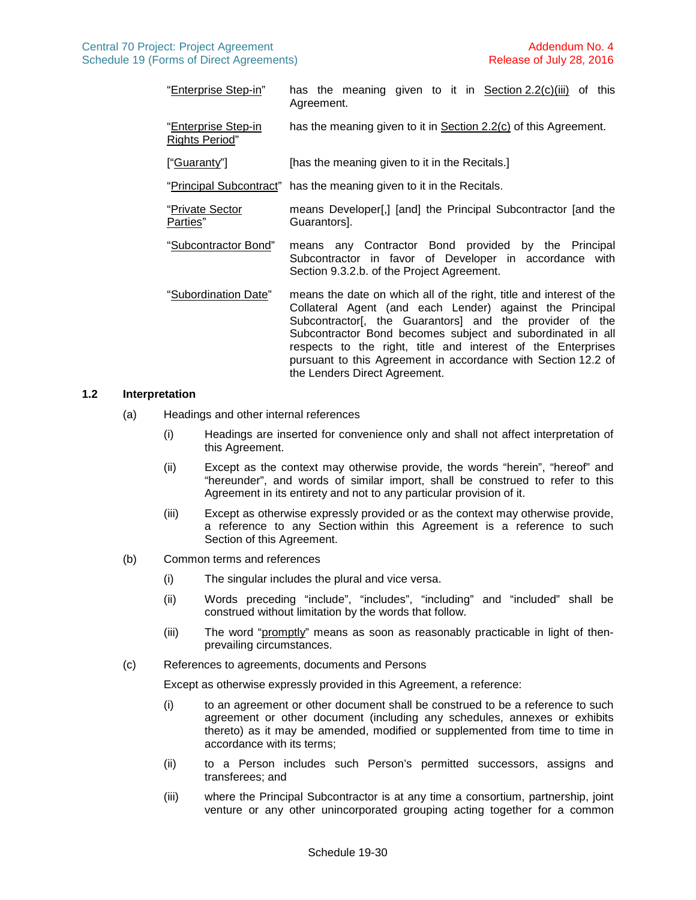- "Enterprise Step-in" has the meaning given to it in Section [2.2\(c\)\(iii\)](#page-42-0) of this Agreement. "Enterprise Step-in Rights Period" has the meaning given to it in Section [2.2\(c\)](#page-41-0) of this Agreement. ["Guaranty"] [has the meaning given to it in the Recitals.] "Principal Subcontract" has the meaning given to it in the Recitals. "Private Sector Parties" means Developer[,] [and] the Principal Subcontractor [and the Guarantors]. "Subcontractor Bond" means any Contractor Bond provided by the Principal Subcontractor in favor of Developer in accordance with Section 9.3.2.b. of the Project Agreement. "Subordination Date" means the date on which all of the right, title and interest of the
	- Collateral Agent (and each Lender) against the Principal Subcontractor<sup>[, the Guarantors] and the provider of the</sup> Subcontractor Bond becomes subject and subordinated in all respects to the right, title and interest of the Enterprises pursuant to this Agreement in accordance with Section [12.2](#page-24-3) of the Lenders Direct Agreement.

# **1.2 Interpretation**

- (a) Headings and other internal references
	- (i) Headings are inserted for convenience only and shall not affect interpretation of this Agreement.
	- (ii) Except as the context may otherwise provide, the words "herein", "hereof" and "hereunder", and words of similar import, shall be construed to refer to this Agreement in its entirety and not to any particular provision of it.
	- (iii) Except as otherwise expressly provided or as the context may otherwise provide, a reference to any Section within this Agreement is a reference to such Section of this Agreement.
- (b) Common terms and references
	- (i) The singular includes the plural and vice versa.
	- (ii) Words preceding "include", "includes", "including" and "included" shall be construed without limitation by the words that follow.
	- (iii) The word "promptly" means as soon as reasonably practicable in light of thenprevailing circumstances.
- (c) References to agreements, documents and Persons

Except as otherwise expressly provided in this Agreement, a reference:

- (i) to an agreement or other document shall be construed to be a reference to such agreement or other document (including any schedules, annexes or exhibits thereto) as it may be amended, modified or supplemented from time to time in accordance with its terms;
- (ii) to a Person includes such Person's permitted successors, assigns and transferees; and
- (iii) where the Principal Subcontractor is at any time a consortium, partnership, joint venture or any other unincorporated grouping acting together for a common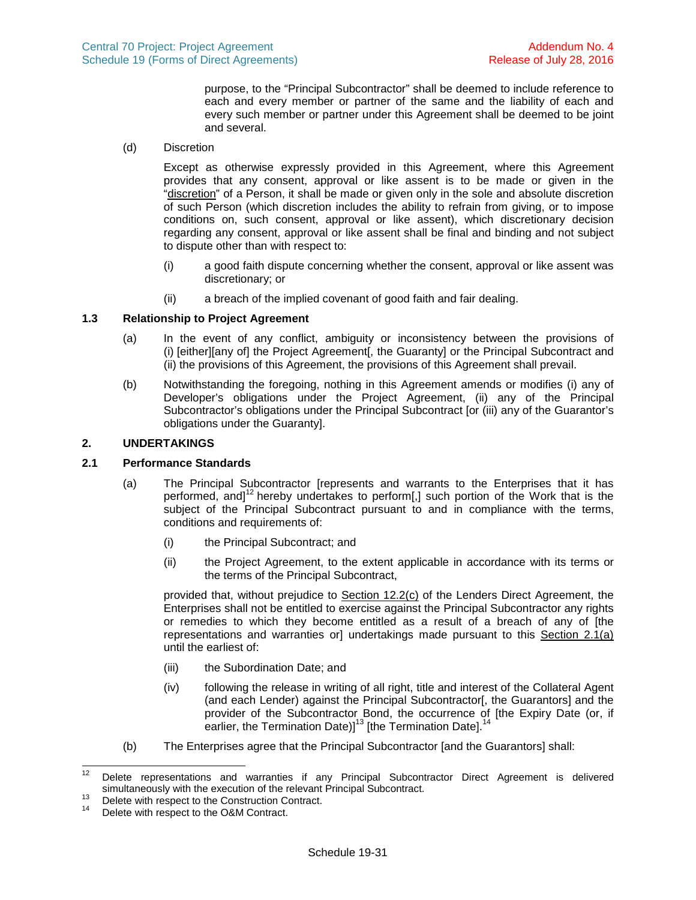purpose, to the "Principal Subcontractor" shall be deemed to include reference to each and every member or partner of the same and the liability of each and every such member or partner under this Agreement shall be deemed to be joint and several.

(d) Discretion

Except as otherwise expressly provided in this Agreement, where this Agreement provides that any consent, approval or like assent is to be made or given in the "discretion" of a Person, it shall be made or given only in the sole and absolute discretion of such Person (which discretion includes the ability to refrain from giving, or to impose conditions on, such consent, approval or like assent), which discretionary decision regarding any consent, approval or like assent shall be final and binding and not subject to dispute other than with respect to:

- (i) a good faith dispute concerning whether the consent, approval or like assent was discretionary; or
- (ii) a breach of the implied covenant of good faith and fair dealing.

# **1.3 Relationship to Project Agreement**

- (a) In the event of any conflict, ambiguity or inconsistency between the provisions of (i) [either][any of] the Project Agreement[, the Guaranty] or the Principal Subcontract and (ii) the provisions of this Agreement, the provisions of this Agreement shall prevail.
- <span id="page-40-4"></span>(b) Notwithstanding the foregoing, nothing in this Agreement amends or modifies (i) any of Developer's obligations under the Project Agreement, (ii) any of the Principal Subcontractor's obligations under the Principal Subcontract [or (iii) any of the Guarantor's obligations under the Guaranty].

# **2. UNDERTAKINGS**

## **2.1 Performance Standards**

- <span id="page-40-0"></span>(a) The Principal Subcontractor [represents and warrants to the Enterprises that it has performed,and  $1^2$  hereby undertakes to perform[,[\]](#page-40-1) such portion of the Work that is the subject of the Principal Subcontract pursuant to and in compliance with the terms, conditions and requirements of:
	- (i) the Principal Subcontract; and
	- (ii) the Project Agreement, to the extent applicable in accordance with its terms or the terms of the Principal Subcontract,

provided that, without prejudice to Section [12.2\(c\)](#page-25-5) of the Lenders Direct Agreement, the Enterprises shall not be entitled to exercise against the Principal Subcontractor any rights or remedies to which they become entitled as a result of a breach of any of [the representations and warranties or] undertakings made pursuant to this Section [2.1\(a\)](#page-40-0) until the earliest of:

- (iii) the Subordination Date; and
- (iv) following the release in writing of all right, title and interest of the Collateral Agent (and each Lender) against the Principal Subcontractor[, the Guarantors] and the provider of the Subcontractor Bond, the occurrence of [the Expiry Date (or, if earlier, the Termination Date)] $^{13}$  $^{13}$  $^{13}$  [the Termination Date]. $^{14}$  $^{14}$  $^{14}$
- (b) The Enterprises agree that the Principal Subcontractor [and the Guarantors] shall:

<span id="page-40-1"></span><sup>&</sup>lt;sup>12</sup> Delete representations and warranties if any Principal Subcontractor Direct Agreement is delivered simultaneously with the execution of the relevant Principal Subcontract.

<span id="page-40-2"></span><sup>&</sup>lt;sup>13</sup> Delete with respect to the Construction Contract.<br><sup>14</sup> Delete with respect to the Q&M Contract.

<span id="page-40-3"></span>Delete with respect to the O&M Contract.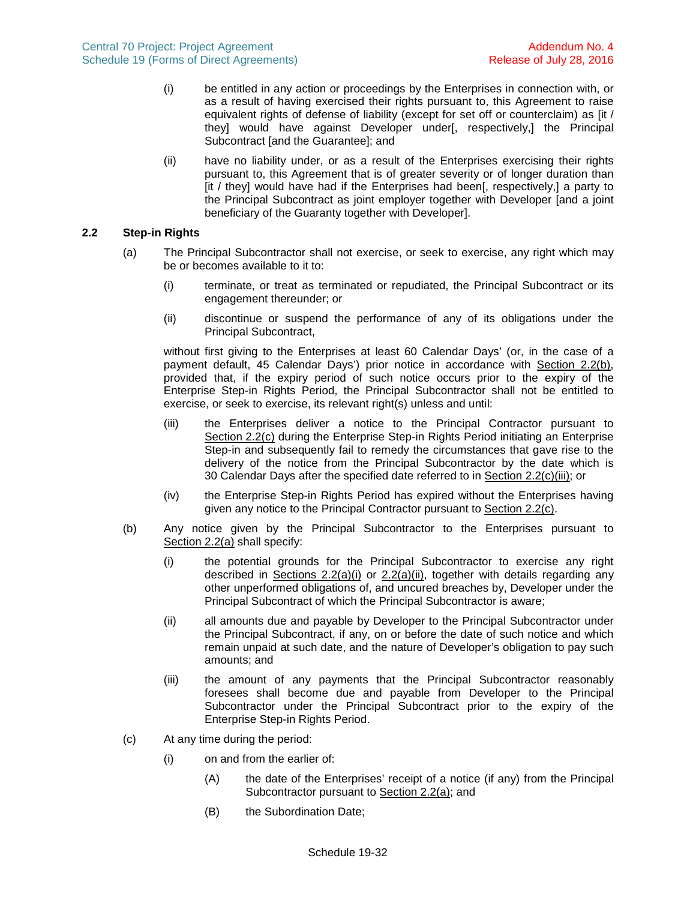- (i) be entitled in any action or proceedings by the Enterprises in connection with, or as a result of having exercised their rights pursuant to, this Agreement to raise equivalent rights of defense of liability (except for set off or counterclaim) as [it / they] would have against Developer under[, respectively,] the Principal Subcontract [and the Guarantee]; and
- (ii) have no liability under, or as a result of the Enterprises exercising their rights pursuant to, this Agreement that is of greater severity or of longer duration than [it / they] would have had if the Enterprises had been[, respectively,] a party to the Principal Subcontract as joint employer together with Developer [and a joint beneficiary of the Guaranty together with Developer].

# **2.2 Step-in Rights**

- <span id="page-41-4"></span>(a) The Principal Subcontractor shall not exercise, or seek to exercise, any right which may be or becomes available to it to:
	- (i) terminate, or treat as terminated or repudiated, the Principal Subcontract or its engagement thereunder; or
	- (ii) discontinue or suspend the performance of any of its obligations under the Principal Subcontract,

<span id="page-41-3"></span><span id="page-41-2"></span>without first giving to the Enterprises at least 60 Calendar Days' (or, in the case of a payment default, 45 Calendar Days') prior notice in accordance with Section [2.2\(b\)](#page-41-1), provided that, if the expiry period of such notice occurs prior to the expiry of the Enterprise Step-in Rights Period, the Principal Subcontractor shall not be entitled to exercise, or seek to exercise, its relevant right(s) unless and until:

- (iii) the Enterprises deliver a notice to the Principal Contractor pursuant to Section [2.2\(c\)](#page-41-0) during the Enterprise Step-in Rights Period initiating an Enterprise Step-in and subsequently fail to remedy the circumstances that gave rise to the delivery of the notice from the Principal Subcontractor by the date which is 30 Calendar Days after the specified date referred to in Section [2.2\(c\)\(iii\)](#page-42-0); or
- <span id="page-41-1"></span>(iv) the Enterprise Step-in Rights Period has expired without the Enterprises having given any notice to the Principal Contractor pursuant to Section [2.2\(c\).](#page-41-0)
- (b) Any notice given by the Principal Subcontractor to the Enterprises pursuant to Section [2.2\(a\)](#page-15-0) shall specify:
	- (i) the potential grounds for the Principal Subcontractor to exercise any right describedin Sections  $2.2(a)(i)$  or  $2.2(a)(ii)$ , together with details regarding any other unperformed obligations of, and uncured breaches by, Developer under the Principal Subcontract of which the Principal Subcontractor is aware;
	- (ii) all amounts due and payable by Developer to the Principal Subcontractor under the Principal Subcontract, if any, on or before the date of such notice and which remain unpaid at such date, and the nature of Developer's obligation to pay such amounts; and
	- (iii) the amount of any payments that the Principal Subcontractor reasonably foresees shall become due and payable from Developer to the Principal Subcontractor under the Principal Subcontract prior to the expiry of the Enterprise Step-in Rights Period.
- <span id="page-41-0"></span>(c) At any time during the period:
	- (i) on and from the earlier of:
		- (A) the date of the Enterprises' receipt of a notice (if any) from the Principal Subcontractor pursuant to Section [2.2\(a\)](#page-41-4); and
		- (B) the Subordination Date;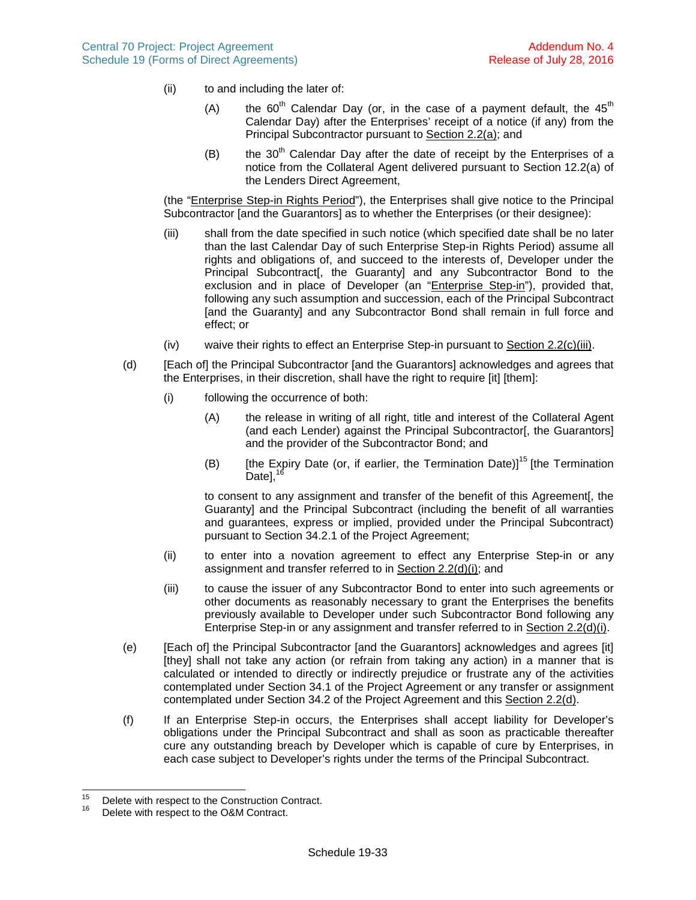- (ii) to and including the later of:
	- (A) the  $60^{th}$  Calendar Day (or, in the case of a payment default, the  $45^{th}$ Calendar Day) after the Enterprises' receipt of a notice (if any) from the Principal Subcontractor pursuant to Section [2.2\(a\)](#page-41-4); and
	- (B) the  $30<sup>th</sup>$  Calendar Day after the date of receipt by the Enterprises of a notice from the Collateral Agent delivered pursuant to Section [12.2\(a\)](#page-24-1) of the Lenders Direct Agreement,

(the "Enterprise Step-in Rights Period"), the Enterprises shall give notice to the Principal Subcontractor [and the Guarantors] as to whether the Enterprises (or their designee):

- <span id="page-42-0"></span>(iii) shall from the date specified in such notice (which specified date shall be no later than the last Calendar Day of such Enterprise Step-in Rights Period) assume all rights and obligations of, and succeed to the interests of, Developer under the Principal Subcontract<sup>[</sup>, the Guaranty] and any Subcontractor Bond to the exclusion and in place of Developer (an "Enterprise Step-in"), provided that, following any such assumption and succession, each of the Principal Subcontract [and the Guaranty] and any Subcontractor Bond shall remain in full force and effect; or
- <span id="page-42-2"></span><span id="page-42-1"></span>(iv) waive their rights to effect an Enterprise Step-in pursuant to Section [2.2\(c\)\(iii\).](#page-42-0)
- (d) [Each of] the Principal Subcontractor [and the Guarantors] acknowledges and agrees that the Enterprises, in their discretion, shall have the right to require [it] [them]:
	- (i) following the occurrence of both:
		- (A) the release in writing of all right, title and interest of the Collateral Agent (and each Lender) against the Principal Subcontractor[, the Guarantors] and the provider of the Subcontractor Bond; and
		- (B) [the Expiry Date (or, if earlier, the Termination Date)]<sup>[15](#page-42-3)</sup> [the Termination Datel. $1$

to consent to any assignment and transfer of the benefit of this Agreement[, the Guaranty] and the Principal Subcontract (including the benefit of all warranties and guarantees, express or implied, provided under the Principal Subcontract) pursuant to Section 34.2.1 of the Project Agreement;

- (ii) to enter into a novation agreement to effect any Enterprise Step-in or any assignment and transfer referred to in Section [2.2\(d\)\(i\);](#page-42-1) and
- (iii) to cause the issuer of any Subcontractor Bond to enter into such agreements or other documents as reasonably necessary to grant the Enterprises the benefits previously available to Developer under such Subcontractor Bond following any Enterprise Step-in or any assignment and transfer referred to in Section [2.2\(d\)\(i\).](#page-42-1)
- (e) [Each of] the Principal Subcontractor [and the Guarantors] acknowledges and agrees [it] [they] shall not take any action (or refrain from taking any action) in a manner that is calculated or intended to directly or indirectly prejudice or frustrate any of the activities contemplated under Section 34.1 of the Project Agreement or any transfer or assignment contemplated under Section 34.2 of the Project Agreement and this Section [2.2\(d\)](#page-42-2).
- (f) If an Enterprise Step-in occurs, the Enterprises shall accept liability for Developer's obligations under the Principal Subcontract and shall as soon as practicable thereafter cure any outstanding breach by Developer which is capable of cure by Enterprises, in each case subject to Developer's rights under the terms of the Principal Subcontract.

<span id="page-42-3"></span><sup>&</sup>lt;sup>15</sup> Delete with respect to the Construction Contract.<br> $16$  Delete with respect to the OSM Contract.

<span id="page-42-4"></span>Delete with respect to the O&M Contract.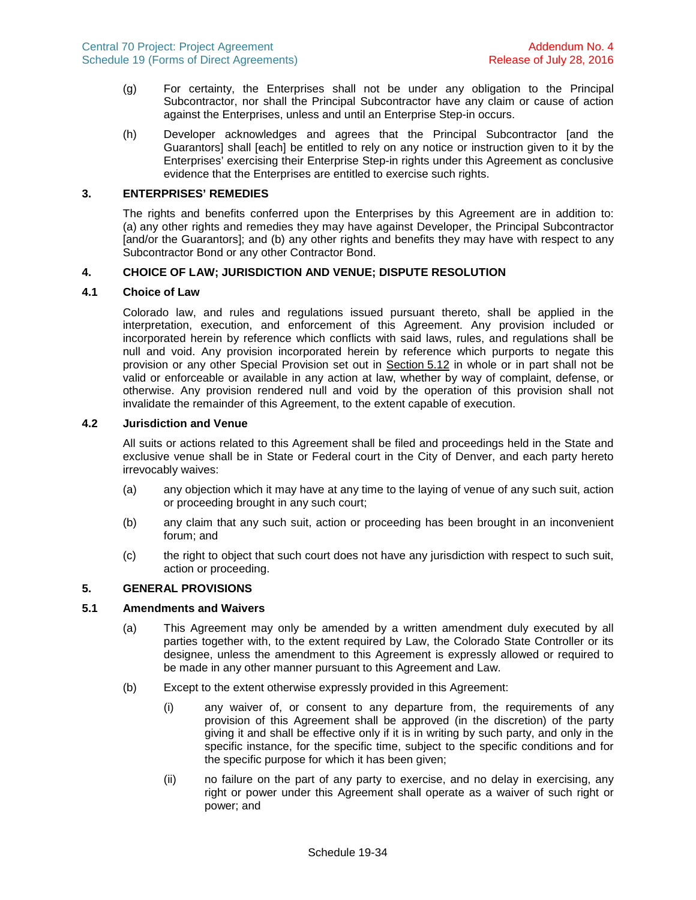- (g) For certainty, the Enterprises shall not be under any obligation to the Principal Subcontractor, nor shall the Principal Subcontractor have any claim or cause of action against the Enterprises, unless and until an Enterprise Step-in occurs.
- (h) Developer acknowledges and agrees that the Principal Subcontractor [and the Guarantors] shall [each] be entitled to rely on any notice or instruction given to it by the Enterprises' exercising their Enterprise Step-in rights under this Agreement as conclusive evidence that the Enterprises are entitled to exercise such rights.

# **3. ENTERPRISES' REMEDIES**

The rights and benefits conferred upon the Enterprises by this Agreement are in addition to: (a) any other rights and remedies they may have against Developer, the Principal Subcontractor [and/or the Guarantors]; and (b) any other rights and benefits they may have with respect to any Subcontractor Bond or any other Contractor Bond.

#### **4. CHOICE OF LAW; JURISDICTION AND VENUE; DISPUTE RESOLUTION**

#### **4.1 Choice of Law**

Colorado law, and rules and regulations issued pursuant thereto, shall be applied in the interpretation, execution, and enforcement of this Agreement. Any provision included or incorporated herein by reference which conflicts with said laws, rules, and regulations shall be null and void. Any provision incorporated herein by reference which purports to negate this provision or any other Special Provision set out in Section [5.12](#page-46-0) in whole or in part shall not be valid or enforceable or available in any action at law, whether by way of complaint, defense, or otherwise. Any provision rendered null and void by the operation of this provision shall not invalidate the remainder of this Agreement, to the extent capable of execution.

#### **4.2 Jurisdiction and Venue**

All suits or actions related to this Agreement shall be filed and proceedings held in the State and exclusive venue shall be in State or Federal court in the City of Denver, and each party hereto irrevocably waives:

- (a) any objection which it may have at any time to the laying of venue of any such suit, action or proceeding brought in any such court;
- (b) any claim that any such suit, action or proceeding has been brought in an inconvenient forum; and
- (c) the right to object that such court does not have any jurisdiction with respect to such suit, action or proceeding.

# **5. GENERAL PROVISIONS**

#### **5.1 Amendments and Waivers**

- (a) This Agreement may only be amended by a written amendment duly executed by all parties together with, to the extent required by Law, the Colorado State Controller or its designee, unless the amendment to this Agreement is expressly allowed or required to be made in any other manner pursuant to this Agreement and Law.
- (b) Except to the extent otherwise expressly provided in this Agreement:
	- (i) any waiver of, or consent to any departure from, the requirements of any provision of this Agreement shall be approved (in the discretion) of the party giving it and shall be effective only if it is in writing by such party, and only in the specific instance, for the specific time, subject to the specific conditions and for the specific purpose for which it has been given;
	- (ii) no failure on the part of any party to exercise, and no delay in exercising, any right or power under this Agreement shall operate as a waiver of such right or power; and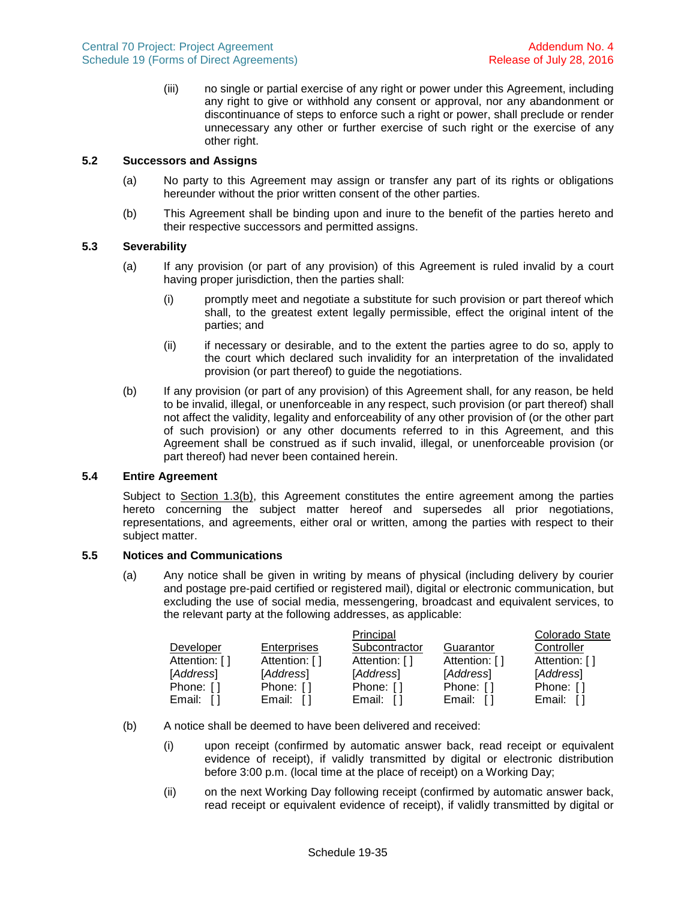(iii) no single or partial exercise of any right or power under this Agreement, including any right to give or withhold any consent or approval, nor any abandonment or discontinuance of steps to enforce such a right or power, shall preclude or render unnecessary any other or further exercise of such right or the exercise of any other right.

## **5.2 Successors and Assigns**

- (a) No party to this Agreement may assign or transfer any part of its rights or obligations hereunder without the prior written consent of the other parties.
- (b) This Agreement shall be binding upon and inure to the benefit of the parties hereto and their respective successors and permitted assigns.

# **5.3 Severability**

- (a) If any provision (or part of any provision) of this Agreement is ruled invalid by a court having proper jurisdiction, then the parties shall:
	- (i) promptly meet and negotiate a substitute for such provision or part thereof which shall, to the greatest extent legally permissible, effect the original intent of the parties; and
	- (ii) if necessary or desirable, and to the extent the parties agree to do so, apply to the court which declared such invalidity for an interpretation of the invalidated provision (or part thereof) to guide the negotiations.
- (b) If any provision (or part of any provision) of this Agreement shall, for any reason, be held to be invalid, illegal, or unenforceable in any respect, such provision (or part thereof) shall not affect the validity, legality and enforceability of any other provision of (or the other part of such provision) or any other documents referred to in this Agreement, and this Agreement shall be construed as if such invalid, illegal, or unenforceable provision (or part thereof) had never been contained herein.

# **5.4 Entire Agreement**

Subject to Section [1.3\(b\),](#page-40-4) this Agreement constitutes the entire agreement among the parties hereto concerning the subject matter hereof and supersedes all prior negotiations, representations, and agreements, either oral or written, among the parties with respect to their subject matter.

### **5.5 Notices and Communications**

(a) Any notice shall be given in writing by means of physical (including delivery by courier and postage pre-paid certified or registered mail), digital or electronic communication, but excluding the use of social media, messengering, broadcast and equivalent services, to the relevant party at the following addresses, as applicable:

|               |                    | Principal     |               | Colorado State |
|---------------|--------------------|---------------|---------------|----------------|
| Developer     | <b>Enterprises</b> | Subcontractor | Guarantor     | Controller     |
| Attention: [] | Attention: []      | Attention: [] | Attention: [] | Attention: []  |
| [Address]     | [Address]          | [Address]     | [Address]     | [Address]      |
| Phone: []     | Phone: []          | Phone: []     | Phone: []     | Phone: []      |
| Email:        | Email: $[$ ]       | Email:        | Email:        | Email:         |

- (b) A notice shall be deemed to have been delivered and received:
	- (i) upon receipt (confirmed by automatic answer back, read receipt or equivalent evidence of receipt), if validly transmitted by digital or electronic distribution before 3:00 p.m. (local time at the place of receipt) on a Working Day;
	- (ii) on the next Working Day following receipt (confirmed by automatic answer back, read receipt or equivalent evidence of receipt), if validly transmitted by digital or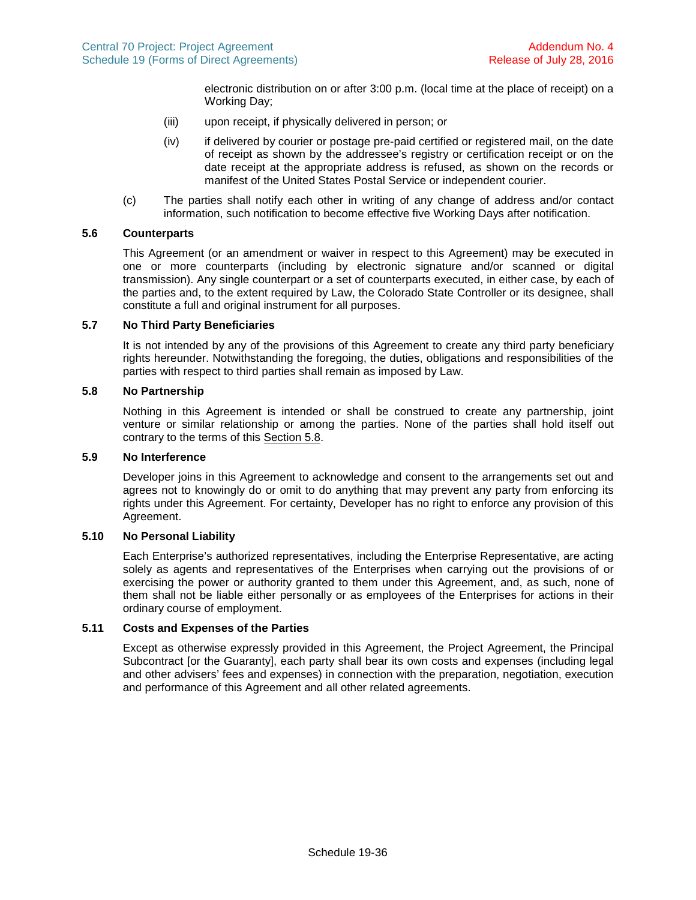electronic distribution on or after 3:00 p.m. (local time at the place of receipt) on a Working Day;

- (iii) upon receipt, if physically delivered in person; or
- (iv) if delivered by courier or postage pre-paid certified or registered mail, on the date of receipt as shown by the addressee's registry or certification receipt or on the date receipt at the appropriate address is refused, as shown on the records or manifest of the United States Postal Service or independent courier.
- (c) The parties shall notify each other in writing of any change of address and/or contact information, such notification to become effective five Working Days after notification.

# **5.6 Counterparts**

This Agreement (or an amendment or waiver in respect to this Agreement) may be executed in one or more counterparts (including by electronic signature and/or scanned or digital transmission). Any single counterpart or a set of counterparts executed, in either case, by each of the parties and, to the extent required by Law, the Colorado State Controller or its designee, shall constitute a full and original instrument for all purposes.

## **5.7 No Third Party Beneficiaries**

It is not intended by any of the provisions of this Agreement to create any third party beneficiary rights hereunder. Notwithstanding the foregoing, the duties, obligations and responsibilities of the parties with respect to third parties shall remain as imposed by Law.

#### **5.8 No Partnership**

<span id="page-45-0"></span>Nothing in this Agreement is intended or shall be construed to create any partnership, joint venture or similar relationship or among the parties. None of the parties shall hold itself out contrary to the terms of this Section [5.8.](#page-45-0)

### **5.9 No Interference**

Developer joins in this Agreement to acknowledge and consent to the arrangements set out and agrees not to knowingly do or omit to do anything that may prevent any party from enforcing its rights under this Agreement. For certainty, Developer has no right to enforce any provision of this Agreement.

#### **5.10 No Personal Liability**

Each Enterprise's authorized representatives, including the Enterprise Representative, are acting solely as agents and representatives of the Enterprises when carrying out the provisions of or exercising the power or authority granted to them under this Agreement, and, as such, none of them shall not be liable either personally or as employees of the Enterprises for actions in their ordinary course of employment.

#### **5.11 Costs and Expenses of the Parties**

Except as otherwise expressly provided in this Agreement, the Project Agreement, the Principal Subcontract [or the Guaranty], each party shall bear its own costs and expenses (including legal and other advisers' fees and expenses) in connection with the preparation, negotiation, execution and performance of this Agreement and all other related agreements.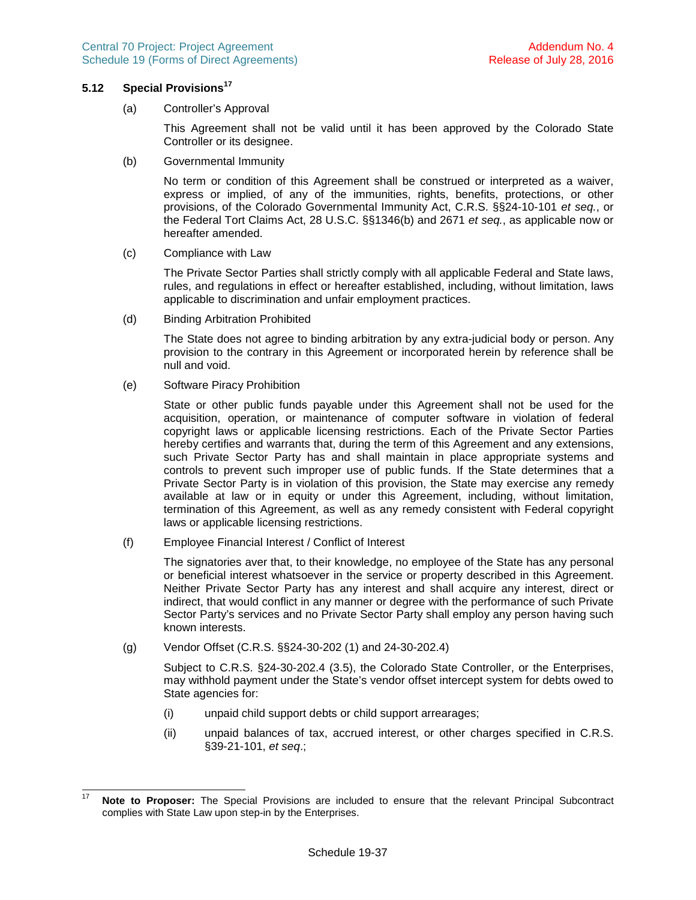#### **5.12 Special Provisions[17](#page-46-1)**

<span id="page-46-0"></span>(a) Controller's Approval

This Agreement shall not be valid until it has been approved by the Colorado State Controller or its designee.

(b) Governmental Immunity

No term or condition of this Agreement shall be construed or interpreted as a waiver, express or implied, of any of the immunities, rights, benefits, protections, or other provisions, of the Colorado Governmental Immunity Act, C.R.S. §§24-10-101 *et seq.*, or the Federal Tort Claims Act, 28 U.S.C. §§1346(b) and 2671 *et seq.*, as applicable now or hereafter amended.

(c) Compliance with Law

The Private Sector Parties shall strictly comply with all applicable Federal and State laws, rules, and regulations in effect or hereafter established, including, without limitation, laws applicable to discrimination and unfair employment practices.

(d) Binding Arbitration Prohibited

The State does not agree to binding arbitration by any extra-judicial body or person. Any provision to the contrary in this Agreement or incorporated herein by reference shall be null and void.

(e) Software Piracy Prohibition

State or other public funds payable under this Agreement shall not be used for the acquisition, operation, or maintenance of computer software in violation of federal copyright laws or applicable licensing restrictions. Each of the Private Sector Parties hereby certifies and warrants that, during the term of this Agreement and any extensions, such Private Sector Party has and shall maintain in place appropriate systems and controls to prevent such improper use of public funds. If the State determines that a Private Sector Party is in violation of this provision, the State may exercise any remedy available at law or in equity or under this Agreement, including, without limitation, termination of this Agreement, as well as any remedy consistent with Federal copyright laws or applicable licensing restrictions.

(f) Employee Financial Interest / Conflict of Interest

The signatories aver that, to their knowledge, no employee of the State has any personal or beneficial interest whatsoever in the service or property described in this Agreement. Neither Private Sector Party has any interest and shall acquire any interest, direct or indirect, that would conflict in any manner or degree with the performance of such Private Sector Party's services and no Private Sector Party shall employ any person having such known interests.

(g) Vendor Offset (C.R.S. §§24-30-202 (1) and 24-30-202.4)

Subject to C.R.S. §24-30-202.4 (3.5), the Colorado State Controller, or the Enterprises, may withhold payment under the State's vendor offset intercept system for debts owed to State agencies for:

- (i) unpaid child support debts or child support arrearages;
- (ii) unpaid balances of tax, accrued interest, or other charges specified in C.R.S. §39-21-101, *et seq*.;

<span id="page-46-1"></span><sup>17</sup> **Note to Proposer:** The Special Provisions are included to ensure that the relevant Principal Subcontract complies with State Law upon step-in by the Enterprises.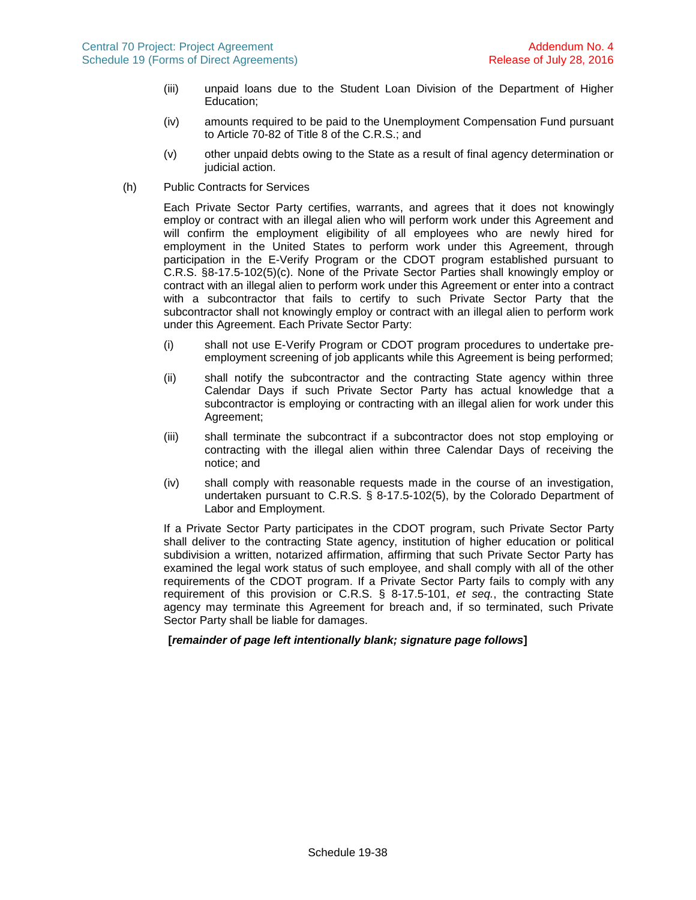- (iii) unpaid loans due to the Student Loan Division of the Department of Higher Education;
- (iv) amounts required to be paid to the Unemployment Compensation Fund pursuant to Article 70-82 of Title 8 of the C.R.S.; and
- (v) other unpaid debts owing to the State as a result of final agency determination or judicial action.
- (h) Public Contracts for Services

Each Private Sector Party certifies, warrants, and agrees that it does not knowingly employ or contract with an illegal alien who will perform work under this Agreement and will confirm the employment eligibility of all employees who are newly hired for employment in the United States to perform work under this Agreement, through participation in the E-Verify Program or the CDOT program established pursuant to C.R.S. §8-17.5-102(5)(c). None of the Private Sector Parties shall knowingly employ or contract with an illegal alien to perform work under this Agreement or enter into a contract with a subcontractor that fails to certify to such Private Sector Party that the subcontractor shall not knowingly employ or contract with an illegal alien to perform work under this Agreement. Each Private Sector Party:

- (i) shall not use E-Verify Program or CDOT program procedures to undertake preemployment screening of job applicants while this Agreement is being performed;
- (ii) shall notify the subcontractor and the contracting State agency within three Calendar Days if such Private Sector Party has actual knowledge that a subcontractor is employing or contracting with an illegal alien for work under this Agreement;
- (iii) shall terminate the subcontract if a subcontractor does not stop employing or contracting with the illegal alien within three Calendar Days of receiving the notice; and
- (iv) shall comply with reasonable requests made in the course of an investigation, undertaken pursuant to C.R.S. § 8-17.5-102(5), by the Colorado Department of Labor and Employment.

If a Private Sector Party participates in the CDOT program, such Private Sector Party shall deliver to the contracting State agency, institution of higher education or political subdivision a written, notarized affirmation, affirming that such Private Sector Party has examined the legal work status of such employee, and shall comply with all of the other requirements of the CDOT program. If a Private Sector Party fails to comply with any requirement of this provision or C.R.S. § 8-17.5-101, *et seq.*, the contracting State agency may terminate this Agreement for breach and, if so terminated, such Private Sector Party shall be liable for damages.

### **[***remainder of page left intentionally blank; signature page follows***]**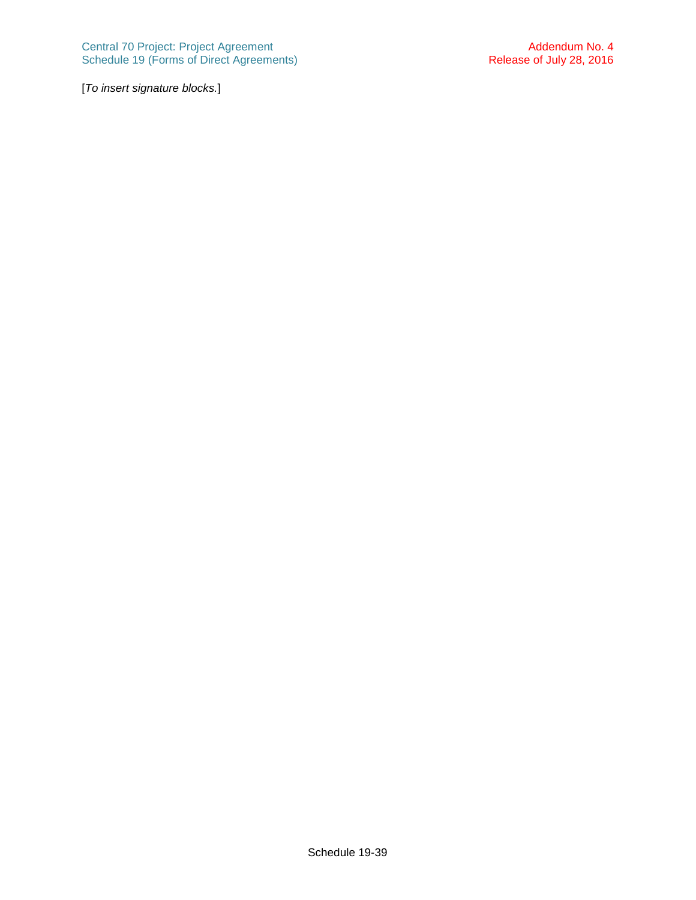[*To insert signature blocks.*]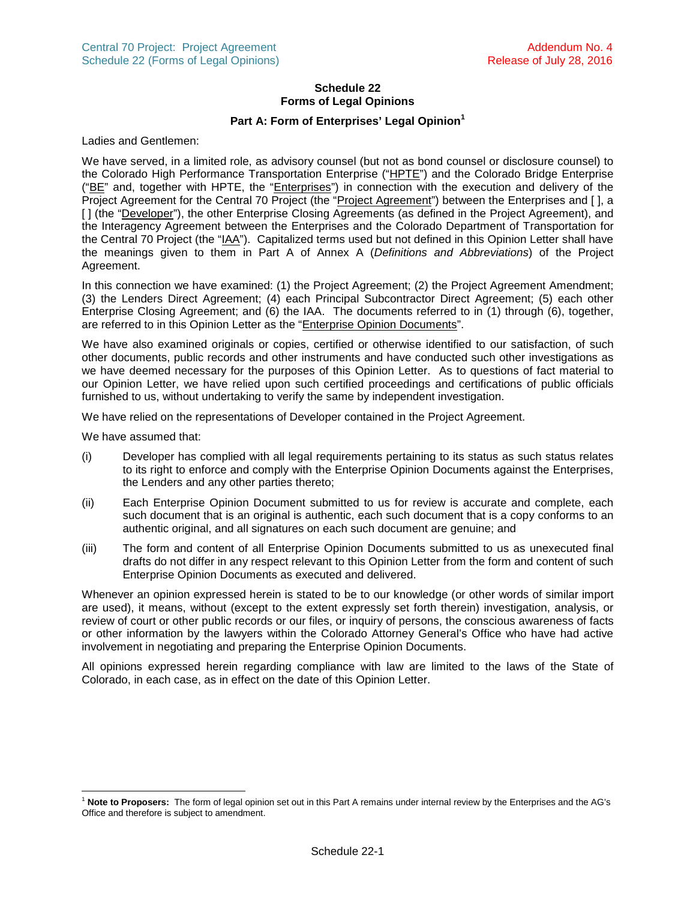# **Schedule 22 Forms of Legal Opinions**

## **Part A: Form of Enterprises' Legal Opinion[1](#page-49-0)**

Ladies and Gentlemen:

We have served, in a limited role, as advisory counsel (but not as bond counsel or disclosure counsel) to the Colorado High Performance Transportation Enterprise ("HPTE") and the Colorado Bridge Enterprise ("BE" and, together with HPTE, the "Enterprises") in connection with the execution and delivery of the Project Agreement for the Central 70 Project (the "Project Agreement") between the Enterprises and [ ], a [ ] (the "Developer"), the other Enterprise Closing Agreements (as defined in the Project Agreement), and the Interagency Agreement between the Enterprises and the Colorado Department of Transportation for the Central 70 Project (the "IAA"). Capitalized terms used but not defined in this Opinion Letter shall have the meanings given to them in Part A of Annex A (*Definitions and Abbreviations*) of the Project Agreement.

In this connection we have examined: (1) the Project Agreement; (2) the Project Agreement Amendment; (3) the Lenders Direct Agreement; (4) each Principal Subcontractor Direct Agreement; (5) each other Enterprise Closing Agreement; and (6) the IAA. The documents referred to in (1) through (6), together, are referred to in this Opinion Letter as the "Enterprise Opinion Documents".

We have also examined originals or copies, certified or otherwise identified to our satisfaction, of such other documents, public records and other instruments and have conducted such other investigations as we have deemed necessary for the purposes of this Opinion Letter. As to questions of fact material to our Opinion Letter, we have relied upon such certified proceedings and certifications of public officials furnished to us, without undertaking to verify the same by independent investigation.

We have relied on the representations of Developer contained in the Project Agreement.

We have assumed that:

- (i) Developer has complied with all legal requirements pertaining to its status as such status relates to its right to enforce and comply with the Enterprise Opinion Documents against the Enterprises, the Lenders and any other parties thereto;
- (ii) Each Enterprise Opinion Document submitted to us for review is accurate and complete, each such document that is an original is authentic, each such document that is a copy conforms to an authentic original, and all signatures on each such document are genuine; and
- (iii) The form and content of all Enterprise Opinion Documents submitted to us as unexecuted final drafts do not differ in any respect relevant to this Opinion Letter from the form and content of such Enterprise Opinion Documents as executed and delivered.

Whenever an opinion expressed herein is stated to be to our knowledge (or other words of similar import are used), it means, without (except to the extent expressly set forth therein) investigation, analysis, or review of court or other public records or our files, or inquiry of persons, the conscious awareness of facts or other information by the lawyers within the Colorado Attorney General's Office who have had active involvement in negotiating and preparing the Enterprise Opinion Documents.

All opinions expressed herein regarding compliance with law are limited to the laws of the State of Colorado, in each case, as in effect on the date of this Opinion Letter.

<span id="page-49-0"></span><sup>1</sup> **Note to Proposers:** The form of legal opinion set out in this Part A remains under internal review by the Enterprises and the AG's Office and therefore is subject to amendment.